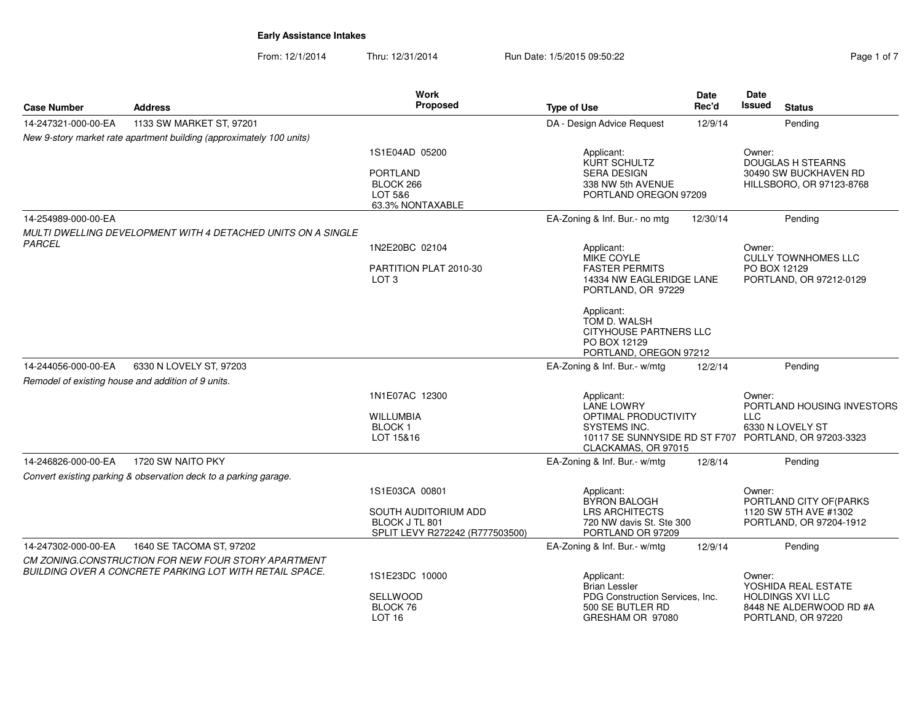From: 12/1/2014Thru: 12/31/2014 Run Date: 1/5/2015 09:50:22 Rege 1 of 7

| <b>Case Number</b>  | <b>Address</b>                                                       | <b>Work</b><br>Proposed                                                   | <b>Type of Use</b>                                                                             | <b>Date</b><br>Rec'd                                                                                    | Date<br><b>Issued</b><br><b>Status</b>                                                  |
|---------------------|----------------------------------------------------------------------|---------------------------------------------------------------------------|------------------------------------------------------------------------------------------------|---------------------------------------------------------------------------------------------------------|-----------------------------------------------------------------------------------------|
| 14-247321-000-00-EA | 1133 SW MARKET ST, 97201                                             |                                                                           | DA - Design Advice Request                                                                     | 12/9/14                                                                                                 | Pending                                                                                 |
|                     | New 9-story market rate apartment building (approximately 100 units) |                                                                           |                                                                                                |                                                                                                         |                                                                                         |
|                     |                                                                      | 1S1E04AD 05200<br><b>PORTLAND</b><br>BLOCK 266<br>LOT 5&6                 | Applicant:<br>KURT SCHULTZ<br><b>SERA DESIGN</b><br>338 NW 5th AVENUE<br>PORTLAND OREGON 97209 |                                                                                                         | Owner:<br><b>DOUGLAS H STEARNS</b><br>30490 SW BUCKHAVEN RD<br>HILLSBORO, OR 97123-8768 |
|                     |                                                                      | 63.3% NONTAXABLE                                                          |                                                                                                |                                                                                                         |                                                                                         |
| 14-254989-000-00-EA |                                                                      |                                                                           | EA-Zoning & Inf. Bur.- no mtg                                                                  | 12/30/14                                                                                                | Pending                                                                                 |
|                     | MULTI DWELLING DEVELOPMENT WITH 4 DETACHED UNITS ON A SINGLE         |                                                                           |                                                                                                |                                                                                                         |                                                                                         |
| PARCEL              |                                                                      | 1N2E20BC 02104                                                            | Applicant:                                                                                     |                                                                                                         | Owner:<br><b>CULLY TOWNHOMES LLC</b>                                                    |
|                     |                                                                      | PARTITION PLAT 2010-30<br>LOT <sub>3</sub>                                | <b>FASTER PERMITS</b>                                                                          | MIKE COYLE<br>PO BOX 12129<br>14334 NW EAGLERIDGE LANE<br>PORTLAND, OR 97212-0129<br>PORTLAND, OR 97229 |                                                                                         |
|                     |                                                                      |                                                                           | Applicant:<br>TOM D. WALSH<br>CITYHOUSE PARTNERS LLC<br>PO BOX 12129<br>PORTLAND, OREGON 97212 |                                                                                                         |                                                                                         |
| 14-244056-000-00-EA | 6330 N LOVELY ST, 97203                                              |                                                                           | EA-Zoning & Inf. Bur.- w/mtg                                                                   | 12/2/14                                                                                                 | Pending                                                                                 |
|                     | Remodel of existing house and addition of 9 units.                   |                                                                           |                                                                                                |                                                                                                         |                                                                                         |
|                     |                                                                      | 1N1E07AC 12300<br><b>WILLUMBIA</b>                                        | Applicant:<br>LANE LOWRY<br><b>OPTIMAL PRODUCTIVITY</b>                                        |                                                                                                         | Owner:<br>PORTLAND HOUSING INVESTORS<br><b>LLC</b>                                      |
|                     |                                                                      | BLOCK <sub>1</sub><br>LOT 15&16                                           | <b>SYSTEMS INC.</b><br>10117 SE SUNNYSIDE RD ST F707<br>CLACKAMAS, OR 97015                    |                                                                                                         | 6330 N LOVELY ST<br>PORTLAND, OR 97203-3323                                             |
| 14-246826-000-00-EA | 1720 SW NAITO PKY                                                    |                                                                           | EA-Zoning & Inf. Bur.- w/mtg                                                                   | 12/8/14                                                                                                 | Pending                                                                                 |
|                     | Convert existing parking & observation deck to a parking garage.     |                                                                           |                                                                                                |                                                                                                         |                                                                                         |
|                     |                                                                      | 1S1E03CA 00801                                                            | Applicant:<br><b>BYRON BALOGH</b>                                                              |                                                                                                         | Owner:<br>PORTLAND CITY OF (PARKS                                                       |
|                     |                                                                      | SOUTH AUDITORIUM ADD<br>BLOCK J TL 801<br>SPLIT LEVY R272242 (R777503500) | <b>LRS ARCHITECTS</b><br>720 NW davis St. Ste 300<br>PORTLAND OR 97209                         |                                                                                                         | 1120 SW 5TH AVE #1302<br>PORTLAND, OR 97204-1912                                        |
| 14-247302-000-00-EA | 1640 SE TACOMA ST, 97202                                             |                                                                           | EA-Zoning & Inf. Bur.- w/mtg                                                                   | 12/9/14                                                                                                 | Pending                                                                                 |
|                     | CM ZONING.CONSTRUCTION FOR NEW FOUR STORY APARTMENT                  |                                                                           |                                                                                                |                                                                                                         |                                                                                         |
|                     | BUILDING OVER A CONCRETE PARKING LOT WITH RETAIL SPACE.              | 1S1E23DC 10000                                                            | Applicant:<br><b>Brian Lessler</b>                                                             |                                                                                                         | Owner:<br>YOSHIDA REAL ESTATE                                                           |
|                     |                                                                      | <b>SELLWOOD</b><br>BLOCK 76<br>LOT <sub>16</sub>                          | PDG Construction Services, Inc.<br>500 SE BUTLER RD<br>GRESHAM OR 97080                        |                                                                                                         | <b>HOLDINGS XVI LLC</b><br>8448 NE ALDERWOOD RD #A<br>PORTLAND, OR 97220                |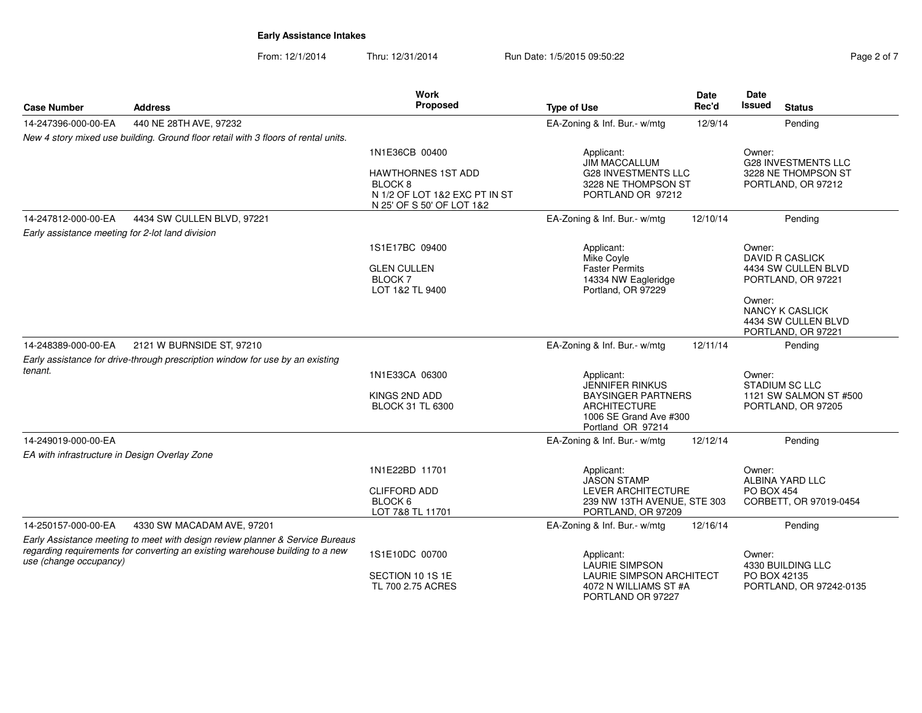From: 12/1/2014Thru: 12/31/2014 Run Date: 1/5/2015 09:50:22 Rege 2 of 7

| <b>Case Number</b>                               | <b>Address</b>                                                                     | Work<br>Proposed                                                                                              | <b>Date</b><br>Rec'd<br><b>Type of Use</b>                             |          | Date<br>Issued<br><b>Status</b>               |
|--------------------------------------------------|------------------------------------------------------------------------------------|---------------------------------------------------------------------------------------------------------------|------------------------------------------------------------------------|----------|-----------------------------------------------|
| 14-247396-000-00-EA                              | 440 NE 28TH AVE, 97232                                                             |                                                                                                               | EA-Zoning & Inf. Bur.- w/mtg                                           | 12/9/14  | Pending                                       |
|                                                  | New 4 story mixed use building. Ground floor retail with 3 floors of rental units. |                                                                                                               |                                                                        |          |                                               |
|                                                  |                                                                                    | 1N1E36CB 00400                                                                                                | Applicant:<br><b>JIM MACCALLUM</b>                                     |          | Owner:<br><b>G28 INVESTMENTS LLC</b>          |
|                                                  |                                                                                    | <b>HAWTHORNES 1ST ADD</b><br>BLOCK <sub>8</sub><br>N 1/2 OF LOT 1&2 EXC PT IN ST<br>N 25' OF S 50' OF LOT 1&2 | <b>G28 INVESTMENTS LLC</b><br>3228 NE THOMPSON ST<br>PORTLAND OR 97212 |          | 3228 NE THOMPSON ST<br>PORTLAND, OR 97212     |
| 14-247812-000-00-EA                              | 4434 SW CULLEN BLVD, 97221                                                         |                                                                                                               | EA-Zoning & Inf. Bur.- w/mtg                                           | 12/10/14 | Pending                                       |
| Early assistance meeting for 2-lot land division |                                                                                    |                                                                                                               |                                                                        |          |                                               |
|                                                  |                                                                                    | 1S1E17BC 09400                                                                                                | Applicant:<br>Mike Coyle                                               |          | Owner:<br><b>DAVID R CASLICK</b>              |
|                                                  |                                                                                    | <b>GLEN CULLEN</b>                                                                                            | <b>Faster Permits</b>                                                  |          | 4434 SW CULLEN BLVD                           |
|                                                  |                                                                                    | <b>BLOCK 7</b><br>LOT 1&2 TL 9400                                                                             | 14334 NW Eagleridge<br>Portland, OR 97229                              |          | PORTLAND, OR 97221                            |
|                                                  |                                                                                    |                                                                                                               |                                                                        |          | Owner:                                        |
|                                                  |                                                                                    |                                                                                                               |                                                                        |          | <b>NANCY K CASLICK</b><br>4434 SW CULLEN BLVD |
| 14-248389-000-00-EA                              | 2121 W BURNSIDE ST, 97210                                                          |                                                                                                               | EA-Zoning & Inf. Bur.- w/mtg                                           | 12/11/14 | PORTLAND, OR 97221<br>Pending                 |
|                                                  | Early assistance for drive-through prescription window for use by an existing      |                                                                                                               |                                                                        |          |                                               |
| tenant.                                          |                                                                                    | 1N1E33CA 06300                                                                                                | Applicant:                                                             |          | Owner:                                        |
|                                                  |                                                                                    |                                                                                                               | JENNIFER RINKUS                                                        |          | <b>STADIUM SC LLC</b>                         |
|                                                  |                                                                                    | KINGS 2ND ADD                                                                                                 | <b>BAYSINGER PARTNERS</b><br><b>ARCHITECTURE</b>                       |          | 1121 SW SALMON ST #500                        |
|                                                  |                                                                                    | <b>BLOCK 31 TL 6300</b>                                                                                       | 1006 SE Grand Ave #300<br>Portland OR 97214                            |          | PORTLAND, OR 97205                            |
| 14-249019-000-00-EA                              |                                                                                    |                                                                                                               | EA-Zoning & Inf. Bur.- w/mtg                                           | 12/12/14 | Pending                                       |
| EA with infrastructure in Design Overlay Zone    |                                                                                    |                                                                                                               |                                                                        |          |                                               |
|                                                  |                                                                                    | 1N1E22BD 11701                                                                                                | Applicant:<br><b>JASON STAMP</b>                                       |          | Owner:<br>ALBINA YARD LLC                     |
|                                                  |                                                                                    | <b>CLIFFORD ADD</b>                                                                                           | <b>LEVER ARCHITECTURE</b>                                              |          | <b>PO BOX 454</b>                             |
|                                                  |                                                                                    | BLOCK 6<br>LOT 7&8 TL 11701                                                                                   | 239 NW 13TH AVENUE, STE 303<br>PORTLAND, OR 97209                      |          | CORBETT, OR 97019-0454                        |
| 14-250157-000-00-EA                              | 4330 SW MACADAM AVE, 97201                                                         |                                                                                                               | EA-Zoning & Inf. Bur.- w/mtg                                           | 12/16/14 | Pending                                       |
|                                                  | Early Assistance meeting to meet with design review planner & Service Bureaus      |                                                                                                               |                                                                        |          |                                               |
| use (change occupancy)                           | regarding requirements for converting an existing warehouse building to a new      | 1S1E10DC 00700                                                                                                | Applicant:<br><b>LAURIE SIMPSON</b>                                    |          | Owner:<br>4330 BUILDING LLC                   |
|                                                  |                                                                                    | SECTION 10 1S 1E                                                                                              | <b>LAURIE SIMPSON ARCHITECT</b>                                        |          | PO BOX 42135                                  |
|                                                  |                                                                                    | TL 700 2.75 ACRES                                                                                             | 4072 N WILLIAMS ST #A<br>PORTLAND OR 97227                             |          | PORTLAND, OR 97242-0135                       |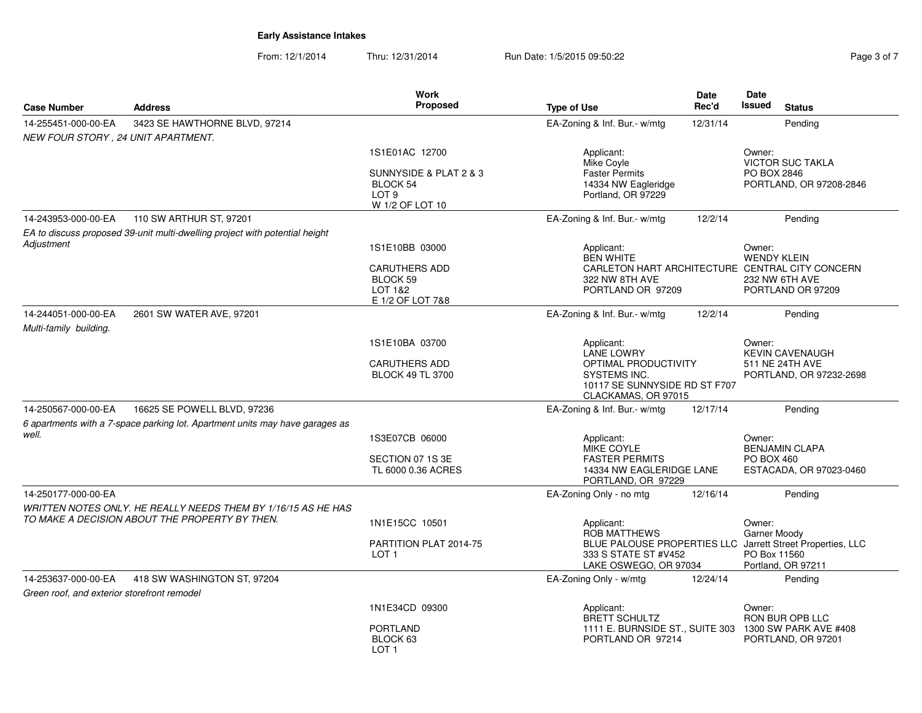From: 12/1/2014Thru: 12/31/2014 Run Date: 1/5/2015 09:50:22 Rege 3 of 7

|                                               |                                                                                                                 | Work                                                                      |                                                                                              | Date     | Date                                                                                                             |
|-----------------------------------------------|-----------------------------------------------------------------------------------------------------------------|---------------------------------------------------------------------------|----------------------------------------------------------------------------------------------|----------|------------------------------------------------------------------------------------------------------------------|
| <b>Case Number</b>                            | <b>Address</b>                                                                                                  | Proposed                                                                  | <b>Type of Use</b>                                                                           | Rec'd    | <b>Issued</b><br><b>Status</b>                                                                                   |
| 14-255451-000-00-EA                           | 3423 SE HAWTHORNE BLVD, 97214                                                                                   |                                                                           | EA-Zoning & Inf. Bur.- w/mtg                                                                 | 12/31/14 | Pending                                                                                                          |
| NEW FOUR STORY, 24 UNIT APARTMENT.            |                                                                                                                 |                                                                           |                                                                                              |          |                                                                                                                  |
|                                               |                                                                                                                 | 1S1E01AC 12700                                                            | Applicant:<br>Mike Coyle                                                                     |          | Owner:<br><b>VICTOR SUC TAKLA</b>                                                                                |
|                                               |                                                                                                                 | SUNNYSIDE & PLAT 2 & 3<br>BLOCK 54<br>LOT <sub>9</sub><br>W 1/2 OF LOT 10 | <b>Faster Permits</b><br>14334 NW Eagleridge<br>Portland, OR 97229                           |          | PO BOX 2846<br>PORTLAND, OR 97208-2846                                                                           |
| 14-243953-000-00-EA                           | 110 SW ARTHUR ST, 97201                                                                                         |                                                                           | EA-Zoning & Inf. Bur.- w/mtg                                                                 | 12/2/14  | Pending                                                                                                          |
|                                               | EA to discuss proposed 39-unit multi-dwelling project with potential height                                     |                                                                           |                                                                                              |          |                                                                                                                  |
| Adjustment                                    |                                                                                                                 | 1S1E10BB 03000                                                            | Applicant:<br><b>BEN WHITE</b>                                                               |          | Owner:<br><b>WENDY KLEIN</b>                                                                                     |
|                                               |                                                                                                                 | <b>CARUTHERS ADD</b><br>BLOCK 59<br>LOT 1&2<br>E 1/2 OF LOT 7&8           | 322 NW 8TH AVE<br>PORTLAND OR 97209                                                          |          | CARLETON HART ARCHITECTURE CENTRAL CITY CONCERN<br>232 NW 6TH AVE<br>PORTLAND OR 97209                           |
| 14-244051-000-00-EA<br>Multi-family building. | 2601 SW WATER AVE, 97201                                                                                        |                                                                           | EA-Zoning & Inf. Bur.- w/mtg                                                                 | 12/2/14  | Pending                                                                                                          |
|                                               |                                                                                                                 | 1S1E10BA 03700                                                            | Applicant:<br>LANE LOWRY                                                                     |          | Owner:<br><b>KEVIN CAVENAUGH</b>                                                                                 |
|                                               |                                                                                                                 | <b>CARUTHERS ADD</b><br><b>BLOCK 49 TL 3700</b>                           | OPTIMAL PRODUCTIVITY<br>SYSTEMS INC.<br>10117 SE SUNNYSIDE RD ST F707<br>CLACKAMAS, OR 97015 |          | 511 NE 24TH AVE<br>PORTLAND, OR 97232-2698                                                                       |
| 14-250567-000-00-EA                           | 16625 SE POWELL BLVD, 97236                                                                                     |                                                                           | EA-Zoning & Inf. Bur.- w/mtg                                                                 | 12/17/14 | Pending                                                                                                          |
|                                               | 6 apartments with a 7-space parking lot. Apartment units may have garages as                                    |                                                                           |                                                                                              |          |                                                                                                                  |
| well.                                         |                                                                                                                 | 1S3E07CB 06000                                                            | Applicant:<br><b>MIKE COYLE</b>                                                              |          | Owner:<br><b>BENJAMIN CLAPA</b>                                                                                  |
|                                               |                                                                                                                 | SECTION 07 1S 3E                                                          | <b>FASTER PERMITS</b>                                                                        |          | <b>PO BOX 460</b>                                                                                                |
|                                               |                                                                                                                 | TL 6000 0.36 ACRES                                                        | 14334 NW EAGLERIDGE LANE<br>PORTLAND, OR 97229                                               |          | ESTACADA, OR 97023-0460                                                                                          |
| 14-250177-000-00-EA                           |                                                                                                                 |                                                                           | EA-Zoning Only - no mtg                                                                      | 12/16/14 | Pending                                                                                                          |
|                                               | WRITTEN NOTES ONLY. HE REALLY NEEDS THEM BY 1/16/15 AS HE HAS<br>TO MAKE A DECISION ABOUT THE PROPERTY BY THEN. | 1N1E15CC 10501                                                            | Applicant:                                                                                   |          | Owner:                                                                                                           |
|                                               |                                                                                                                 | PARTITION PLAT 2014-75<br>LOT <sub>1</sub>                                | ROB MATTHEWS<br>333 S STATE ST #V452<br>LAKE OSWEGO, OR 97034                                |          | Garner Moody<br>BLUE PALOUSE PROPERTIES LLC Jarrett Street Properties, LLC<br>PO Box 11560<br>Portland, OR 97211 |
| 14-253637-000-00-EA                           | 418 SW WASHINGTON ST, 97204                                                                                     |                                                                           | EA-Zoning Only - w/mtg                                                                       | 12/24/14 | Pending                                                                                                          |
| Green roof, and exterior storefront remodel   |                                                                                                                 |                                                                           |                                                                                              |          |                                                                                                                  |
|                                               |                                                                                                                 | 1N1E34CD 09300                                                            | Applicant:<br>BRETT SCHULTZ                                                                  |          | Owner:<br>RON BUR OPB LLC                                                                                        |
|                                               |                                                                                                                 | <b>PORTLAND</b><br>BLOCK 63<br>LOT <sub>1</sub>                           | 1111 E. BURNSIDE ST., SUITE 303<br>PORTLAND OR 97214                                         |          | 1300 SW PARK AVE #408<br>PORTLAND, OR 97201                                                                      |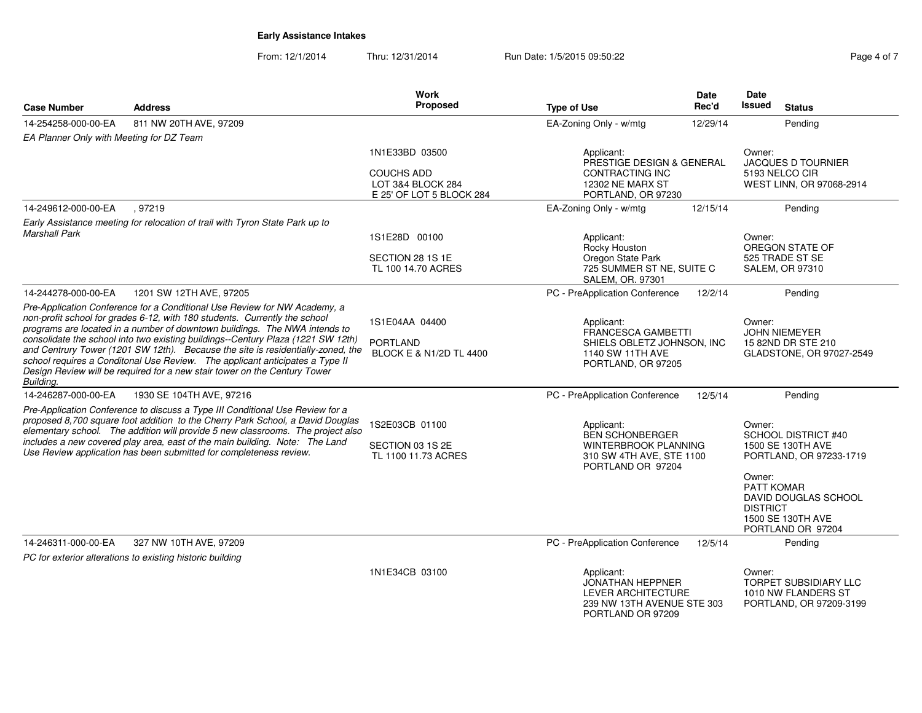From: 12/1/2014Thru: 12/31/2014 Run Date: 1/5/2015 09:50:22 Rege 4 of 7

| <b>Case Number</b>                                                                                                                                                                                                                                                                                                                                                                                      | <b>Address</b>                                                                                                                                                                                                                                                                                                                   | <b>Work</b><br><b>Proposed</b>                            | <b>Type of Use</b>                                                                                                    | <b>Date</b><br>Rec'd                             | Date<br>Issued<br><b>Status</b>                                                                                  |
|---------------------------------------------------------------------------------------------------------------------------------------------------------------------------------------------------------------------------------------------------------------------------------------------------------------------------------------------------------------------------------------------------------|----------------------------------------------------------------------------------------------------------------------------------------------------------------------------------------------------------------------------------------------------------------------------------------------------------------------------------|-----------------------------------------------------------|-----------------------------------------------------------------------------------------------------------------------|--------------------------------------------------|------------------------------------------------------------------------------------------------------------------|
| 14-254258-000-00-EA                                                                                                                                                                                                                                                                                                                                                                                     | 811 NW 20TH AVE, 97209                                                                                                                                                                                                                                                                                                           |                                                           | EA-Zoning Only - w/mtg                                                                                                | 12/29/14                                         | Pending                                                                                                          |
| EA Planner Only with Meeting for DZ Team                                                                                                                                                                                                                                                                                                                                                                |                                                                                                                                                                                                                                                                                                                                  |                                                           |                                                                                                                       |                                                  |                                                                                                                  |
|                                                                                                                                                                                                                                                                                                                                                                                                         |                                                                                                                                                                                                                                                                                                                                  | 1N1E33BD 03500                                            | Applicant:<br>PRESTIGE DESIGN & GENERAL                                                                               |                                                  | Owner:<br><b>JACQUES D TOURNIER</b>                                                                              |
|                                                                                                                                                                                                                                                                                                                                                                                                         |                                                                                                                                                                                                                                                                                                                                  | <b>COUCHS ADD</b>                                         | CONTRACTING INC                                                                                                       |                                                  | 5193 NELCO CIR                                                                                                   |
|                                                                                                                                                                                                                                                                                                                                                                                                         |                                                                                                                                                                                                                                                                                                                                  | LOT 3&4 BLOCK 284<br>E 25' OF LOT 5 BLOCK 284             | <b>12302 NE MARX ST</b><br>PORTLAND, OR 97230                                                                         |                                                  | WEST LINN, OR 97068-2914                                                                                         |
| 14-249612-000-00-EA                                                                                                                                                                                                                                                                                                                                                                                     | , 97219                                                                                                                                                                                                                                                                                                                          |                                                           | EA-Zoning Only - w/mtg                                                                                                | 12/15/14                                         | Pending                                                                                                          |
|                                                                                                                                                                                                                                                                                                                                                                                                         | Early Assistance meeting for relocation of trail with Tyron State Park up to                                                                                                                                                                                                                                                     |                                                           |                                                                                                                       |                                                  |                                                                                                                  |
| <b>Marshall Park</b>                                                                                                                                                                                                                                                                                                                                                                                    |                                                                                                                                                                                                                                                                                                                                  | 1S1E28D 00100                                             | Applicant:<br>Rocky Houston                                                                                           |                                                  | Owner:<br>OREGON STATE OF                                                                                        |
|                                                                                                                                                                                                                                                                                                                                                                                                         |                                                                                                                                                                                                                                                                                                                                  | SECTION 28 1S 1E                                          | Oregon State Park                                                                                                     |                                                  | 525 TRADE ST SE                                                                                                  |
|                                                                                                                                                                                                                                                                                                                                                                                                         |                                                                                                                                                                                                                                                                                                                                  | TL 100 14.70 ACRES                                        | 725 SUMMER ST NE, SUITE C<br>SALEM, OR. 97301                                                                         |                                                  | <b>SALEM, OR 97310</b>                                                                                           |
| 14-244278-000-00-EA                                                                                                                                                                                                                                                                                                                                                                                     | 1201 SW 12TH AVE, 97205                                                                                                                                                                                                                                                                                                          |                                                           | PC - PreApplication Conference                                                                                        | 12/2/14                                          | Pending                                                                                                          |
|                                                                                                                                                                                                                                                                                                                                                                                                         | Pre-Application Conference for a Conditional Use Review for NW Academy, a<br>non-profit school for grades 6-12, with 180 students. Currently the school<br>programs are located in a number of downtown buildings. The NWA intends to                                                                                            | 1S1E04AA 04400                                            | Applicant:<br><b>FRANCESCA GAMBETTI</b>                                                                               |                                                  | Owner:<br><b>JOHN NIEMEYER</b>                                                                                   |
| Building.                                                                                                                                                                                                                                                                                                                                                                                               | consolidate the school into two existing buildings--Century Plaza (1221 SW 12th)<br>and Centrury Tower (1201 SW 12th). Because the site is residentially-zoned, the<br>school requires a Conditonal Use Review. The applicant anticipates a Type II<br>Design Review will be required for a new stair tower on the Century Tower | PORTLAND<br>BLOCK E & N1/2D TL 4400                       | 1140 SW 11TH AVE                                                                                                      | SHIELS OBLETZ JOHNSON, INC<br>PORTLAND, OR 97205 |                                                                                                                  |
| 14-246287-000-00-EA                                                                                                                                                                                                                                                                                                                                                                                     | 1930 SE 104TH AVE, 97216                                                                                                                                                                                                                                                                                                         |                                                           | PC - PreApplication Conference                                                                                        | 12/5/14                                          | Pending                                                                                                          |
| Pre-Application Conference to discuss a Type III Conditional Use Review for a<br>proposed 8,700 square foot addition to the Cherry Park School, a David Douglas<br>elementary school. The addition will provide 5 new classrooms. The project also<br>includes a new covered play area, east of the main building. Note: The Land<br>Use Review application has been submitted for completeness review. |                                                                                                                                                                                                                                                                                                                                  | 1S2E03CB 01100<br>SECTION 03 1S 2E<br>TL 1100 11.73 ACRES | Applicant:<br><b>BEN SCHONBERGER</b><br>WINTERBROOK PLANNING<br>310 SW 4TH AVE, STE 1100<br>PORTLAND OR 97204         |                                                  | Owner:<br><b>SCHOOL DISTRICT #40</b><br>1500 SE 130TH AVE<br>PORTLAND, OR 97233-1719                             |
|                                                                                                                                                                                                                                                                                                                                                                                                         |                                                                                                                                                                                                                                                                                                                                  |                                                           |                                                                                                                       |                                                  | Owner:<br><b>PATT KOMAR</b><br>DAVID DOUGLAS SCHOOL<br><b>DISTRICT</b><br>1500 SE 130TH AVE<br>PORTLAND OR 97204 |
| 14-246311-000-00-EA                                                                                                                                                                                                                                                                                                                                                                                     | 327 NW 10TH AVE, 97209                                                                                                                                                                                                                                                                                                           |                                                           | PC - PreApplication Conference                                                                                        | 12/5/14                                          | Pending                                                                                                          |
|                                                                                                                                                                                                                                                                                                                                                                                                         | PC for exterior alterations to existing historic building                                                                                                                                                                                                                                                                        |                                                           |                                                                                                                       |                                                  |                                                                                                                  |
|                                                                                                                                                                                                                                                                                                                                                                                                         |                                                                                                                                                                                                                                                                                                                                  | 1N1E34CB 03100                                            | Applicant:<br><b>JONATHAN HEPPNER</b><br><b>LEVER ARCHITECTURE</b><br>239 NW 13TH AVENUE STE 303<br>PORTLAND OR 97209 |                                                  | Owner:<br><b>TORPET SUBSIDIARY LLC</b><br>1010 NW FLANDERS ST<br>PORTLAND, OR 97209-3199                         |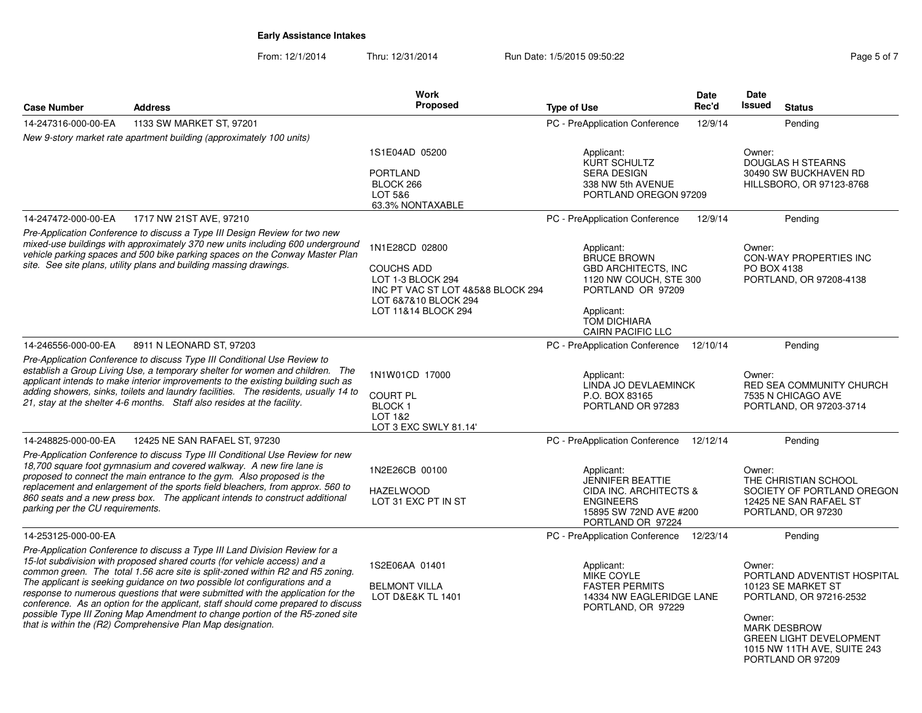From: 12/1/2014

Thru: 12/31/2014 Run Date: 1/5/2015 09:50:22 Rege 5 of 7

|                     |                                                                                                                                                                                                                                                                                                                                                                                                                                                                                                                                                                                                                                                  | <b>Work</b>                                                                                                                                  |                                                                                                                                                                         | <b>Date</b>                        | Date                                                                                               |                                                                                                                                                                                           |
|---------------------|--------------------------------------------------------------------------------------------------------------------------------------------------------------------------------------------------------------------------------------------------------------------------------------------------------------------------------------------------------------------------------------------------------------------------------------------------------------------------------------------------------------------------------------------------------------------------------------------------------------------------------------------------|----------------------------------------------------------------------------------------------------------------------------------------------|-------------------------------------------------------------------------------------------------------------------------------------------------------------------------|------------------------------------|----------------------------------------------------------------------------------------------------|-------------------------------------------------------------------------------------------------------------------------------------------------------------------------------------------|
| <b>Case Number</b>  | <b>Address</b>                                                                                                                                                                                                                                                                                                                                                                                                                                                                                                                                                                                                                                   | Proposed                                                                                                                                     | <b>Type of Use</b>                                                                                                                                                      | Rec'd                              | <b>Issued</b>                                                                                      | <b>Status</b>                                                                                                                                                                             |
| 14-247316-000-00-EA | 1133 SW MARKET ST, 97201                                                                                                                                                                                                                                                                                                                                                                                                                                                                                                                                                                                                                         |                                                                                                                                              | PC - PreApplication Conference                                                                                                                                          | 12/9/14                            |                                                                                                    | Pending                                                                                                                                                                                   |
|                     | New 9-story market rate apartment building (approximately 100 units)                                                                                                                                                                                                                                                                                                                                                                                                                                                                                                                                                                             |                                                                                                                                              |                                                                                                                                                                         |                                    |                                                                                                    |                                                                                                                                                                                           |
|                     |                                                                                                                                                                                                                                                                                                                                                                                                                                                                                                                                                                                                                                                  | 1S1E04AD 05200<br><b>PORTLAND</b><br>BLOCK 266<br>LOT 5&6<br>63.3% NONTAXABLE                                                                | Applicant:<br>KURT SCHULTZ<br><b>SERA DESIGN</b><br>338 NW 5th AVENUE<br>PORTLAND OREGON 97209                                                                          | Owner:<br><b>DOUGLAS H STEARNS</b> |                                                                                                    | 30490 SW BUCKHAVEN RD<br>HILLSBORO, OR 97123-8768                                                                                                                                         |
| 14-247472-000-00-EA | 1717 NW 21ST AVE, 97210                                                                                                                                                                                                                                                                                                                                                                                                                                                                                                                                                                                                                          |                                                                                                                                              | PC - PreApplication Conference                                                                                                                                          | 12/9/14                            |                                                                                                    | Pending                                                                                                                                                                                   |
|                     | Pre-Application Conference to discuss a Type III Design Review for two new<br>mixed-use buildings with approximately 370 new units including 600 underground<br>vehicle parking spaces and 500 bike parking spaces on the Conway Master Plan<br>site. See site plans, utility plans and building massing drawings.                                                                                                                                                                                                                                                                                                                               | 1N1E28CD 02800<br><b>COUCHS ADD</b><br>LOT 1-3 BLOCK 294<br>INC PT VAC ST LOT 4&5&8 BLOCK 294<br>LOT 6&7&10 BLOCK 294<br>LOT 11&14 BLOCK 294 | Applicant:<br><b>BRUCE BROWN</b><br><b>GBD ARCHITECTS, INC</b><br>1120 NW COUCH, STE 300<br>PORTLAND OR 97209<br>Applicant:<br>TOM DICHIARA<br><b>CAIRN PACIFIC LLC</b> |                                    | Owner:<br>PO BOX 4138                                                                              | CON-WAY PROPERTIES INC<br>PORTLAND, OR 97208-4138                                                                                                                                         |
| 14-246556-000-00-EA | 8911 N LEONARD ST, 97203                                                                                                                                                                                                                                                                                                                                                                                                                                                                                                                                                                                                                         |                                                                                                                                              | PC - PreApplication Conference                                                                                                                                          | 12/10/14                           |                                                                                                    | Pending                                                                                                                                                                                   |
|                     | Pre-Application Conference to discuss Type III Conditional Use Review to<br>establish a Group Living Use, a temporary shelter for women and children. The<br>applicant intends to make interior improvements to the existing building such as<br>adding showers, sinks, toilets and laundry facilities. The residents, usually 14 to<br>21, stay at the shelter 4-6 months. Staff also resides at the facility.                                                                                                                                                                                                                                  | 1N1W01CD 17000<br><b>COURT PL</b><br><b>BLOCK1</b><br>LOT 1&2<br>LOT 3 EXC SWLY 81.14'                                                       | Applicant:<br>LINDA JO DEVLAEMINCK<br>P.O. BOX 83165<br>PORTLAND OR 97283                                                                                               |                                    | Owner:                                                                                             | RED SEA COMMUNITY CHURCH<br>7535 N CHICAGO AVE<br>PORTLAND, OR 97203-3714                                                                                                                 |
| 14-248825-000-00-EA | 12425 NE SAN RAFAEL ST, 97230                                                                                                                                                                                                                                                                                                                                                                                                                                                                                                                                                                                                                    |                                                                                                                                              | PC - PreApplication Conference                                                                                                                                          | 12/12/14                           |                                                                                                    | Pending                                                                                                                                                                                   |
|                     | Pre-Application Conference to discuss Type III Conditional Use Review for new<br>18,700 square foot gymnasium and covered walkway. A new fire lane is<br>1N2E26CB 00100<br>Applicant:<br>proposed to connect the main entrance to the gym. Also proposed is the<br><b>JENNIFER BEATTIE</b><br>replacement and enlargement of the sports field bleachers, from approx. 560 to<br><b>HAZELWOOD</b><br>CIDA INC. ARCHITECTS &<br>860 seats and a new press box. The applicant intends to construct additional<br>LOT 31 EXC PT IN ST<br><b>ENGINEERS</b><br>parking per the CU requirements.<br>15895 SW 72ND AVE #200<br>PORTLAND OR 97224         |                                                                                                                                              |                                                                                                                                                                         | Owner:                             | THE CHRISTIAN SCHOOL<br>SOCIETY OF PORTLAND OREGON<br>12425 NE SAN RAFAEL ST<br>PORTLAND, OR 97230 |                                                                                                                                                                                           |
| 14-253125-000-00-EA |                                                                                                                                                                                                                                                                                                                                                                                                                                                                                                                                                                                                                                                  |                                                                                                                                              | PC - PreApplication Conference                                                                                                                                          | 12/23/14                           |                                                                                                    | Pendina                                                                                                                                                                                   |
|                     | Pre-Application Conference to discuss a Type III Land Division Review for a<br>15-lot subdivision with proposed shared courts (for vehicle access) and a<br>common green. The total 1.56 acre site is split-zoned within R2 and R5 zoning.<br>The applicant is seeking guidance on two possible lot configurations and a<br>response to numerous questions that were submitted with the application for the<br>conference. As an option for the applicant, staff should come prepared to discuss<br>possible Type III Zoning Map Amendment to change portion of the R5-zoned site<br>that is within the (R2) Comprehensive Plan Map designation. | 1S2E06AA 01401<br><b>BELMONT VILLA</b><br>LOT D&E&K TL 1401                                                                                  | Applicant:<br><b>MIKE COYLE</b><br><b>FASTER PERMITS</b><br>14334 NW EAGLERIDGE LANE<br>PORTLAND, OR 97229                                                              |                                    | Owner:<br>Owner:                                                                                   | PORTLAND ADVENTIST HOSPITAL<br>10123 SE MARKET ST<br>PORTLAND, OR 97216-2532<br><b>MARK DESBROW</b><br><b>GREEN LIGHT DEVELOPMENT</b><br>1015 NW 11TH AVE, SUITE 243<br>PORTLAND OR 97209 |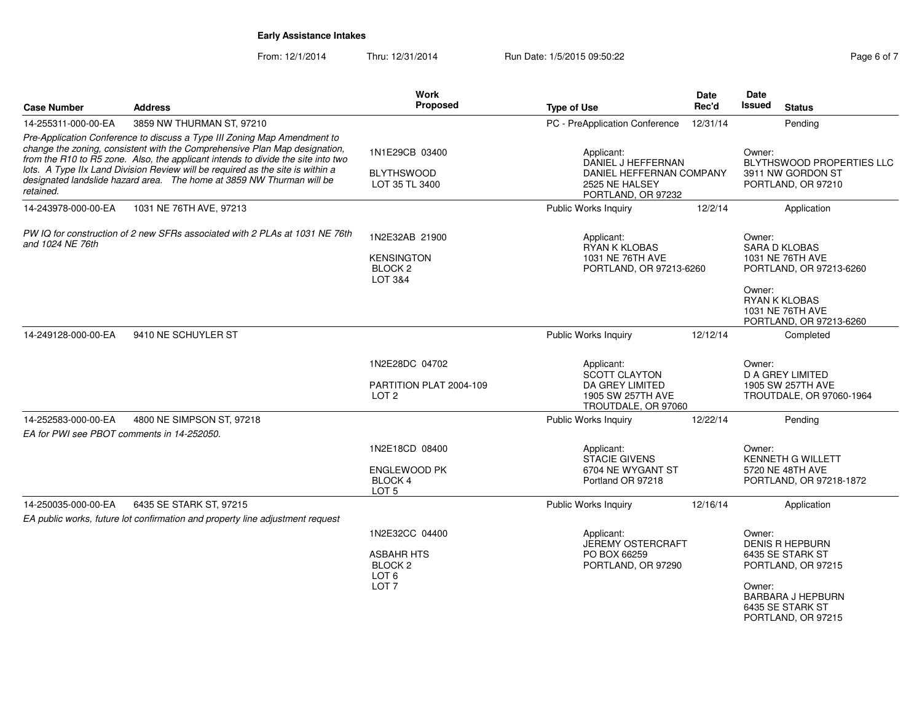From: 12/1/2014Thru: 12/31/2014 Run Date: 1/5/2015 09:50:22 Rege 6 of 7

| <b>Case Number</b>                                                                                                                                                                                                                                                                                                                                                                                                 | <b>Address</b>                                                                | Work<br><b>Proposed</b>                                                                           |                                                                                                      | <b>Date</b><br>Rec'd | Date<br>Issued                                                                                                                                             |  |
|--------------------------------------------------------------------------------------------------------------------------------------------------------------------------------------------------------------------------------------------------------------------------------------------------------------------------------------------------------------------------------------------------------------------|-------------------------------------------------------------------------------|---------------------------------------------------------------------------------------------------|------------------------------------------------------------------------------------------------------|----------------------|------------------------------------------------------------------------------------------------------------------------------------------------------------|--|
|                                                                                                                                                                                                                                                                                                                                                                                                                    |                                                                               |                                                                                                   | <b>Type of Use</b>                                                                                   |                      | <b>Status</b>                                                                                                                                              |  |
| 14-255311-000-00-EA                                                                                                                                                                                                                                                                                                                                                                                                | 3859 NW THURMAN ST, 97210                                                     |                                                                                                   | PC - PreApplication Conference                                                                       | 12/31/14             | Pending                                                                                                                                                    |  |
| Pre-Application Conference to discuss a Type III Zoning Map Amendment to<br>change the zoning, consistent with the Comprehensive Plan Map designation,<br>from the R10 to R5 zone. Also, the applicant intends to divide the site into two<br>lots. A Type IIx Land Division Review will be required as the site is within a<br>designated landslide hazard area. The home at 3859 NW Thurman will be<br>retained. |                                                                               | 1N1E29CB 03400<br><b>BLYTHSWOOD</b><br>LOT 35 TL 3400                                             | Applicant:<br>DANIEL J HEFFERNAN<br>DANIEL HEFFERNAN COMPANY<br>2525 NE HALSEY<br>PORTLAND, OR 97232 |                      | Owner:<br>BLYTHSWOOD PROPERTIES LLC<br>3911 NW GORDON ST<br>PORTLAND, OR 97210                                                                             |  |
| 14-243978-000-00-EA                                                                                                                                                                                                                                                                                                                                                                                                | 1031 NE 76TH AVE, 97213                                                       |                                                                                                   | Public Works Inquiry                                                                                 | 12/2/14              | Application                                                                                                                                                |  |
| PW IQ for construction of 2 new SFRs associated with 2 PLAs at 1031 NE 76th<br>and 1024 NE 76th                                                                                                                                                                                                                                                                                                                    |                                                                               | 1N2E32AB 21900<br><b>KENSINGTON</b><br>BLOCK <sub>2</sub><br>LOT 3&4                              | Applicant:<br>RYAN K KLOBAS<br>1031 NE 76TH AVE<br>PORTLAND, OR 97213-6260                           |                      | Owner:<br><b>SARA D KLOBAS</b><br>1031 NE 76TH AVE<br>PORTLAND, OR 97213-6260                                                                              |  |
|                                                                                                                                                                                                                                                                                                                                                                                                                    |                                                                               |                                                                                                   |                                                                                                      |                      | Owner:<br>RYAN K KLOBAS<br>1031 NE 76TH AVE<br>PORTLAND, OR 97213-6260                                                                                     |  |
| 14-249128-000-00-EA                                                                                                                                                                                                                                                                                                                                                                                                | 9410 NE SCHUYLER ST                                                           |                                                                                                   | Public Works Inquiry                                                                                 | 12/12/14             | Completed                                                                                                                                                  |  |
|                                                                                                                                                                                                                                                                                                                                                                                                                    |                                                                               | 1N2E28DC 04702<br>PARTITION PLAT 2004-109                                                         | Applicant:<br>SCOTT CLAYTON<br>DA GREY LIMITED                                                       |                      | Owner:<br><b>D A GREY LIMITED</b><br>1905 SW 257TH AVE                                                                                                     |  |
|                                                                                                                                                                                                                                                                                                                                                                                                                    |                                                                               | LOT <sub>2</sub>                                                                                  | 1905 SW 257TH AVE<br>TROUTDALE, OR 97060                                                             |                      | TROUTDALE, OR 97060-1964                                                                                                                                   |  |
| 14-252583-000-00-EA<br>EA for PWI see PBOT comments in 14-252050.                                                                                                                                                                                                                                                                                                                                                  | 4800 NE SIMPSON ST, 97218                                                     |                                                                                                   | Public Works Inquiry                                                                                 | 12/22/14             | Pending                                                                                                                                                    |  |
|                                                                                                                                                                                                                                                                                                                                                                                                                    |                                                                               | 1N2E18CD 08400<br><b>ENGLEWOOD PK</b><br>BLOCK 4<br>LOT <sub>5</sub>                              | Applicant:<br><b>STACIE GIVENS</b><br>6704 NE WYGANT ST<br>Portland OR 97218                         |                      | Owner:<br><b>KENNETH G WILLETT</b><br>5720 NE 48TH AVE<br>PORTLAND, OR 97218-1872                                                                          |  |
| 14-250035-000-00-EA                                                                                                                                                                                                                                                                                                                                                                                                | 6435 SE STARK ST, 97215                                                       |                                                                                                   | Public Works Inquiry                                                                                 | 12/16/14             | Application                                                                                                                                                |  |
|                                                                                                                                                                                                                                                                                                                                                                                                                    | EA public works, future lot confirmation and property line adjustment request |                                                                                                   |                                                                                                      |                      |                                                                                                                                                            |  |
|                                                                                                                                                                                                                                                                                                                                                                                                                    |                                                                               | 1N2E32CC 04400<br><b>ASBAHR HTS</b><br>BLOCK <sub>2</sub><br>LOT <sub>6</sub><br>LOT <sub>7</sub> | Applicant:<br>JEREMY OSTERCRAFT<br>PO BOX 66259<br>PORTLAND, OR 97290                                |                      | Owner:<br><b>DENIS R HEPBURN</b><br>6435 SE STARK ST<br>PORTLAND, OR 97215<br>Owner:<br><b>BARBARA J HEPBURN</b><br>6435 SE STARK ST<br>PORTLAND, OR 97215 |  |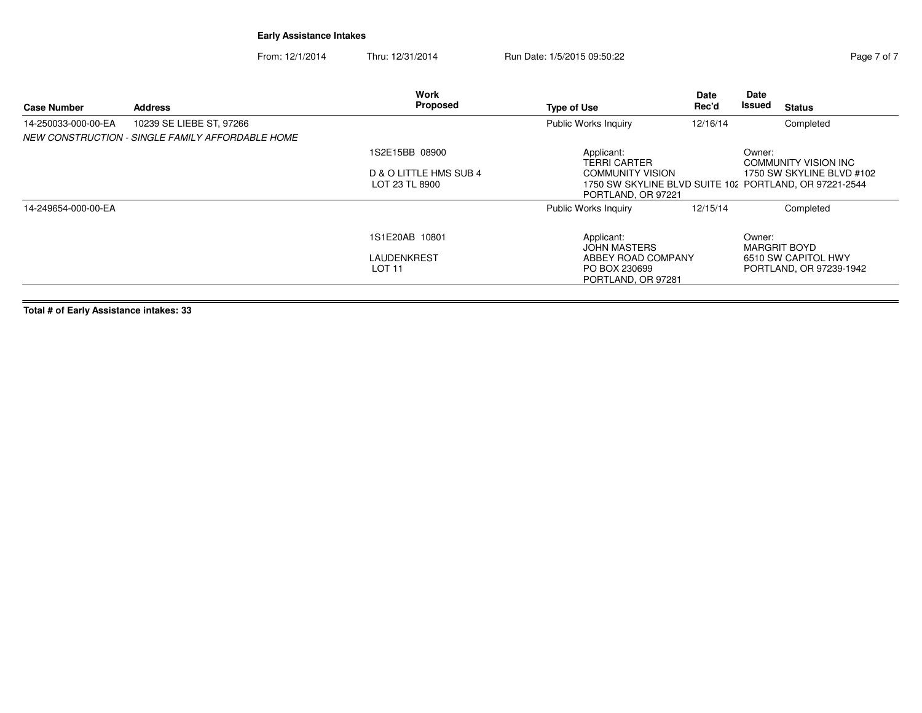From: 12/1/2014Thru: 12/31/2014 Run Date: 1/5/2015 09:50:22 Rege 7 of 7

| <b>Case Number</b>  | <b>Address</b>                                   | Work<br>Proposed                                   | <b>Type of Use</b>                                                       | Date<br>Rec'd                                                                       | Date<br>Issued | <b>Status</b>                                                         |
|---------------------|--------------------------------------------------|----------------------------------------------------|--------------------------------------------------------------------------|-------------------------------------------------------------------------------------|----------------|-----------------------------------------------------------------------|
| 14-250033-000-00-EA | 10239 SE LIEBE ST, 97266                         |                                                    | <b>Public Works Inquiry</b>                                              | 12/16/14                                                                            |                | Completed                                                             |
|                     | NEW CONSTRUCTION - SINGLE FAMILY AFFORDABLE HOME |                                                    |                                                                          |                                                                                     |                |                                                                       |
|                     |                                                  | 1S2E15BB 08900                                     | Applicant:<br><b>TERRI CARTER</b>                                        |                                                                                     | Owner:         | <b>COMMUNITY VISION INC</b>                                           |
|                     |                                                  | D & O LITTLE HMS SUB 4<br>LOT 23 TL 8900           | <b>COMMUNITY VISION</b><br>PORTLAND, OR 97221                            | 1750 SW SKYLINE BLVD #102<br>1750 SW SKYLINE BLVD SUITE 102 PORTLAND, OR 97221-2544 |                |                                                                       |
| 14-249654-000-00-EA |                                                  |                                                    | <b>Public Works Inquiry</b>                                              | 12/15/14                                                                            |                | Completed                                                             |
|                     |                                                  | 1S1E20AB 10801<br>LAUDENKREST<br>LOT <sub>11</sub> | Applicant:<br><b>JOHN MASTERS</b><br>ABBEY ROAD COMPANY<br>PO BOX 230699 |                                                                                     | Owner:         | <b>MARGRIT BOYD</b><br>6510 SW CAPITOL HWY<br>PORTLAND, OR 97239-1942 |
|                     |                                                  |                                                    | PORTLAND, OR 97281                                                       |                                                                                     |                |                                                                       |

**Total # of Early Assistance intakes: 33**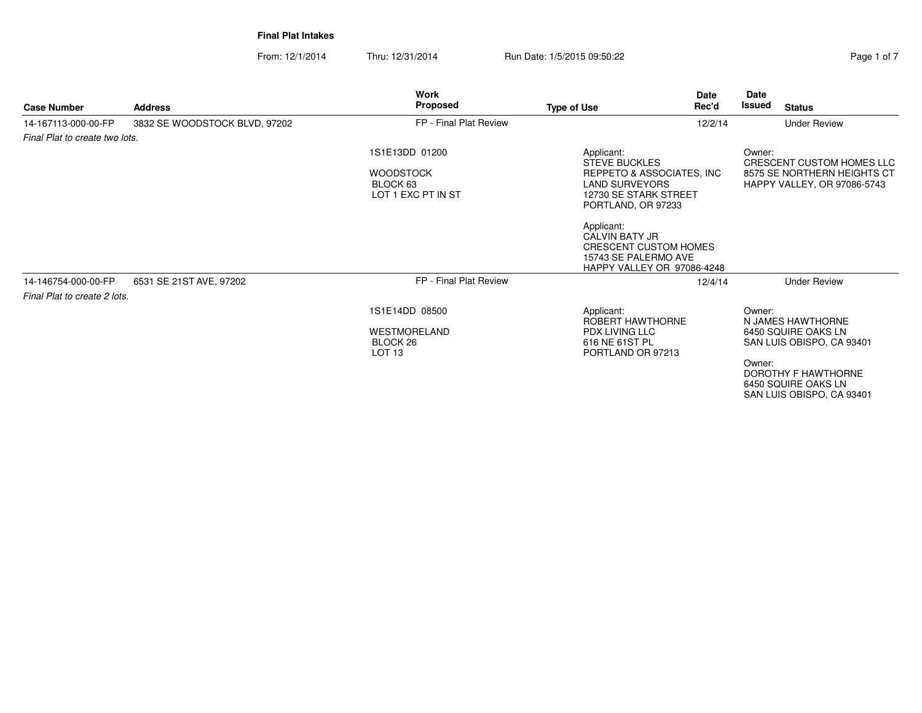From: 12/1/2014Thru: 12/31/2014 Run Date: 1/5/2015 09:50:22 Rege 1 of 7

| <b>Case Number</b>             | <b>Address</b>                | <b>Work</b><br>Proposed                              | <b>Date</b><br>Rec'd<br><b>Type of Use</b>                                                                         | Date<br>Issued<br><b>Status</b>                                                          |
|--------------------------------|-------------------------------|------------------------------------------------------|--------------------------------------------------------------------------------------------------------------------|------------------------------------------------------------------------------------------|
| 14-167113-000-00-FP            | 3832 SE WOODSTOCK BLVD, 97202 | FP - Final Plat Review                               | 12/2/14                                                                                                            | <b>Under Review</b>                                                                      |
| Final Plat to create two lots. |                               |                                                      |                                                                                                                    |                                                                                          |
|                                |                               | 1S1E13DD 01200                                       | Applicant:<br><b>STEVE BUCKLES</b>                                                                                 | Owner:<br>CRESCENT CUSTOM HOMES LLC                                                      |
|                                |                               | <b>WOODSTOCK</b><br>BLOCK 63<br>LOT 1 EXC PT IN ST   | REPPETO & ASSOCIATES, INC<br><b>LAND SURVEYORS</b><br>12730 SE STARK STREET<br>PORTLAND, OR 97233                  | 8575 SE NORTHERN HEIGHTS CT<br>HAPPY VALLEY, OR 97086-5743                               |
|                                |                               |                                                      | Applicant:<br><b>CALVIN BATY JR</b><br>CRESCENT CUSTOM HOMES<br>15743 SE PALERMO AVE<br>HAPPY VALLEY OR 97086-4248 |                                                                                          |
| 14-146754-000-00-FP            | 6531 SE 21ST AVE, 97202       | FP - Final Plat Review                               | 12/4/14                                                                                                            | <b>Under Review</b>                                                                      |
| Final Plat to create 2 lots.   |                               |                                                      |                                                                                                                    |                                                                                          |
|                                |                               | 1S1E14DD 08500                                       | Applicant:<br>ROBERT HAWTHORNE                                                                                     | Owner:<br>N JAMES HAWTHORNE                                                              |
|                                |                               | <b>WESTMORELAND</b><br>BLOCK 26<br>LOT <sub>13</sub> | PDX LIVING LLC<br>616 NE 61ST PL<br>PORTLAND OR 97213                                                              | 6450 SOUIRE OAKS LN<br>SAN LUIS OBISPO, CA 93401                                         |
|                                |                               |                                                      |                                                                                                                    | Owner:<br><b>DOROTHY F HAWTHORNE</b><br>6450 SQUIRE OAKS LN<br>SAN LUIS OBISPO, CA 93401 |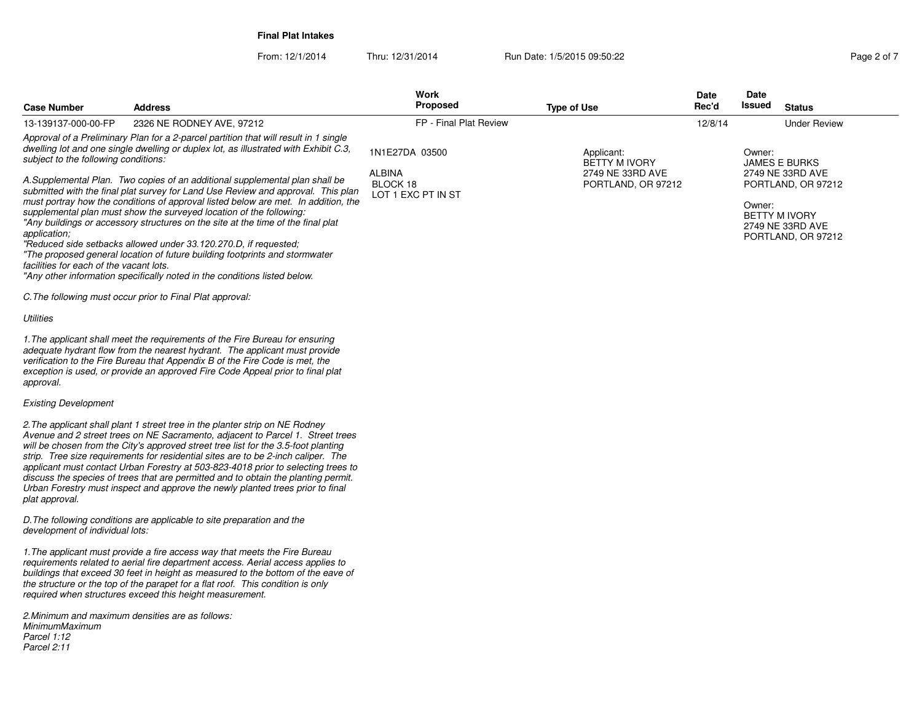*Parcel 2:11*

From: 12/1/2014Thru: 12/31/2014 Run Date: 1/5/2015 09:50:22 Rege 2 of 7

| <b>Case Number</b>                                      | <b>Address</b>                                                                                                                                                                                                                                                                                                                                                                                                                                                                                                                                                                                         | Work<br><b>Proposed</b>                                           | <b>Type of Use</b>                                                           | Date<br>Rec'd | Date<br>Issued<br><b>Status</b>                                                    |
|---------------------------------------------------------|--------------------------------------------------------------------------------------------------------------------------------------------------------------------------------------------------------------------------------------------------------------------------------------------------------------------------------------------------------------------------------------------------------------------------------------------------------------------------------------------------------------------------------------------------------------------------------------------------------|-------------------------------------------------------------------|------------------------------------------------------------------------------|---------------|------------------------------------------------------------------------------------|
| 13-139137-000-00-FP                                     | 2326 NE RODNEY AVE, 97212                                                                                                                                                                                                                                                                                                                                                                                                                                                                                                                                                                              | FP - Final Plat Review                                            |                                                                              | 12/8/14       | <b>Under Review</b>                                                                |
| subject to the following conditions:                    | Approval of a Preliminary Plan for a 2-parcel partition that will result in 1 single<br>dwelling lot and one single dwelling or duplex lot, as illustrated with Exhibit C.3,<br>A.Supplemental Plan. Two copies of an additional supplemental plan shall be<br>submitted with the final plat survey for Land Use Review and approval. This plan<br>must portray how the conditions of approval listed below are met. In addition, the                                                                                                                                                                  | 1N1E27DA 03500<br><b>ALBINA</b><br>BLOCK 18<br>LOT 1 EXC PT IN ST | Applicant:<br><b>BETTY M IVORY</b><br>2749 NE 33RD AVE<br>PORTLAND, OR 97212 |               | Owner:<br><b>JAMES E BURKS</b><br>2749 NE 33RD AVE<br>PORTLAND, OR 97212<br>Owner: |
| application;<br>facilities for each of the vacant lots. | supplemental plan must show the surveyed location of the following:<br>"Any buildings or accessory structures on the site at the time of the final plat<br>"Reduced side setbacks allowed under 33.120.270.D, if requested:<br>"The proposed general location of future building footprints and stormwater<br>"Any other information specifically noted in the conditions listed below.                                                                                                                                                                                                                |                                                                   |                                                                              |               | <b>BETTY M IVORY</b><br>2749 NE 33RD AVE<br>PORTLAND, OR 97212                     |
|                                                         | C. The following must occur prior to Final Plat approval:                                                                                                                                                                                                                                                                                                                                                                                                                                                                                                                                              |                                                                   |                                                                              |               |                                                                                    |
| Utilities                                               |                                                                                                                                                                                                                                                                                                                                                                                                                                                                                                                                                                                                        |                                                                   |                                                                              |               |                                                                                    |
| approval.                                               | 1. The applicant shall meet the requirements of the Fire Bureau for ensuring<br>adequate hydrant flow from the nearest hydrant. The applicant must provide<br>verification to the Fire Bureau that Appendix B of the Fire Code is met, the<br>exception is used, or provide an approved Fire Code Appeal prior to final plat                                                                                                                                                                                                                                                                           |                                                                   |                                                                              |               |                                                                                    |
| <b>Existing Development</b>                             |                                                                                                                                                                                                                                                                                                                                                                                                                                                                                                                                                                                                        |                                                                   |                                                                              |               |                                                                                    |
| plat approval.                                          | 2. The applicant shall plant 1 street tree in the planter strip on NE Rodney<br>Avenue and 2 street trees on NE Sacramento, adjacent to Parcel 1. Street trees<br>will be chosen from the City's approved street tree list for the 3.5-foot planting<br>strip. Tree size requirements for residential sites are to be 2-inch caliper. The<br>applicant must contact Urban Forestry at 503-823-4018 prior to selecting trees to<br>discuss the species of trees that are permitted and to obtain the planting permit.<br>Urban Forestry must inspect and approve the newly planted trees prior to final |                                                                   |                                                                              |               |                                                                                    |
| development of individual lots:                         | D. The following conditions are applicable to site preparation and the                                                                                                                                                                                                                                                                                                                                                                                                                                                                                                                                 |                                                                   |                                                                              |               |                                                                                    |
|                                                         | 1. The applicant must provide a fire access way that meets the Fire Bureau<br>requirements related to aerial fire department access. Aerial access applies to<br>buildings that exceed 30 feet in height as measured to the bottom of the eave of<br>the structure or the top of the parapet for a flat roof. This condition is only<br>required when structures exceed this height measurement.                                                                                                                                                                                                       |                                                                   |                                                                              |               |                                                                                    |
| MinimumMaximum<br>Parcel 1:12                           | 2. Minimum and maximum densities are as follows:                                                                                                                                                                                                                                                                                                                                                                                                                                                                                                                                                       |                                                                   |                                                                              |               |                                                                                    |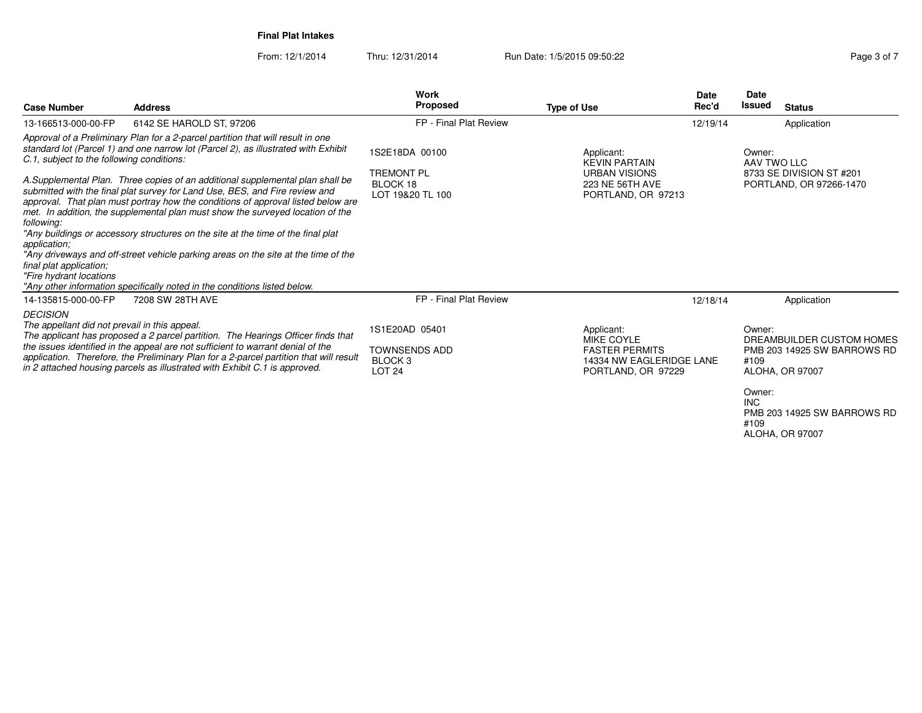**Case Number**

**Address**

From: 12/1/2014Thru: 12/31/2014 Run Date: 1/5/2015 09:50:22 Research 2010 12:31/2014 Page 3 of 7

|                                              | <b>Work</b>            |             | <b>Date</b> | Date   |             |  |
|----------------------------------------------|------------------------|-------------|-------------|--------|-------------|--|
|                                              | <b>Proposed</b>        | Type of Use | Rec'd       | Issued | Status      |  |
| E HAROLD ST. 97206                           | FP - Final Plat Review |             | 12/19/14    |        | Application |  |
| a 2-parcel partition that will result in one |                        |             |             |        |             |  |

| 6142 SE HAROLD ST, 97206<br>13-166513-000-00-FP                                                                                                                                                                                                                                                                                                                                                                                                                                                                                                                        | FP - Final Plat Review                                              |                                                                                                     | 12/19/14 | Application                                                                  |
|------------------------------------------------------------------------------------------------------------------------------------------------------------------------------------------------------------------------------------------------------------------------------------------------------------------------------------------------------------------------------------------------------------------------------------------------------------------------------------------------------------------------------------------------------------------------|---------------------------------------------------------------------|-----------------------------------------------------------------------------------------------------|----------|------------------------------------------------------------------------------|
| Approval of a Preliminary Plan for a 2-parcel partition that will result in one<br>standard lot (Parcel 1) and one narrow lot (Parcel 2), as illustrated with Exhibit<br>C.1, subject to the following conditions:<br>A.Supplemental Plan. Three copies of an additional supplemental plan shall be<br>submitted with the final plat survey for Land Use, BES, and Fire review and<br>approval. That plan must portray how the conditions of approval listed below are<br>met. In addition, the supplemental plan must show the surveyed location of the<br>following: | 1S2E18DA 00100<br><b>TREMONT PL</b><br>BLOCK 18<br>LOT 19&20 TL 100 | Applicant:<br><b>KEVIN PARTAIN</b><br><b>URBAN VISIONS</b><br>223 NE 56TH AVE<br>PORTLAND, OR 97213 |          | Owner:<br>AAV TWO LLC<br>8733 SE DIVISION ST #201<br>PORTLAND, OR 97266-1470 |
| "Any buildings or accessory structures on the site at the time of the final plat<br>application:                                                                                                                                                                                                                                                                                                                                                                                                                                                                       |                                                                     |                                                                                                     |          |                                                                              |
| "Any driveways and off-street vehicle parking areas on the site at the time of the                                                                                                                                                                                                                                                                                                                                                                                                                                                                                     |                                                                     |                                                                                                     |          |                                                                              |
| final plat application;<br>"Fire hydrant locations"                                                                                                                                                                                                                                                                                                                                                                                                                                                                                                                    |                                                                     |                                                                                                     |          |                                                                              |
| "Any other information specifically noted in the conditions listed below.                                                                                                                                                                                                                                                                                                                                                                                                                                                                                              |                                                                     |                                                                                                     |          |                                                                              |
| 14-135815-000-00-FP<br>7208 SW 28TH AVE                                                                                                                                                                                                                                                                                                                                                                                                                                                                                                                                | FP - Final Plat Review                                              |                                                                                                     | 12/18/14 | Application                                                                  |
| <b>DECISION</b><br>The appellant did not prevail in this appeal.<br>The applicant has proposed a 2 parcel partition. The Hearings Officer finds that                                                                                                                                                                                                                                                                                                                                                                                                                   | 1S1E20AD 05401                                                      | Applicant:<br>MIKE COYLE                                                                            |          | Owner:<br>DREAMBUILDER CUSTOM HOMES                                          |
| the issues identified in the appeal are not sufficient to warrant denial of the<br>application. Therefore, the Preliminary Plan for a 2-parcel partition that will result<br>in 2 attached housing parcels as illustrated with Exhibit C.1 is approved.                                                                                                                                                                                                                                                                                                                | TOWNSENDS ADD<br>BLOCK 3<br><b>LOT 24</b>                           | <b>FASTER PERMITS</b><br>14334 NW EAGLERIDGE LANE<br>PORTLAND, OR 97229                             |          | PMB 203 14925 SW BARROWS RD<br>#109<br>ALOHA, OR 97007                       |
|                                                                                                                                                                                                                                                                                                                                                                                                                                                                                                                                                                        |                                                                     |                                                                                                     |          |                                                                              |

Owner:INC PMB 203 14925 SW BARROWS RD#109ALOHA, OR 97007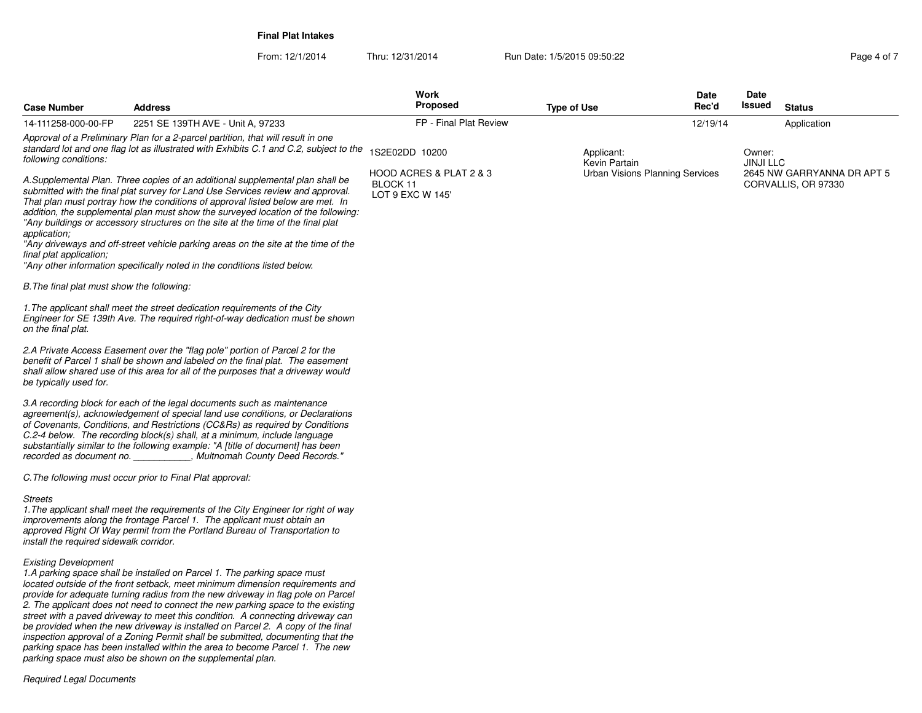From: 12/1/2014Thru: 12/31/2014 Run Date: 1/5/2015 09:50:22 Page 4 of 7

| <b>Case Number</b>                                        | <b>Address</b>                                                                                                                                                                                                                                                                                                                                                                                                                                                                                                                                                                                 | Work<br>Proposed                                        | <b>Type of Use</b>          | Date<br>Rec'd                          | <b>Date</b><br>Issued      | <b>Status</b>                                     |
|-----------------------------------------------------------|------------------------------------------------------------------------------------------------------------------------------------------------------------------------------------------------------------------------------------------------------------------------------------------------------------------------------------------------------------------------------------------------------------------------------------------------------------------------------------------------------------------------------------------------------------------------------------------------|---------------------------------------------------------|-----------------------------|----------------------------------------|----------------------------|---------------------------------------------------|
| 14-111258-000-00-FP                                       | 2251 SE 139TH AVE - Unit A, 97233                                                                                                                                                                                                                                                                                                                                                                                                                                                                                                                                                              | FP - Final Plat Review                                  |                             | 12/19/14                               |                            | Application                                       |
| following conditions:                                     | Approval of a Preliminary Plan for a 2-parcel partition, that will result in one<br>standard lot and one flag lot as illustrated with Exhibits C.1 and C.2, subject to the                                                                                                                                                                                                                                                                                                                                                                                                                     | 1S2E02DD 10200                                          | Applicant:<br>Kevin Partain |                                        | Owner:<br><b>JINJI LLC</b> |                                                   |
| application;<br>final plat application;                   | A.Supplemental Plan. Three copies of an additional supplemental plan shall be<br>submitted with the final plat survey for Land Use Services review and approval.<br>That plan must portray how the conditions of approval listed below are met. In<br>addition, the supplemental plan must show the surveyed location of the following:<br>"Any buildings or accessory structures on the site at the time of the final plat<br>"Any driveways and off-street vehicle parking areas on the site at the time of the<br>"Any other information specifically noted in the conditions listed below. | HOOD ACRES & PLAT 2 & 3<br>BLOCK 11<br>LOT 9 EXC W 145' |                             | <b>Urban Visions Planning Services</b> |                            | 2645 NW GARRYANNA DR APT 5<br>CORVALLIS, OR 97330 |
| B. The final plat must show the following:                |                                                                                                                                                                                                                                                                                                                                                                                                                                                                                                                                                                                                |                                                         |                             |                                        |                            |                                                   |
| on the final plat.                                        | 1. The applicant shall meet the street dedication requirements of the City<br>Engineer for SE 139th Ave. The required right-of-way dedication must be shown                                                                                                                                                                                                                                                                                                                                                                                                                                    |                                                         |                             |                                        |                            |                                                   |
| be typically used for.                                    | 2.A Private Access Easement over the "flag pole" portion of Parcel 2 for the<br>benefit of Parcel 1 shall be shown and labeled on the final plat. The easement<br>shall allow shared use of this area for all of the purposes that a driveway would                                                                                                                                                                                                                                                                                                                                            |                                                         |                             |                                        |                            |                                                   |
|                                                           | 3.A recording block for each of the legal documents such as maintenance<br>agreement(s), acknowledgement of special land use conditions, or Declarations<br>of Covenants, Conditions, and Restrictions (CC&Rs) as required by Conditions<br>$C.2-4$ below. The recording block(s) shall, at a minimum, include language<br>substantially similar to the following example: "A [title of document] has been<br>recorded as document no. The Multnomah County Deed Records."                                                                                                                     |                                                         |                             |                                        |                            |                                                   |
|                                                           | C. The following must occur prior to Final Plat approval:                                                                                                                                                                                                                                                                                                                                                                                                                                                                                                                                      |                                                         |                             |                                        |                            |                                                   |
| <b>Streets</b><br>install the required sidewalk corridor. | 1. The applicant shall meet the requirements of the City Engineer for right of way<br>improvements along the frontage Parcel 1. The applicant must obtain an<br>approved Right Of Way permit from the Portland Bureau of Transportation to                                                                                                                                                                                                                                                                                                                                                     |                                                         |                             |                                        |                            |                                                   |
| <b>Existing Development</b>                               | 1.A parking space shall be installed on Parcel 1. The parking space must<br>located outside of the front setback, meet minimum dimension requirements and<br>provide for adequate turning radius from the new driveway in flag pole on Parcel                                                                                                                                                                                                                                                                                                                                                  |                                                         |                             |                                        |                            |                                                   |

provide for adequate turning radius from the new driveway in flag pole on Parcel<br>2. The applicant does not need to connect the new parking space to the existing<br>street with a paved driveway to meet this condition. A connec *parking space has been installed within the area to become Parcel 1. The newparking space must also be shown on the supplemental plan.*

*Required Legal Documents*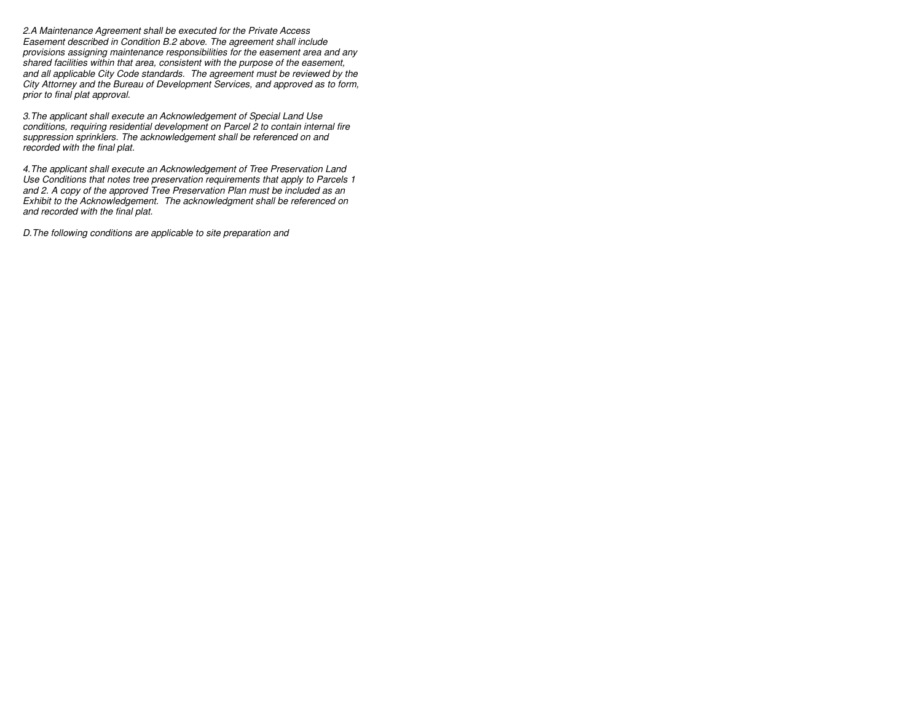*2.A Maintenance Agreement shall be executed for the Private Access Easement described in Condition B.2 above. The agreement shall include provisions assigning maintenance responsibilities for the easement area and anyshared facilities within that area, consistent with the purpose of the easement, and all applicable City Code standards. The agreement must be reviewed by the City Attorney and the Bureau of Development Services, and approved as to form,prior to final plat approval.*

*3.The applicant shall execute an Acknowledgement of Special Land Use conditions, requiring residential development on Parcel 2 to contain internal firesuppression sprinklers. The acknowledgement shall be referenced on andrecorded with the final plat.*

*4.The applicant shall execute an Acknowledgement of Tree Preservation Land Use Conditions that notes tree preservation requirements that apply to Parcels 1and 2. A copy of the approved Tree Preservation Plan must be included as an Exhibit to the Acknowledgement. The acknowledgment shall be referenced onand recorded with the final plat.*

*D.The following conditions are applicable to site preparation and*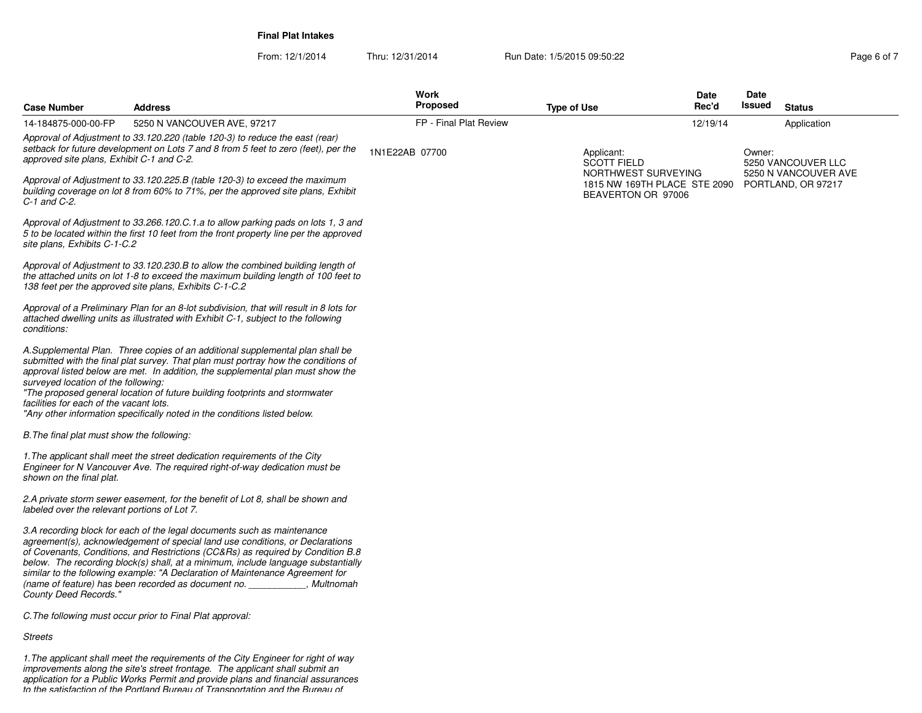From: 12/1/2014Thru: 12/31/2014 Run Date: 1/5/2015 09:50:22 Research 2010 12:31/2014 Page 6 of 7

| Case Number                                                                    | <b>Address</b>                                                                                                                                                                                                                                                                                                                                                                                                                                                                          | Work<br>Proposed       | <b>Type of Use</b>                                      | Date<br>Rec'd | Date<br>Issued | <b>Status</b>                              |
|--------------------------------------------------------------------------------|-----------------------------------------------------------------------------------------------------------------------------------------------------------------------------------------------------------------------------------------------------------------------------------------------------------------------------------------------------------------------------------------------------------------------------------------------------------------------------------------|------------------------|---------------------------------------------------------|---------------|----------------|--------------------------------------------|
| 14-184875-000-00-FP                                                            | 5250 N VANCOUVER AVE, 97217                                                                                                                                                                                                                                                                                                                                                                                                                                                             | FP - Final Plat Review |                                                         | 12/19/14      |                | Application                                |
| approved site plans, Exhibit C-1 and C-2.                                      | Approval of Adjustment to 33.120.220 (table 120-3) to reduce the east (rear)<br>setback for future development on Lots 7 and 8 from 5 feet to zero (feet), per the                                                                                                                                                                                                                                                                                                                      | 1N1E22AB 07700         | Applicant:<br><b>SCOTT FIELD</b><br>NORTHWEST SURVEYING |               | Owner:         | 5250 VANCOUVER LLC<br>5250 N VANCOUVER AVE |
| C-1 and C-2.                                                                   | Approval of Adjustment to 33.120.225.B (table 120-3) to exceed the maximum<br>building coverage on lot 8 from 60% to 71%, per the approved site plans, Exhibit                                                                                                                                                                                                                                                                                                                          |                        | 1815 NW 169TH PLACE STE 2090<br>BEAVERTON OR 97006      |               |                | PORTLAND, OR 97217                         |
| site plans, Exhibits C-1-C.2                                                   | Approval of Adjustment to 33.266.120.C.1.a to allow parking pads on lots 1, 3 and<br>5 to be located within the first 10 feet from the front property line per the approved                                                                                                                                                                                                                                                                                                             |                        |                                                         |               |                |                                            |
|                                                                                | Approval of Adjustment to 33.120.230.B to allow the combined building length of<br>the attached units on lot 1-8 to exceed the maximum building length of 100 feet to<br>138 feet per the approved site plans, Exhibits C-1-C.2                                                                                                                                                                                                                                                         |                        |                                                         |               |                |                                            |
| conditions:                                                                    | Approval of a Preliminary Plan for an 8-lot subdivision, that will result in 8 lots for<br>attached dwelling units as illustrated with Exhibit C-1, subject to the following                                                                                                                                                                                                                                                                                                            |                        |                                                         |               |                |                                            |
| surveyed location of the following:<br>facilities for each of the vacant lots. | A.Supplemental Plan. Three copies of an additional supplemental plan shall be<br>submitted with the final plat survey. That plan must portray how the conditions of<br>approval listed below are met. In addition, the supplemental plan must show the<br>"The proposed general location of future building footprints and stormwater<br>"Any other information specifically noted in the conditions listed below.                                                                      |                        |                                                         |               |                |                                            |
| B. The final plat must show the following:                                     |                                                                                                                                                                                                                                                                                                                                                                                                                                                                                         |                        |                                                         |               |                |                                            |
| shown on the final plat.                                                       | 1. The applicant shall meet the street dedication requirements of the City<br>Engineer for N Vancouver Ave. The required right-of-way dedication must be                                                                                                                                                                                                                                                                                                                                |                        |                                                         |               |                |                                            |
| labeled over the relevant portions of Lot 7.                                   | 2.A private storm sewer easement, for the benefit of Lot 8, shall be shown and                                                                                                                                                                                                                                                                                                                                                                                                          |                        |                                                         |               |                |                                            |
| County Deed Records."                                                          | 3.A recording block for each of the legal documents such as maintenance<br>agreement(s), acknowledgement of special land use conditions, or Declarations<br>of Covenants, Conditions, and Restrictions (CC&Rs) as required by Condition B.8<br>below. The recording block(s) shall, at a minimum, include language substantially<br>similar to the following example: "A Declaration of Maintenance Agreement for<br>(name of feature) has been recorded as document no.<br>, Multnomah |                        |                                                         |               |                |                                            |
|                                                                                | C. The following must occur prior to Final Plat approval:                                                                                                                                                                                                                                                                                                                                                                                                                               |                        |                                                         |               |                |                                            |

*Streets*

1.The applicant shall meet the requirements of the City Engineer for right of way<br>improvements along the site's street frontage. The applicant shall submit an<br>application for a Public Works Permit and provide plans and fin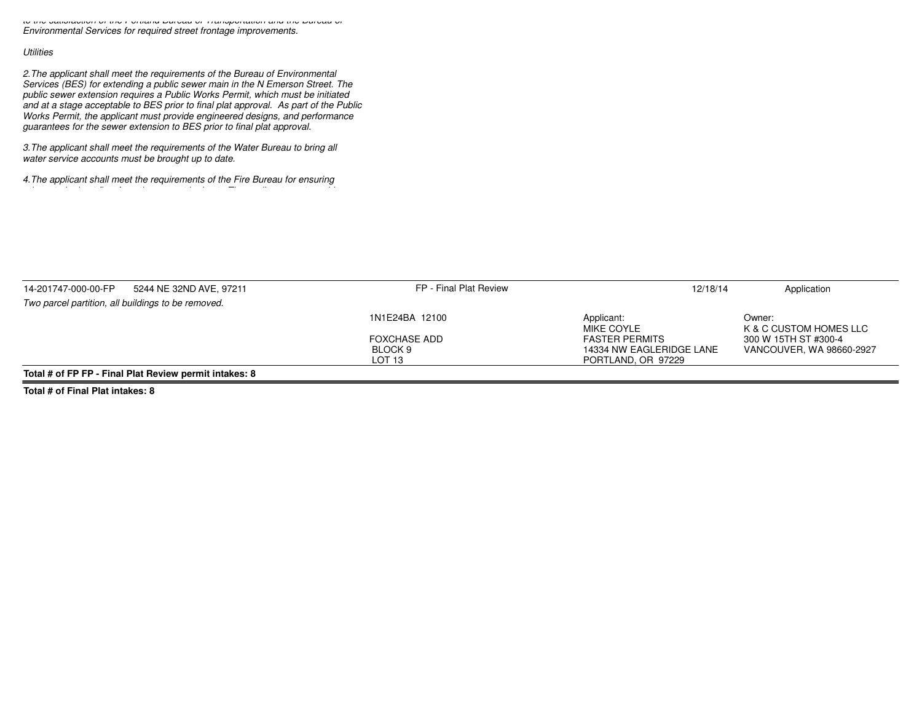*to the satisfaction of the Portland Bureau of Transportation and the Bureau ofEnvironmental Services for required street frontage improvements.*

## *Utilities*

*2.The applicant shall meet the requirements of the Bureau of Environmental Services (BES) for extending a public sewer main in the N Emerson Street. The public sewer extension requires a Public Works Permit, which must be initiated and at a stage acceptable to BES prior to final plat approval. As part of the Public Works Permit, the applicant must provide engineered designs, and performanceguarantees for the sewer extension to BES prior to final plat approval.*

*3.The applicant shall meet the requirements of the Water Bureau to bring allwater service accounts must be brought up to date.*

*4.The applicant shall meet the requirements of the Fire Bureau for ensuringadequate hydrant flow from the nearest hydrant. The applicant must provide*

| 14-201747-000-00-FP | 5244 NE 32ND AVE, 97211                                | FP - Final Plat Review | 12/18/14                 | Application                      |
|---------------------|--------------------------------------------------------|------------------------|--------------------------|----------------------------------|
|                     | Two parcel partition, all buildings to be removed.     |                        |                          |                                  |
|                     |                                                        | 1N1E24BA 12100         | Applicant:<br>MIKE COYLE | Owner:<br>K & C CUSTOM HOMES LLC |
|                     |                                                        | <b>FOXCHASE ADD</b>    | <b>FASTER PERMITS</b>    | 300 W 15TH ST #300-4             |
|                     |                                                        | BLOCK 9                | 14334 NW EAGLERIDGE LANE | VANCOUVER, WA 98660-2927         |
|                     |                                                        | LOT 13                 | PORTLAND, OR 97229       |                                  |
|                     | Total # of FP FP - Final Plat Review permit intakes: 8 |                        |                          |                                  |

**Total # of Final Plat intakes: 8**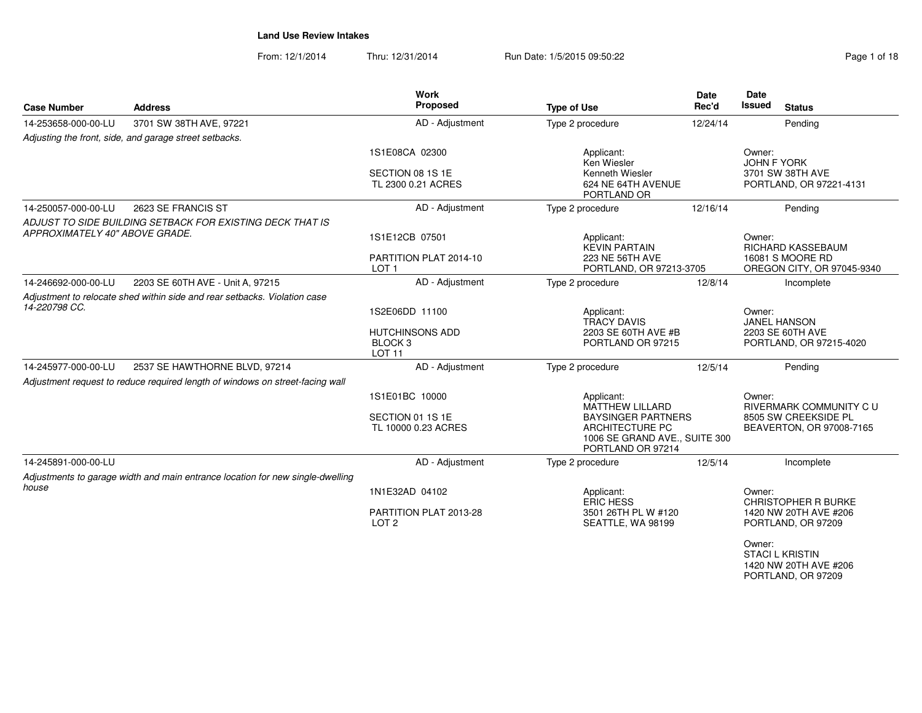From: 12/1/2014Thru: 12/31/2014 Run Date: 1/5/2015 09:50:22 Register 1/5/2015 09:50:22

| Page 1 of 18 |  |  |
|--------------|--|--|
|              |  |  |

| <b>Case Number</b>             | <b>Address</b>                                                                 | <b>Work</b><br>Proposed                                  | <b>Type of Use</b>                                                                                 | <b>Date</b><br>Rec'd | <b>Date</b><br><b>Issued</b><br><b>Status</b>                       |
|--------------------------------|--------------------------------------------------------------------------------|----------------------------------------------------------|----------------------------------------------------------------------------------------------------|----------------------|---------------------------------------------------------------------|
| 14-253658-000-00-LU            | 3701 SW 38TH AVE, 97221                                                        | AD - Adjustment                                          | Type 2 procedure                                                                                   | 12/24/14             | Pending                                                             |
|                                | Adjusting the front, side, and garage street setbacks.                         |                                                          |                                                                                                    |                      |                                                                     |
|                                |                                                                                | 1S1E08CA 02300                                           | Applicant:<br>Ken Wiesler                                                                          |                      | Owner:<br><b>JOHN F YORK</b>                                        |
|                                |                                                                                | SECTION 08 1S 1E<br>TL 2300 0.21 ACRES                   | Kenneth Wiesler<br>624 NE 64TH AVENUE<br>PORTLAND OR                                               |                      | 3701 SW 38TH AVE<br>PORTLAND, OR 97221-4131                         |
| 14-250057-000-00-LU            | 2623 SE FRANCIS ST                                                             | AD - Adjustment                                          | Type 2 procedure                                                                                   | 12/16/14             | Pending                                                             |
| APPROXIMATELY 40" ABOVE GRADE. | ADJUST TO SIDE BUILDING SETBACK FOR EXISTING DECK THAT IS                      | 1S1E12CB 07501                                           | Applicant:                                                                                         |                      | Owner:                                                              |
|                                |                                                                                | PARTITION PLAT 2014-10<br>LOT <sub>1</sub>               | <b>KEVIN PARTAIN</b><br>223 NE 56TH AVE<br>PORTLAND, OR 97213-3705                                 |                      | RICHARD KASSEBAUM<br>16081 S MOORE RD<br>OREGON CITY, OR 97045-9340 |
| 14-246692-000-00-LU            | 2203 SE 60TH AVE - Unit A, 97215                                               | AD - Adjustment                                          | Type 2 procedure                                                                                   | 12/8/14              | Incomplete                                                          |
|                                | Adjustment to relocate shed within side and rear setbacks. Violation case      |                                                          |                                                                                                    |                      |                                                                     |
| 14-220798 CC.                  |                                                                                | 1S2E06DD 11100                                           | Applicant:<br><b>TRACY DAVIS</b>                                                                   |                      | Owner:<br><b>JANEL HANSON</b>                                       |
|                                |                                                                                | <b>HUTCHINSONS ADD</b><br><b>BLOCK3</b><br><b>LOT 11</b> | 2203 SE 60TH AVE #B<br>PORTLAND OR 97215                                                           |                      | 2203 SE 60TH AVE<br>PORTLAND, OR 97215-4020                         |
| 14-245977-000-00-LU            | 2537 SE HAWTHORNE BLVD, 97214                                                  | AD - Adjustment                                          | Type 2 procedure                                                                                   | 12/5/14              | Pending                                                             |
|                                | Adjustment request to reduce required length of windows on street-facing wall  |                                                          |                                                                                                    |                      |                                                                     |
|                                |                                                                                | 1S1E01BC 10000                                           | Applicant:<br><b>MATTHEW LILLARD</b>                                                               |                      | Owner:<br><b>RIVERMARK COMMUNITY C U</b>                            |
|                                |                                                                                | SECTION 01 1S 1E<br>TL 10000 0.23 ACRES                  | <b>BAYSINGER PARTNERS</b><br>ARCHITECTURE PC<br>1006 SE GRAND AVE., SUITE 300<br>PORTLAND OR 97214 |                      | 8505 SW CREEKSIDE PL<br>BEAVERTON, OR 97008-7165                    |
| 14-245891-000-00-LU            |                                                                                | AD - Adjustment                                          | Type 2 procedure                                                                                   | 12/5/14              | Incomplete                                                          |
|                                | Adjustments to garage width and main entrance location for new single-dwelling |                                                          |                                                                                                    |                      |                                                                     |
| house                          |                                                                                | 1N1E32AD 04102                                           | Applicant:<br><b>ERIC HESS</b>                                                                     |                      | Owner:<br><b>CHRISTOPHER R BURKE</b>                                |
|                                |                                                                                | PARTITION PLAT 2013-28<br>LOT <sub>2</sub>               | 3501 26TH PL W #120<br>SEATTLE, WA 98199                                                           |                      | 1420 NW 20TH AVE #206<br>PORTLAND, OR 97209                         |
|                                |                                                                                |                                                          |                                                                                                    |                      | Owner:<br><b>STACI L KRISTIN</b><br>$1400$ NBM $20T11$ AVIT $H$ 000 |

 1420 NW 20TH AVE #206PORTLAND, OR 97209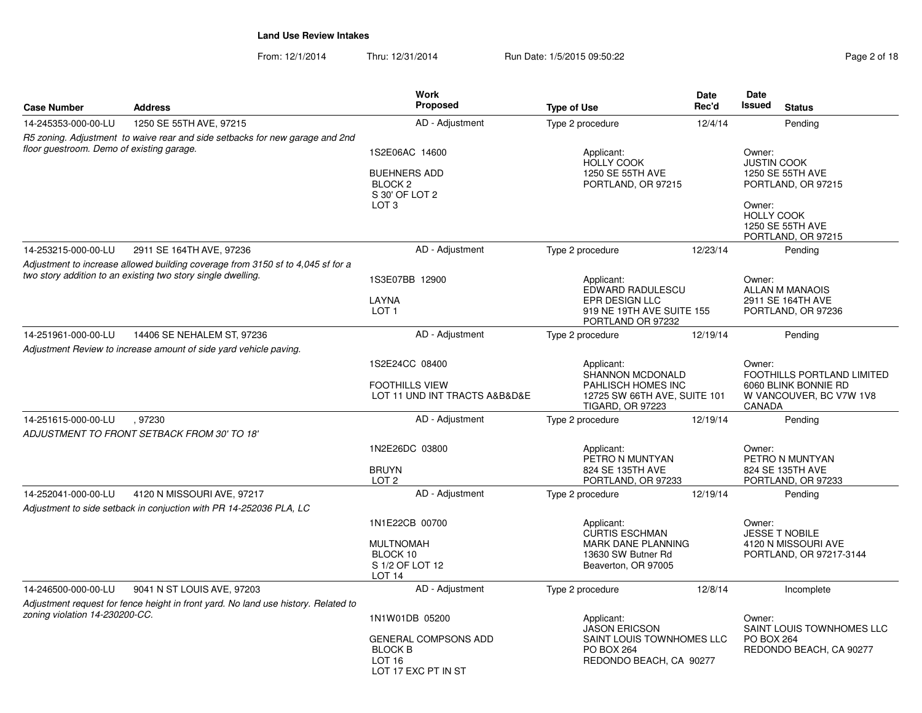From: 12/1/2014Thru: 12/31/2014 Run Date: 1/5/2015 09:50:22 Page 2 of 18

| <b>Case Number</b>                        | <b>Address</b>                                                                     | Work<br><b>Proposed</b>                                                                   | <b>Type of Use</b>                                                                              | <b>Date</b><br>Rec'd                                      | Date<br>Issued                                                                          | <b>Status</b>                                  |  |                                         |
|-------------------------------------------|------------------------------------------------------------------------------------|-------------------------------------------------------------------------------------------|-------------------------------------------------------------------------------------------------|-----------------------------------------------------------|-----------------------------------------------------------------------------------------|------------------------------------------------|--|-----------------------------------------|
| 14-245353-000-00-LU                       | 1250 SE 55TH AVE, 97215                                                            | AD - Adjustment                                                                           | Type 2 procedure                                                                                | 12/4/14                                                   |                                                                                         | Pending                                        |  |                                         |
|                                           | R5 zoning. Adjustment to waive rear and side setbacks for new garage and 2nd       |                                                                                           |                                                                                                 |                                                           |                                                                                         |                                                |  |                                         |
| floor questroom. Demo of existing garage. |                                                                                    | 1S2E06AC 14600                                                                            | Applicant:<br><b>HOLLY COOK</b>                                                                 |                                                           | Owner:<br><b>JUSTIN COOK</b>                                                            |                                                |  |                                         |
|                                           |                                                                                    | <b>BUEHNERS ADD</b><br>BLOCK <sub>2</sub><br>S 30' OF LOT 2                               | 1250 SE 55TH AVE<br>PORTLAND, OR 97215                                                          |                                                           |                                                                                         | 1250 SE 55TH AVE<br>PORTLAND, OR 97215         |  |                                         |
|                                           |                                                                                    | LOT <sub>3</sub>                                                                          |                                                                                                 |                                                           | Owner:<br><b>HOLLY COOK</b>                                                             | 1250 SE 55TH AVE<br>PORTLAND, OR 97215         |  |                                         |
| 14-253215-000-00-LU                       | 2911 SE 164TH AVE, 97236                                                           | AD - Adjustment                                                                           | Type 2 procedure                                                                                | 12/23/14                                                  |                                                                                         | Pending                                        |  |                                         |
|                                           | Adjustment to increase allowed building coverage from 3150 sf to 4,045 sf for a    |                                                                                           |                                                                                                 |                                                           |                                                                                         |                                                |  |                                         |
|                                           | two story addition to an existing two story single dwelling.                       | 1S3E07BB 12900                                                                            | Applicant:<br>EDWARD RADULESCU                                                                  |                                                           | Owner:                                                                                  | ALLAN M MANAOIS                                |  |                                         |
|                                           |                                                                                    | LAYNA<br>LOT <sub>1</sub>                                                                 | EPR DESIGN LLC<br>919 NE 19TH AVE SUITE 155<br>PORTLAND OR 97232                                |                                                           |                                                                                         |                                                |  | 2911 SE 164TH AVE<br>PORTLAND, OR 97236 |
| 14-251961-000-00-LU                       | 14406 SE NEHALEM ST, 97236                                                         | AD - Adjustment                                                                           | Type 2 procedure                                                                                | 12/19/14                                                  |                                                                                         | Pending                                        |  |                                         |
|                                           | Adjustment Review to increase amount of side yard vehicle paving.                  |                                                                                           |                                                                                                 |                                                           |                                                                                         |                                                |  |                                         |
|                                           |                                                                                    | 1S2E24CC 08400<br><b>FOOTHILLS VIEW</b><br>LOT 11 UND INT TRACTS A&B&D&E                  | Applicant:<br>SHANNON MCDONALD<br>PAHLISCH HOMES INC<br>12725 SW 66TH AVE, SUITE 101            |                                                           | Owner:<br>FOOTHILLS PORTLAND LIMITED<br>6060 BLINK BONNIE RD<br>W VANCOUVER, BC V7W 1V8 |                                                |  |                                         |
| 14-251615-000-00-LU                       | .97230                                                                             | AD - Adjustment                                                                           | <b>TIGARD, OR 97223</b><br>Type 2 procedure                                                     | 12/19/14                                                  | CANADA                                                                                  | Pending                                        |  |                                         |
|                                           | ADJUSTMENT TO FRONT SETBACK FROM 30' TO 18'                                        |                                                                                           |                                                                                                 |                                                           |                                                                                         |                                                |  |                                         |
|                                           |                                                                                    | 1N2E26DC 03800                                                                            | Applicant:                                                                                      |                                                           | Owner:                                                                                  |                                                |  |                                         |
|                                           |                                                                                    | <b>BRUYN</b><br>LOT <sub>2</sub>                                                          | PETRO N MUNTYAN<br>824 SE 135TH AVE<br>PORTLAND, OR 97233                                       | PETRO N MUNTYAN<br>824 SE 135TH AVE<br>PORTLAND, OR 97233 |                                                                                         |                                                |  |                                         |
| 14-252041-000-00-LU                       | 4120 N MISSOURI AVE, 97217                                                         | AD - Adjustment                                                                           | Type 2 procedure                                                                                | 12/19/14                                                  |                                                                                         | Pending                                        |  |                                         |
|                                           | Adjustment to side setback in conjuction with PR 14-252036 PLA, LC                 |                                                                                           |                                                                                                 |                                                           |                                                                                         |                                                |  |                                         |
|                                           |                                                                                    | 1N1E22CB 00700                                                                            | Applicant:                                                                                      |                                                           | Owner:                                                                                  | <b>JESSE T NOBILE</b>                          |  |                                         |
|                                           |                                                                                    | <b>MULTNOMAH</b><br>BLOCK 10<br>S 1/2 OF LOT 12<br>LOT <sub>14</sub>                      | <b>CURTIS ESCHMAN</b><br><b>MARK DANE PLANNING</b><br>13630 SW Butner Rd<br>Beaverton, OR 97005 |                                                           |                                                                                         | 4120 N MISSOURI AVE<br>PORTLAND, OR 97217-3144 |  |                                         |
| 14-246500-000-00-LU                       | 9041 N ST LOUIS AVE, 97203                                                         | AD - Adjustment                                                                           | Type 2 procedure                                                                                | 12/8/14                                                   |                                                                                         | Incomplete                                     |  |                                         |
|                                           | Adjustment request for fence height in front yard. No land use history. Related to |                                                                                           |                                                                                                 |                                                           |                                                                                         |                                                |  |                                         |
| zoning violation 14-230200-CC.            |                                                                                    | 1N1W01DB 05200                                                                            | Applicant:<br><b>JASON ERICSON</b>                                                              |                                                           | Owner:                                                                                  | SAINT LOUIS TOWNHOMES LLC                      |  |                                         |
|                                           |                                                                                    | <b>GENERAL COMPSONS ADD</b><br><b>BLOCK B</b><br>LOT <sub>16</sub><br>LOT 17 EXC PT IN ST | SAINT LOUIS TOWNHOMES LLC<br><b>PO BOX 264</b><br>REDONDO BEACH, CA 90277                       |                                                           | <b>PO BOX 264</b>                                                                       | REDONDO BEACH, CA 90277                        |  |                                         |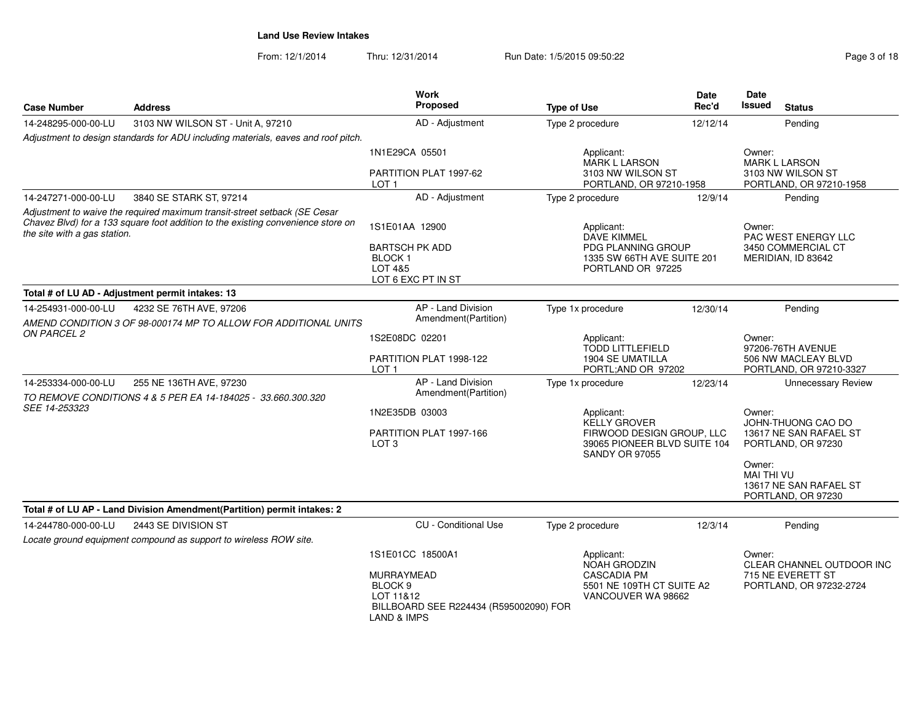From: 12/1/2014Thru: 12/31/2014 Run Date: 1/5/2015 09:50:22 Page 3 of 18

| е      | <b>Date</b><br>Rec'd | Date<br><b>Issued</b> | <b>Status</b> | . . |
|--------|----------------------|-----------------------|---------------|-----|
| cedure | 12/12/14             |                       | Pending       |     |

| <b>Case Number</b>           | <b>Address</b>                                                                                                                                                | Work<br><b>Proposed</b>                                                                                           | <b>Type of Use</b>                                                                                               | Date<br>Rec'd                                                                | Date<br>Issued                 | <b>Status</b>                                  |
|------------------------------|---------------------------------------------------------------------------------------------------------------------------------------------------------------|-------------------------------------------------------------------------------------------------------------------|------------------------------------------------------------------------------------------------------------------|------------------------------------------------------------------------------|--------------------------------|------------------------------------------------|
| 14-248295-000-00-LU          | 3103 NW WILSON ST - Unit A, 97210                                                                                                                             | AD - Adjustment                                                                                                   | Type 2 procedure                                                                                                 | 12/12/14                                                                     |                                | Pending                                        |
|                              | Adjustment to design standards for ADU including materials, eaves and roof pitch.                                                                             |                                                                                                                   |                                                                                                                  |                                                                              |                                |                                                |
|                              |                                                                                                                                                               | 1N1E29CA 05501                                                                                                    | Applicant:<br><b>MARK L LARSON</b>                                                                               |                                                                              | Owner:<br><b>MARK L LARSON</b> |                                                |
|                              |                                                                                                                                                               | PARTITION PLAT 1997-62<br>LOT <sub>1</sub>                                                                        | 3103 NW WILSON ST<br>PORTLAND, OR 97210-1958                                                                     |                                                                              |                                | 3103 NW WILSON ST<br>PORTLAND, OR 97210-1958   |
| 14-247271-000-00-LU          | 3840 SE STARK ST, 97214                                                                                                                                       | AD - Adjustment                                                                                                   | Type 2 procedure                                                                                                 | 12/9/14                                                                      |                                | Pending                                        |
| the site with a gas station. | Adjustment to waive the required maximum transit-street setback (SE Cesar<br>Chavez Blvd) for a 133 square foot addition to the existing convenience store on | 1S1E01AA 12900                                                                                                    | Applicant:<br>DAVE KIMMEL                                                                                        |                                                                              | Owner:                         | <b>PAC WEST ENERGY LLC</b>                     |
|                              |                                                                                                                                                               | <b>BARTSCH PK ADD</b><br>BLOCK 1<br>LOT 4&5<br>LOT 6 EXC PT IN ST                                                 |                                                                                                                  | <b>PDG PLANNING GROUP</b><br>1335 SW 66TH AVE SUITE 201<br>PORTLAND OR 97225 |                                | 3450 COMMERCIAL CT<br>MERIDIAN, ID 83642       |
|                              | Total # of LU AD - Adjustment permit intakes: 13                                                                                                              |                                                                                                                   |                                                                                                                  |                                                                              |                                |                                                |
| 14-254931-000-00-LU          | 4232 SE 76TH AVE, 97206<br>AMEND CONDITION 3 OF 98-000174 MP TO ALLOW FOR ADDITIONAL UNITS                                                                    | AP - Land Division<br>Amendment(Partition)                                                                        | Type 1x procedure                                                                                                | 12/30/14                                                                     |                                | Pending                                        |
| ON PARCEL 2                  |                                                                                                                                                               | 1S2E08DC 02201                                                                                                    | Applicant:<br><b>TODD LITTLEFIELD</b>                                                                            |                                                                              | Owner:<br>97206-76TH AVENUE    |                                                |
|                              |                                                                                                                                                               | PARTITION PLAT 1998-122<br>LOT <sub>1</sub>                                                                       | 1904 SE UMATILLA<br>PORTL;AND OR 97202                                                                           |                                                                              |                                | 506 NW MACLEAY BLVD<br>PORTLAND, OR 97210-3327 |
| 14-253334-000-00-LU          | 255 NE 136TH AVE, 97230<br>TO REMOVE CONDITIONS 4 & 5 PER EA 14-184025 - 33.660.300.320                                                                       | AP - Land Division<br>Amendment(Partition)                                                                        | Type 1x procedure                                                                                                | 12/23/14                                                                     |                                | <b>Unnecessary Review</b>                      |
| SEE 14-253323                |                                                                                                                                                               | 1N2E35DB 03003                                                                                                    | Applicant:<br>KELLY GROVER<br>FIRWOOD DESIGN GROUP, LLC<br>39065 PIONEER BLVD SUITE 104<br><b>SANDY OR 97055</b> |                                                                              | Owner:<br>JOHN-THUONG CAO DO   |                                                |
|                              |                                                                                                                                                               | PARTITION PLAT 1997-166<br>LOT <sub>3</sub>                                                                       |                                                                                                                  |                                                                              |                                | 13617 NE SAN RAFAEL ST<br>PORTLAND, OR 97230   |
|                              |                                                                                                                                                               |                                                                                                                   |                                                                                                                  |                                                                              | Owner:<br><b>MAI THI VU</b>    | 13617 NE SAN RAFAEL ST<br>PORTLAND, OR 97230   |
|                              | Total # of LU AP - Land Division Amendment(Partition) permit intakes: 2                                                                                       |                                                                                                                   |                                                                                                                  |                                                                              |                                |                                                |
| 14-244780-000-00-LU          | 2443 SE DIVISION ST                                                                                                                                           | <b>CU</b> - Conditional Use                                                                                       | Type 2 procedure                                                                                                 | 12/3/14                                                                      |                                | Pending                                        |
|                              | Locate ground equipment compound as support to wireless ROW site.                                                                                             |                                                                                                                   |                                                                                                                  |                                                                              |                                |                                                |
|                              |                                                                                                                                                               | 1S1E01CC 18500A1                                                                                                  | Applicant:<br><b>NOAH GRODZIN</b>                                                                                |                                                                              | Owner:                         | CLEAR CHANNEL OUTDOOR INC                      |
|                              |                                                                                                                                                               | MURRAYMEAD<br>BLOCK <sub>9</sub><br>LOT 11&12<br>BILLBOARD SEE R224434 (R595002090) FOR<br><b>LAND &amp; IMPS</b> | <b>CASCADIA PM</b><br>5501 NE 109TH CT SUITE A2<br>VANCOUVER WA 98662                                            |                                                                              |                                | 715 NE EVERETT ST<br>PORTLAND, OR 97232-2724   |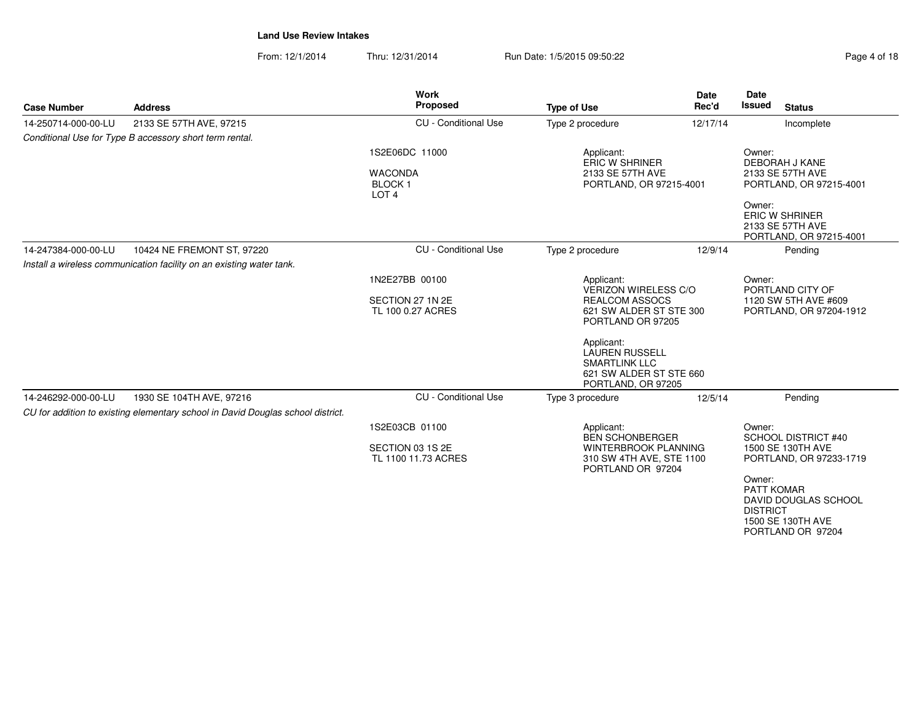From: 12/1/2014Thru: 12/31/2014 Run Date: 1/5/2015 09:50:22 Page 4 of 18

**Work** 

| <b>Case Number</b>  | <b>Address</b>                                                                  | Proposed                                                              | <b>Type of Use</b>                                                                                           | <br>Rec'd                                                                                            | Issued                                         | <b>Status</b>                                                        |
|---------------------|---------------------------------------------------------------------------------|-----------------------------------------------------------------------|--------------------------------------------------------------------------------------------------------------|------------------------------------------------------------------------------------------------------|------------------------------------------------|----------------------------------------------------------------------|
| 14-250714-000-00-LU | 2133 SE 57TH AVE, 97215                                                         | <b>CU</b> - Conditional Use                                           | Type 2 procedure                                                                                             | 12/17/14                                                                                             |                                                | Incomplete                                                           |
|                     | Conditional Use for Type B accessory short term rental.                         |                                                                       |                                                                                                              |                                                                                                      |                                                |                                                                      |
|                     |                                                                                 | 1S2E06DC 11000<br><b>WACONDA</b><br><b>BLOCK1</b><br>LOT <sub>4</sub> | Applicant:<br><b>ERIC W SHRINER</b><br>2133 SE 57TH AVE<br>PORTLAND, OR 97215-4001                           |                                                                                                      | Owner:                                         | <b>DEBORAH J KANE</b><br>2133 SE 57TH AVE<br>PORTLAND, OR 97215-4001 |
|                     |                                                                                 |                                                                       |                                                                                                              |                                                                                                      | Owner:                                         | <b>ERIC W SHRINER</b><br>2133 SE 57TH AVE<br>PORTLAND, OR 97215-4001 |
| 14-247384-000-00-LU | 10424 NE FREMONT ST, 97220                                                      | <b>CU</b> - Conditional Use                                           | Type 2 procedure                                                                                             | 12/9/14                                                                                              |                                                | Pending                                                              |
|                     | Install a wireless communication facility on an existing water tank.            |                                                                       |                                                                                                              |                                                                                                      |                                                |                                                                      |
|                     |                                                                                 | 1N2E27BB 00100                                                        | Applicant:                                                                                                   | <b>VERIZON WIRELESS C/O</b><br><b>REALCOM ASSOCS</b><br>621 SW ALDER ST STE 300<br>PORTLAND OR 97205 |                                                | PORTLAND CITY OF                                                     |
|                     |                                                                                 | SECTION 27 1N 2E<br>TL 100 0.27 ACRES                                 |                                                                                                              |                                                                                                      |                                                | 1120 SW 5TH AVE #609<br>PORTLAND, OR 97204-1912                      |
|                     |                                                                                 |                                                                       | Applicant:<br><b>LAUREN RUSSELL</b><br><b>SMARTLINK LLC</b><br>621 SW ALDER ST STE 660<br>PORTLAND, OR 97205 |                                                                                                      |                                                |                                                                      |
| 14-246292-000-00-LU | 1930 SE 104TH AVE, 97216                                                        | <b>CU</b> - Conditional Use                                           | Type 3 procedure                                                                                             | 12/5/14                                                                                              |                                                | Pending                                                              |
|                     | CU for addition to existing elementary school in David Douglas school district. |                                                                       |                                                                                                              |                                                                                                      |                                                |                                                                      |
|                     |                                                                                 | 1S2E03CB 01100                                                        | Applicant:<br><b>BEN SCHONBERGER</b>                                                                         |                                                                                                      | Owner:                                         | <b>SCHOOL DISTRICT #40</b>                                           |
|                     |                                                                                 | SECTION 03 1S 2E<br>TL 1100 11.73 ACRES                               | PORTLAND OR 97204                                                                                            | <b>WINTERBROOK PLANNING</b><br>310 SW 4TH AVE, STE 1100                                              |                                                | 1500 SE 130TH AVE<br>PORTLAND, OR 97233-1719                         |
|                     |                                                                                 |                                                                       |                                                                                                              |                                                                                                      | Owner:<br><b>PATT KOMAR</b><br><b>DISTRICT</b> | DAVID DOUGLAS SCHOOL                                                 |

**Date**

**Date**

 1500 SE 130TH AVEPORTLAND OR 97204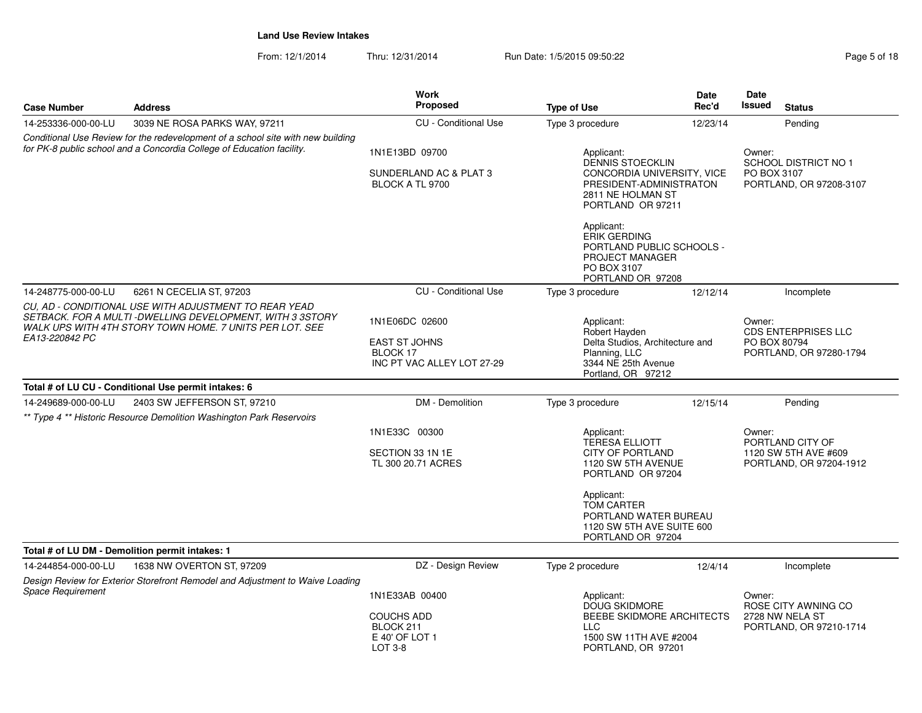From: 12/1/2014Thru: 12/31/2014 Run Date: 1/5/2015 09:50:22 Page 5 of 18

| <b>Case Number</b>                                                                                                                                       | <b>Address</b>                                                                                                                                                                | <b>Work</b><br>Proposed                                        | <b>Type of Use</b>                                                                                                                       | <b>Date</b><br>Rec'd            | <b>Date</b><br><b>Issued</b>                                                    | <b>Status</b>                                   |  |
|----------------------------------------------------------------------------------------------------------------------------------------------------------|-------------------------------------------------------------------------------------------------------------------------------------------------------------------------------|----------------------------------------------------------------|------------------------------------------------------------------------------------------------------------------------------------------|---------------------------------|---------------------------------------------------------------------------------|-------------------------------------------------|--|
| 14-253336-000-00-LU                                                                                                                                      | 3039 NE ROSA PARKS WAY, 97211                                                                                                                                                 | CU - Conditional Use                                           | Type 3 procedure                                                                                                                         | 12/23/14                        |                                                                                 | Pending                                         |  |
| Conditional Use Review for the redevelopment of a school site with new building<br>for PK-8 public school and a Concordia College of Education facility. |                                                                                                                                                                               | 1N1E13BD 09700<br>SUNDERLAND AC & PLAT 3<br>BLOCK A TL 9700    | Applicant:<br><b>DENNIS STOECKLIN</b><br>CONCORDIA UNIVERSITY, VICE<br>PRESIDENT-ADMINISTRATON<br>2811 NE HOLMAN ST<br>PORTLAND OR 97211 |                                 | Owner:<br><b>SCHOOL DISTRICT NO 1</b><br>PO BOX 3107<br>PORTLAND, OR 97208-3107 |                                                 |  |
|                                                                                                                                                          |                                                                                                                                                                               |                                                                | Applicant:<br><b>ERIK GERDING</b><br>PORTLAND PUBLIC SCHOOLS -<br>PROJECT MANAGER<br>PO BOX 3107<br>PORTLAND OR 97208                    |                                 |                                                                                 |                                                 |  |
| 14-248775-000-00-LU                                                                                                                                      | 6261 N CECELIA ST, 97203                                                                                                                                                      | <b>CU</b> - Conditional Use                                    | Type 3 procedure                                                                                                                         | 12/12/14                        |                                                                                 | Incomplete                                      |  |
|                                                                                                                                                          | CU. AD - CONDITIONAL USE WITH ADJUSTMENT TO REAR YEAD<br>SETBACK. FOR A MULTI -DWELLING DEVELOPMENT, WITH 3 3STORY<br>WALK UPS WITH 4TH STORY TOWN HOME. 7 UNITS PER LOT. SEE | 1N1E06DC 02600                                                 | Applicant:<br>Robert Hayden                                                                                                              |                                 | Owner:<br><b>CDS ENTERPRISES LLC</b>                                            |                                                 |  |
| EA13-220842 PC                                                                                                                                           |                                                                                                                                                                               | <b>EAST ST JOHNS</b><br>BLOCK 17<br>INC PT VAC ALLEY LOT 27-29 | Planning, LLC<br>3344 NE 25th Avenue<br>Portland, OR 97212                                                                               | Delta Studios, Architecture and |                                                                                 | PO BOX 80794<br>PORTLAND, OR 97280-1794         |  |
|                                                                                                                                                          | Total # of LU CU - Conditional Use permit intakes: 6                                                                                                                          |                                                                |                                                                                                                                          |                                 |                                                                                 |                                                 |  |
| 14-249689-000-00-LU                                                                                                                                      | 2403 SW JEFFERSON ST, 97210                                                                                                                                                   | DM - Demolition                                                | Type 3 procedure                                                                                                                         | 12/15/14                        |                                                                                 | Pending                                         |  |
|                                                                                                                                                          | ** Type 4 ** Historic Resource Demolition Washington Park Reservoirs                                                                                                          |                                                                |                                                                                                                                          |                                 |                                                                                 |                                                 |  |
|                                                                                                                                                          |                                                                                                                                                                               | 1N1E33C 00300                                                  | Applicant:<br><b>TERESA ELLIOTT</b>                                                                                                      |                                 |                                                                                 | PORTLAND CITY OF                                |  |
|                                                                                                                                                          |                                                                                                                                                                               | SECTION 33 1N 1E<br>TL 300 20.71 ACRES                         | <b>CITY OF PORTLAND</b><br>1120 SW 5TH AVENUE<br>PORTLAND OR 97204                                                                       |                                 |                                                                                 | 1120 SW 5TH AVE #609<br>PORTLAND, OR 97204-1912 |  |
|                                                                                                                                                          |                                                                                                                                                                               |                                                                | Applicant:<br>TOM CARTER<br>PORTLAND WATER BUREAU<br>1120 SW 5TH AVE SUITE 600<br>PORTLAND OR 97204                                      |                                 |                                                                                 |                                                 |  |
| Total # of LU DM - Demolition permit intakes: 1                                                                                                          |                                                                                                                                                                               |                                                                |                                                                                                                                          |                                 |                                                                                 |                                                 |  |
| 14-244854-000-00-LU                                                                                                                                      | 1638 NW OVERTON ST, 97209                                                                                                                                                     | DZ - Design Review                                             | Type 2 procedure                                                                                                                         | 12/4/14                         |                                                                                 | Incomplete                                      |  |
|                                                                                                                                                          | Design Review for Exterior Storefront Remodel and Adjustment to Waive Loading                                                                                                 |                                                                |                                                                                                                                          |                                 |                                                                                 |                                                 |  |
| <b>Space Requirement</b>                                                                                                                                 |                                                                                                                                                                               | 1N1E33AB 00400                                                 | Applicant:<br><b>DOUG SKIDMORE</b>                                                                                                       |                                 | Owner:                                                                          | ROSE CITY AWNING CO                             |  |
|                                                                                                                                                          |                                                                                                                                                                               | <b>COUCHS ADD</b><br>BLOCK 211<br>E 40' OF LOT 1<br>LOT 3-8    | BEEBE SKIDMORE ARCHITECTS<br><b>LLC</b><br>1500 SW 11TH AVE #2004<br>PORTLAND, OR 97201                                                  |                                 |                                                                                 | 2728 NW NELA ST<br>PORTLAND, OR 97210-1714      |  |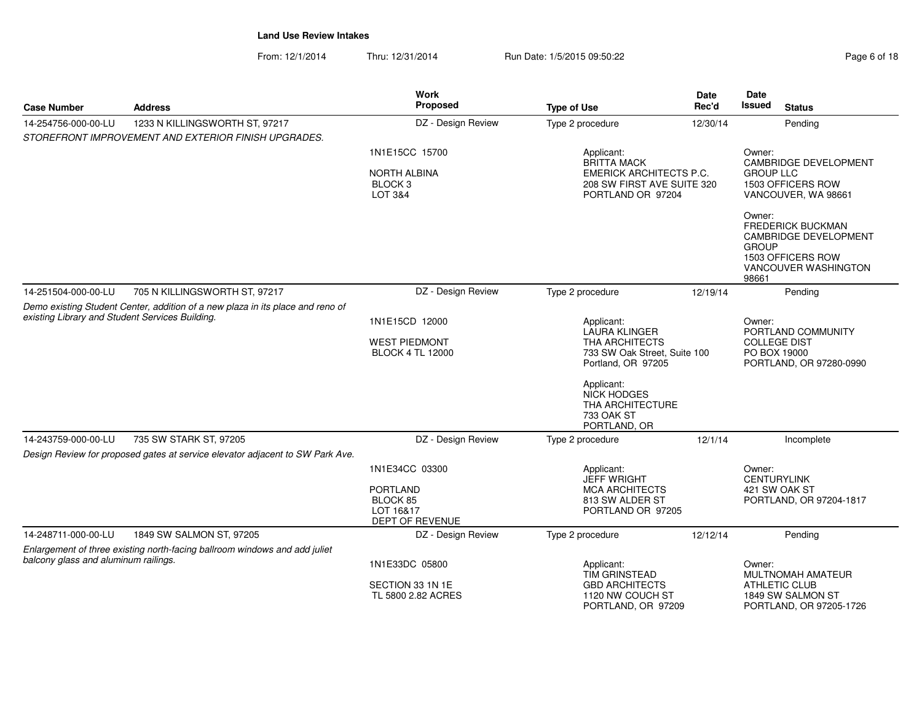From: 12/1/2014Thru: 12/31/2014 Run Date: 1/5/2015 09:50:22 Page 6 of 18

| <b>Case Number</b>                                                                                                                | <b>Address</b>                                                                | <b>Work</b><br>Proposed                                                       | <b>Type of Use</b>                                                                                                       | Date<br>Rec'd | <b>Date</b><br><b>Issued</b>                                             | <b>Status</b>                                                                                                         |
|-----------------------------------------------------------------------------------------------------------------------------------|-------------------------------------------------------------------------------|-------------------------------------------------------------------------------|--------------------------------------------------------------------------------------------------------------------------|---------------|--------------------------------------------------------------------------|-----------------------------------------------------------------------------------------------------------------------|
| 14-254756-000-00-LU                                                                                                               | 1233 N KILLINGSWORTH ST, 97217                                                | DZ - Design Review                                                            | Type 2 procedure                                                                                                         | 12/30/14      |                                                                          | Pending                                                                                                               |
|                                                                                                                                   | STOREFRONT IMPROVEMENT AND EXTERIOR FINISH UPGRADES.                          |                                                                               |                                                                                                                          |               |                                                                          |                                                                                                                       |
|                                                                                                                                   |                                                                               | 1N1E15CC 15700<br><b>NORTH ALBINA</b><br>BLOCK <sub>3</sub>                   | Applicant:<br><b>BRITTA MACK</b><br><b>EMERICK ARCHITECTS P.C.</b><br>208 SW FIRST AVE SUITE 320                         |               | Owner:<br>CAMBRIDGE DEVELOPMENT<br><b>GROUP LLC</b><br>1503 OFFICERS ROW |                                                                                                                       |
|                                                                                                                                   |                                                                               | LOT 3&4                                                                       | PORTLAND OR 97204                                                                                                        |               | Owner:<br><b>GROUP</b><br>98661                                          | VANCOUVER, WA 98661<br><b>FREDERICK BUCKMAN</b><br>CAMBRIDGE DEVELOPMENT<br>1503 OFFICERS ROW<br>VANCOUVER WASHINGTON |
| 14-251504-000-00-LU                                                                                                               | 705 N KILLINGSWORTH ST, 97217                                                 | DZ - Design Review                                                            | Type 2 procedure                                                                                                         | 12/19/14      |                                                                          | Pending                                                                                                               |
| Demo existing Student Center, addition of a new plaza in its place and reno of<br>existing Library and Student Services Building. |                                                                               | 1N1E15CD 12000<br><b>WEST PIEDMONT</b><br><b>BLOCK 4 TL 12000</b>             | Applicant:<br>LAURA KLINGER<br><b>THA ARCHITECTS</b><br>733 SW Oak Street, Suite 100<br>Portland, OR 97205<br>Applicant: |               | Owner:<br><b>COLLEGE DIST</b><br>PO BOX 19000                            | PORTLAND COMMUNITY<br>PORTLAND, OR 97280-0990                                                                         |
|                                                                                                                                   |                                                                               |                                                                               | <b>NICK HODGES</b><br><b>THA ARCHITECTURE</b><br>733 OAK ST<br>PORTLAND, OR                                              |               |                                                                          |                                                                                                                       |
| 14-243759-000-00-LU                                                                                                               | 735 SW STARK ST, 97205                                                        | DZ - Design Review                                                            | Type 2 procedure                                                                                                         | 12/1/14       |                                                                          | Incomplete                                                                                                            |
|                                                                                                                                   | Design Review for proposed gates at service elevator adjacent to SW Park Ave. |                                                                               |                                                                                                                          |               |                                                                          |                                                                                                                       |
|                                                                                                                                   |                                                                               | 1N1E34CC 03300<br><b>PORTLAND</b><br>BLOCK 85<br>LOT 16&17<br>DEPT OF REVENUE | Applicant:<br><b>JEFF WRIGHT</b><br><b>MCA ARCHITECTS</b><br>813 SW ALDER ST<br>PORTLAND OR 97205                        |               | Owner:<br><b>CENTURYLINK</b>                                             | 421 SW OAK ST<br>PORTLAND, OR 97204-1817                                                                              |
| 14-248711-000-00-LU                                                                                                               | 1849 SW SALMON ST, 97205                                                      | DZ - Design Review                                                            | Type 2 procedure                                                                                                         | 12/12/14      |                                                                          | Pending                                                                                                               |
| balcony glass and aluminum railings.                                                                                              | Enlargement of three existing north-facing ballroom windows and add juliet    | 1N1E33DC 05800<br>SECTION 33 1N 1E<br>TL 5800 2.82 ACRES                      | Applicant:<br><b>TIM GRINSTEAD</b><br><b>GBD ARCHITECTS</b><br>1120 NW COUCH ST                                          |               | Owner:                                                                   | MULTNOMAH AMATEUR<br>ATHLETIC CLUB<br>1849 SW SALMON ST                                                               |
|                                                                                                                                   |                                                                               |                                                                               | PORTLAND, OR 97209                                                                                                       |               |                                                                          | PORTLAND, OR 97205-1726                                                                                               |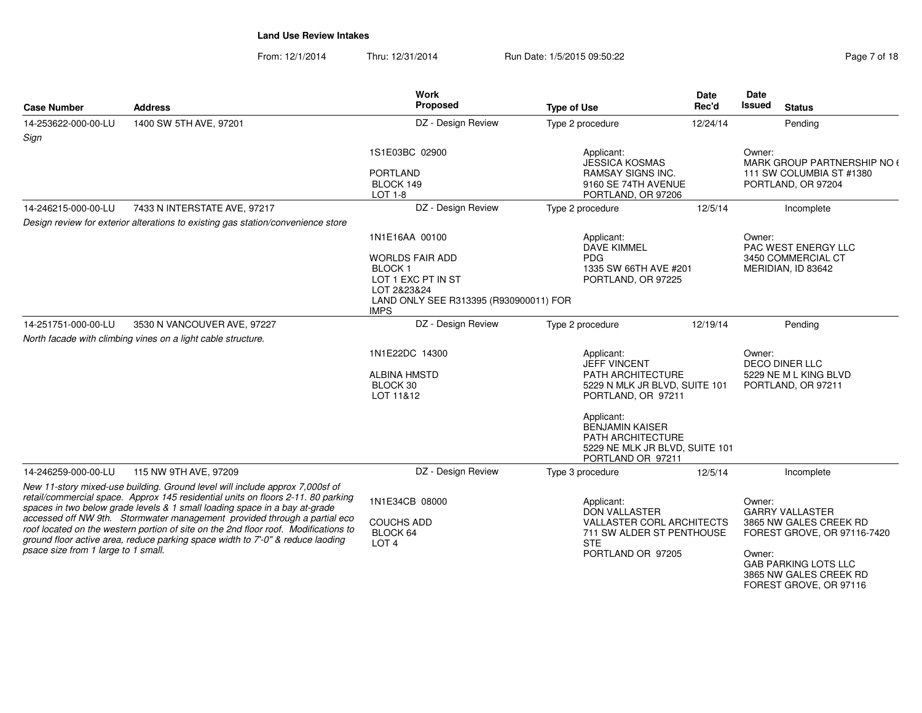From: 12/1/2014Thru: 12/31/2014 Run Date: 1/5/2015 09:50:22 Register 2016 12/31/2014 Pag

| Page 7 of 18 |  |  |
|--------------|--|--|
|              |  |  |

| <b>Case Number</b>                  | <b>Address</b>                                                                                                                                                                                                                                     | <b>Work</b><br>Proposed                               | <b>Type of Use</b>                                                                                               | <b>Date</b><br>Rec'd | Date<br>Issued     | <b>Status</b>                                                                   |
|-------------------------------------|----------------------------------------------------------------------------------------------------------------------------------------------------------------------------------------------------------------------------------------------------|-------------------------------------------------------|------------------------------------------------------------------------------------------------------------------|----------------------|--------------------|---------------------------------------------------------------------------------|
| 14-253622-000-00-LU<br>Sign         | 1400 SW 5TH AVE, 97201                                                                                                                                                                                                                             | DZ - Design Review                                    | Type 2 procedure                                                                                                 | 12/24/14             |                    | Pending                                                                         |
|                                     |                                                                                                                                                                                                                                                    | 1S1E03BC 02900                                        | Applicant:<br><b>JESSICA KOSMAS</b>                                                                              |                      | Owner:             | MARK GROUP PARTNERSHIP NO (                                                     |
|                                     |                                                                                                                                                                                                                                                    | <b>PORTLAND</b><br>BLOCK 149<br>LOT 1-8               | <b>RAMSAY SIGNS INC.</b><br>9160 SE 74TH AVENUE<br>PORTLAND, OR 97206                                            |                      |                    | 111 SW COLUMBIA ST #1380<br>PORTLAND, OR 97204                                  |
| 14-246215-000-00-LU                 | 7433 N INTERSTATE AVE, 97217                                                                                                                                                                                                                       | DZ - Design Review                                    | Type 2 procedure                                                                                                 | 12/5/14              |                    | Incomplete                                                                      |
|                                     | Design review for exterior alterations to existing gas station/convenience store                                                                                                                                                                   |                                                       |                                                                                                                  |                      |                    |                                                                                 |
|                                     |                                                                                                                                                                                                                                                    | 1N1E16AA 00100                                        | Applicant:<br><b>DAVE KIMMEL</b>                                                                                 |                      | Owner:             | PAC WEST ENERGY LLC                                                             |
|                                     |                                                                                                                                                                                                                                                    | <b>WORLDS FAIR ADD</b>                                | <b>PDG</b>                                                                                                       |                      |                    | 3450 COMMERCIAL CT                                                              |
|                                     |                                                                                                                                                                                                                                                    | BLOCK <sub>1</sub><br>LOT 1 EXC PT IN ST              | 1335 SW 66TH AVE #201<br>PORTLAND, OR 97225                                                                      |                      | MERIDIAN, ID 83642 |                                                                                 |
|                                     |                                                                                                                                                                                                                                                    | LOT 2&23&24                                           |                                                                                                                  |                      |                    |                                                                                 |
|                                     |                                                                                                                                                                                                                                                    | LAND ONLY SEE R313395 (R930900011) FOR<br><b>IMPS</b> |                                                                                                                  |                      |                    |                                                                                 |
| 14-251751-000-00-LU                 | 3530 N VANCOUVER AVE, 97227                                                                                                                                                                                                                        | DZ - Design Review                                    | Type 2 procedure                                                                                                 | 12/19/14             |                    | Pending                                                                         |
|                                     | North facade with climbing vines on a light cable structure.                                                                                                                                                                                       |                                                       |                                                                                                                  |                      |                    |                                                                                 |
|                                     |                                                                                                                                                                                                                                                    | 1N1E22DC 14300                                        | Applicant:<br><b>JEFF VINCENT</b>                                                                                |                      | Owner:             | DECO DINER LLC                                                                  |
|                                     |                                                                                                                                                                                                                                                    | <b>ALBINA HMSTD</b>                                   | PATH ARCHITECTURE                                                                                                |                      |                    | 5229 NE M L KING BLVD                                                           |
|                                     |                                                                                                                                                                                                                                                    | BLOCK 30<br>LOT 11&12                                 | 5229 N MLK JR BLVD, SUITE 101<br>PORTLAND, OR 97211                                                              |                      |                    | PORTLAND, OR 97211                                                              |
|                                     |                                                                                                                                                                                                                                                    |                                                       | Applicant:<br><b>BENJAMIN KAISER</b><br>PATH ARCHITECTURE<br>5229 NE MLK JR BLVD, SUITE 101<br>PORTLAND OR 97211 |                      |                    |                                                                                 |
| 14-246259-000-00-LU                 | 115 NW 9TH AVE, 97209                                                                                                                                                                                                                              | DZ - Design Review                                    | Type 3 procedure                                                                                                 | 12/5/14              |                    | Incomplete                                                                      |
|                                     | New 11-story mixed-use building. Ground level will include approx 7,000sf of<br>retail/commercial space. Approx 145 residential units on floors 2-11. 80 parking                                                                                   | 1N1E34CB 08000                                        | Applicant:                                                                                                       |                      | Owner:             |                                                                                 |
|                                     | spaces in two below grade levels & 1 small loading space in a bay at-grade                                                                                                                                                                         |                                                       | <b>DON VALLASTER</b>                                                                                             |                      |                    | <b>GARRY VALLASTER</b>                                                          |
|                                     | accessed off NW 9th. Stormwater management provided through a partial eco<br>roof located on the western portion of site on the 2nd floor roof. Modifications to<br>ground floor active area, reduce parking space width to 7'-0" & reduce laoding | <b>COUCHS ADD</b><br>BLOCK 64<br>LOT <sub>4</sub>     | <b>VALLASTER CORL ARCHITECTS</b><br>711 SW ALDER ST PENTHOUSE<br><b>STE</b>                                      |                      |                    | 3865 NW GALES CREEK RD<br>FOREST GROVE, OR 97116-7420                           |
| psace size from 1 large to 1 small. |                                                                                                                                                                                                                                                    |                                                       | PORTLAND OR 97205                                                                                                |                      | Owner:             | <b>GAB PARKING LOTS LLC</b><br>3865 NW GALES CREEK RD<br>FOREST GROVE, OR 97116 |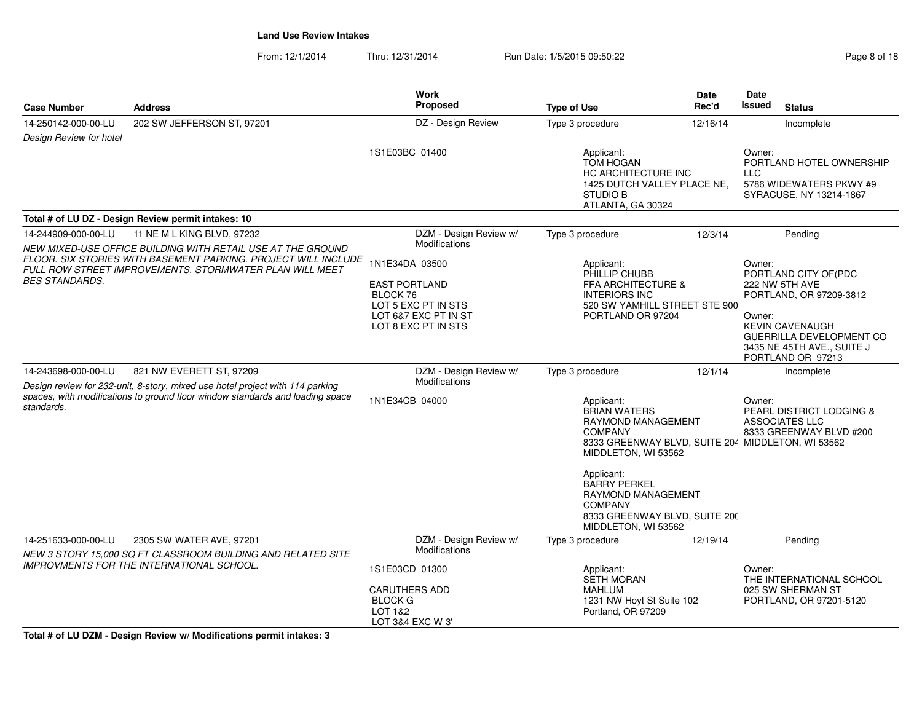From: 12/1/2014Thru: 12/31/2014 Run Date: 1/5/2015 09:50:22 Page 8 of 18

|                         |                                                                                                                           | <b>Work</b>                                                                                                              |                                                                                                                                                                                                                                                                                            | Date                               | Date                                                                                                                                                                                            |
|-------------------------|---------------------------------------------------------------------------------------------------------------------------|--------------------------------------------------------------------------------------------------------------------------|--------------------------------------------------------------------------------------------------------------------------------------------------------------------------------------------------------------------------------------------------------------------------------------------|------------------------------------|-------------------------------------------------------------------------------------------------------------------------------------------------------------------------------------------------|
| <b>Case Number</b>      | <b>Address</b>                                                                                                            | Proposed                                                                                                                 | <b>Type of Use</b>                                                                                                                                                                                                                                                                         | Rec'd                              | <b>Issued</b><br><b>Status</b>                                                                                                                                                                  |
| 14-250142-000-00-LU     | 202 SW JEFFERSON ST, 97201                                                                                                | DZ - Design Review                                                                                                       | Type 3 procedure                                                                                                                                                                                                                                                                           | 12/16/14                           | Incomplete                                                                                                                                                                                      |
| Design Review for hotel |                                                                                                                           |                                                                                                                          |                                                                                                                                                                                                                                                                                            |                                    |                                                                                                                                                                                                 |
|                         |                                                                                                                           | 1S1E03BC 01400                                                                                                           | Applicant:<br><b>TOM HOGAN</b><br>HC ARCHITECTURE INC<br>1425 DUTCH VALLEY PLACE NE,<br><b>STUDIO B</b><br>ATLANTA, GA 30324                                                                                                                                                               |                                    | Owner:<br>PORTLAND HOTEL OWNERSHIP<br>LLC.<br>5786 WIDEWATERS PKWY #9<br>SYRACUSE, NY 13214-1867                                                                                                |
|                         | Total # of LU DZ - Design Review permit intakes: 10                                                                       |                                                                                                                          |                                                                                                                                                                                                                                                                                            |                                    |                                                                                                                                                                                                 |
| 14-244909-000-00-LU     | 11 NE M L KING BLVD, 97232                                                                                                | DZM - Design Review w/                                                                                                   | Type 3 procedure                                                                                                                                                                                                                                                                           | 12/3/14                            | Pending                                                                                                                                                                                         |
|                         | NEW MIXED-USE OFFICE BUILDING WITH RETAIL USE AT THE GROUND                                                               | Modifications                                                                                                            |                                                                                                                                                                                                                                                                                            |                                    |                                                                                                                                                                                                 |
| <i>BES STANDARDS.</i>   | FLOOR. SIX STORIES WITH BASEMENT PARKING. PROJECT WILL INCLUDE<br>FULL ROW STREET IMPROVEMENTS. STORMWATER PLAN WILL MEET | 1N1E34DA 03500<br><b>EAST PORTLAND</b><br>BLOCK 76<br>LOT 5 EXC PT IN STS<br>LOT 6&7 EXC PT IN ST<br>LOT 8 EXC PT IN STS | Applicant:<br>PHILLIP CHUBB<br>FFA ARCHITECTURE &<br><b>INTERIORS INC</b><br>520 SW YAMHILL STREET STE 900<br>PORTLAND OR 97204                                                                                                                                                            |                                    | Owner:<br>PORTLAND CITY OF (PDC<br>222 NW 5TH AVE<br>PORTLAND, OR 97209-3812<br>Owner:<br><b>KEVIN CAVENAUGH</b><br>GUERRILLA DEVELOPMENT CO<br>3435 NE 45TH AVE., SUITE J<br>PORTLAND OR 97213 |
| 14-243698-000-00-LU     | 821 NW EVERETT ST, 97209                                                                                                  | DZM - Design Review w/                                                                                                   | Type 3 procedure                                                                                                                                                                                                                                                                           | 12/1/14                            | Incomplete                                                                                                                                                                                      |
|                         | Design review for 232-unit, 8-story, mixed use hotel project with 114 parking                                             | <b>Modifications</b>                                                                                                     |                                                                                                                                                                                                                                                                                            |                                    |                                                                                                                                                                                                 |
| standards.              | spaces, with modifications to ground floor window standards and loading space<br>1N1E34CB 04000                           |                                                                                                                          | Applicant:<br><b>BRIAN WATERS</b><br>RAYMOND MANAGEMENT<br><b>COMPANY</b><br>8333 GREENWAY BLVD, SUITE 204 MIDDLETON, WI 53562<br>MIDDLETON, WI 53562<br>Applicant:<br><b>BARRY PERKEL</b><br>RAYMOND MANAGEMENT<br><b>COMPANY</b><br>8333 GREENWAY BLVD, SUITE 200<br>MIDDLETON, WI 53562 |                                    | Owner:<br><b>PEARL DISTRICT LODGING &amp;</b><br>ASSOCIATES LLC<br>8333 GREENWAY BLVD #200                                                                                                      |
| 14-251633-000-00-LU     | 2305 SW WATER AVE, 97201                                                                                                  | DZM - Design Review w/                                                                                                   | Type 3 procedure                                                                                                                                                                                                                                                                           | 12/19/14                           | Pending                                                                                                                                                                                         |
|                         | NEW 3 STORY 15,000 SQ FT CLASSROOM BUILDING AND RELATED SITE                                                              | Modifications                                                                                                            |                                                                                                                                                                                                                                                                                            |                                    |                                                                                                                                                                                                 |
|                         | IMPROVMENTS FOR THE INTERNATIONAL SCHOOL.                                                                                 | 1S1E03CD 01300                                                                                                           | Applicant:<br><b>SETH MORAN</b>                                                                                                                                                                                                                                                            | Owner:<br>THE INTERNATIONAL SCHOOL |                                                                                                                                                                                                 |
|                         |                                                                                                                           | <b>CARUTHERS ADD</b><br><b>BLOCK G</b><br>LOT 1&2<br>LOT 3&4 EXC W 3'                                                    | <b>MAHLUM</b><br>1231 NW Hoyt St Suite 102<br>Portland, OR 97209                                                                                                                                                                                                                           |                                    | 025 SW SHERMAN ST<br>PORTLAND, OR 97201-5120                                                                                                                                                    |

**Total # of LU DZM - Design Review w/ Modifications permit intakes: 3**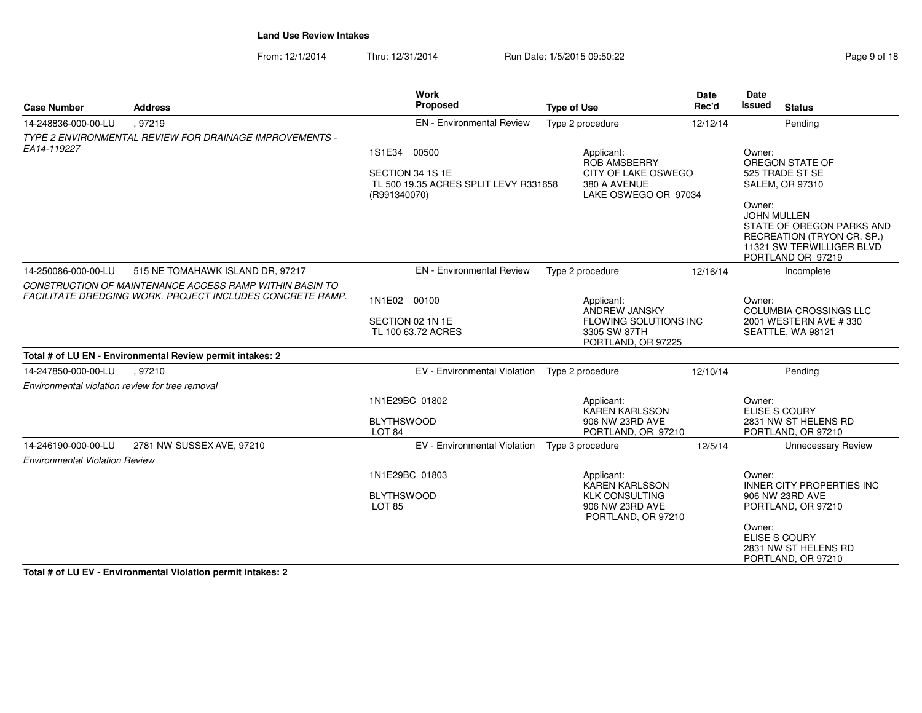From: 12/1/2014Thru: 12/31/2014 Run Date: 1/5/2015 09:50:22 Rage 9 of 18 of 18 of 18 of 18 of 18 of 18 of 18 of 18 of 18 of 1

| Page 9 of 18 |  |  |
|--------------|--|--|
|              |  |  |

| <b>Case Number</b>                              | <b>Address</b>                                                                                                       | Work<br>Proposed                                                          | <b>Type of Use</b>                                             | Date<br>Rec'd | Date<br>Issued<br><b>Status</b>                                                                                                           |
|-------------------------------------------------|----------------------------------------------------------------------------------------------------------------------|---------------------------------------------------------------------------|----------------------------------------------------------------|---------------|-------------------------------------------------------------------------------------------------------------------------------------------|
| 14-248836-000-00-LU                             | .97219                                                                                                               | <b>EN</b> - Environmental Review                                          | Type 2 procedure                                               | 12/12/14      | Pending                                                                                                                                   |
| EA14-119227                                     | TYPE 2 ENVIRONMENTAL REVIEW FOR DRAINAGE IMPROVEMENTS -                                                              | 00500<br>1S1E34                                                           | Applicant:                                                     |               | Owner:                                                                                                                                    |
|                                                 |                                                                                                                      |                                                                           | ROB AMSBERRY                                                   |               | OREGON STATE OF                                                                                                                           |
|                                                 |                                                                                                                      | SECTION 34 1S 1E<br>TL 500 19.35 ACRES SPLIT LEVY R331658<br>(R991340070) | CITY OF LAKE OSWEGO<br>380 A AVENUE<br>LAKE OSWEGO OR 97034    |               | 525 TRADE ST SE<br><b>SALEM, OR 97310</b>                                                                                                 |
|                                                 |                                                                                                                      |                                                                           |                                                                |               | Owner:<br><b>JOHN MULLEN</b><br>STATE OF OREGON PARKS AND<br>RECREATION (TRYON CR. SP.)<br>11321 SW TERWILLIGER BLVD<br>PORTLAND OR 97219 |
| 14-250086-000-00-LU                             | 515 NE TOMAHAWK ISLAND DR, 97217                                                                                     | <b>EN</b> - Environmental Review                                          | Type 2 procedure                                               | 12/16/14      | Incomplete                                                                                                                                |
|                                                 | CONSTRUCTION OF MAINTENANCE ACCESS RAMP WITHIN BASIN TO<br>FACILITATE DREDGING WORK. PROJECT INCLUDES CONCRETE RAMP. |                                                                           |                                                                |               |                                                                                                                                           |
|                                                 |                                                                                                                      | 1N1E02 00100                                                              | Applicant:<br>ANDREW JANSKY                                    |               | Owner:<br><b>COLUMBIA CROSSINGS LLC</b>                                                                                                   |
|                                                 |                                                                                                                      | SECTION 02 1N 1E                                                          | FLOWING SOLUTIONS INC                                          |               | 2001 WESTERN AVE #330                                                                                                                     |
|                                                 |                                                                                                                      | TL 100 63.72 ACRES                                                        | 3305 SW 87TH<br>PORTLAND, OR 97225                             |               | SEATTLE, WA 98121                                                                                                                         |
|                                                 | Total # of LU EN - Environmental Review permit intakes: 2                                                            |                                                                           |                                                                |               |                                                                                                                                           |
| 14-247850-000-00-LU                             | .97210                                                                                                               | EV - Environmental Violation                                              | Type 2 procedure                                               | 12/10/14      | Pendina                                                                                                                                   |
| Environmental violation review for tree removal |                                                                                                                      |                                                                           |                                                                |               |                                                                                                                                           |
|                                                 |                                                                                                                      | 1N1E29BC 01802                                                            | Applicant:                                                     |               | Owner:                                                                                                                                    |
|                                                 |                                                                                                                      | <b>BLYTHSWOOD</b>                                                         | <b>KAREN KARLSSON</b><br>906 NW 23RD AVE                       |               | <b>ELISE S COURY</b><br>2831 NW ST HELENS RD                                                                                              |
|                                                 |                                                                                                                      | LOT <sub>84</sub>                                                         | PORTLAND, OR 97210                                             |               | PORTLAND, OR 97210                                                                                                                        |
| 14-246190-000-00-LU                             | 2781 NW SUSSEX AVE, 97210                                                                                            | EV - Environmental Violation                                              | Type 3 procedure                                               | 12/5/14       | <b>Unnecessary Review</b>                                                                                                                 |
| <b>Environmental Violation Review</b>           |                                                                                                                      |                                                                           |                                                                |               |                                                                                                                                           |
|                                                 |                                                                                                                      | 1N1E29BC 01803                                                            | Applicant:<br><b>KAREN KARLSSON</b>                            |               | Owner:<br><b>INNER CITY PROPERTIES INC</b>                                                                                                |
|                                                 |                                                                                                                      | <b>BLYTHSWOOD</b><br><b>LOT 85</b>                                        | <b>KLK CONSULTING</b><br>906 NW 23RD AVE<br>PORTLAND, OR 97210 |               | 906 NW 23RD AVE<br>PORTLAND, OR 97210                                                                                                     |
|                                                 |                                                                                                                      |                                                                           |                                                                |               | Owner:<br><b>ELISE S COURY</b><br>2831 NW ST HELENS RD<br>PORTLAND, OR 97210                                                              |

**Total # of LU EV - Environmental Violation permit intakes: 2**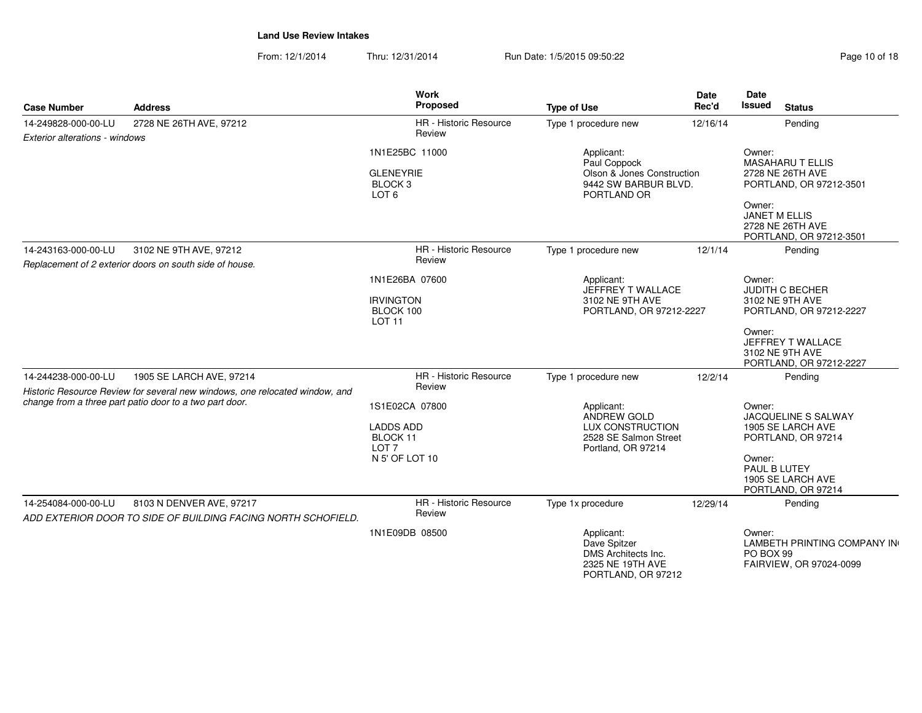From: 12/1/2014Thru: 12/31/2014 Run Date: 1/5/2015 09:50:22

| Page 10 of 18 |  |
|---------------|--|
|---------------|--|

| <b>Case Number</b>                                    | <b>Address</b>                                                                                                                                        | <b>Work</b><br><b>Proposed</b>                                               | <b>Type of Use</b>                                                                                         | <b>Date</b><br>Rec'd                                                                                                                                        | Date<br><b>Issued</b><br><b>Status</b>                                                                                                                            |
|-------------------------------------------------------|-------------------------------------------------------------------------------------------------------------------------------------------------------|------------------------------------------------------------------------------|------------------------------------------------------------------------------------------------------------|-------------------------------------------------------------------------------------------------------------------------------------------------------------|-------------------------------------------------------------------------------------------------------------------------------------------------------------------|
| 14-249828-000-00-LU<br>Exterior alterations - windows | 2728 NE 26TH AVE, 97212                                                                                                                               | <b>HR</b> - Historic Resource<br>Review                                      | Type 1 procedure new                                                                                       | 12/16/14                                                                                                                                                    | Pending                                                                                                                                                           |
|                                                       |                                                                                                                                                       | 1N1E25BC 11000<br><b>GLENEYRIE</b><br>BLOCK <sub>3</sub><br>LOT <sub>6</sub> | Applicant:<br>Paul Coppock<br>Olson & Jones Construction<br>9442 SW BARBUR BLVD.<br>PORTLAND OR            |                                                                                                                                                             | Owner:<br><b>MASAHARU T ELLIS</b><br>2728 NE 26TH AVE<br>PORTLAND, OR 97212-3501<br>Owner:<br><b>JANET M ELLIS</b><br>2728 NE 26TH AVE<br>PORTLAND, OR 97212-3501 |
| 14-243163-000-00-LU                                   | 3102 NE 9TH AVE, 97212<br>Replacement of 2 exterior doors on south side of house.                                                                     | <b>HR</b> - Historic Resource<br>Review                                      | Type 1 procedure new                                                                                       | 12/1/14                                                                                                                                                     | Pending                                                                                                                                                           |
|                                                       | 1N1E26BA 07600<br>Applicant:<br>JEFFREY T WALLACE<br><b>IRVINGTON</b><br>3102 NE 9TH AVE<br>BLOCK 100<br>PORTLAND, OR 97212-2227<br>LOT <sub>11</sub> |                                                                              |                                                                                                            | Owner:<br><b>JUDITH C BECHER</b><br>3102 NE 9TH AVE<br>PORTLAND, OR 97212-2227<br>Owner:<br>JEFFREY T WALLACE<br>3102 NE 9TH AVE<br>PORTLAND, OR 97212-2227 |                                                                                                                                                                   |
| 14-244238-000-00-LU                                   | 1905 SE LARCH AVE, 97214<br>Historic Resource Review for several new windows, one relocated window, and                                               | <b>HR</b> - Historic Resource<br>Review                                      | Type 1 procedure new                                                                                       | 12/2/14                                                                                                                                                     | Pending                                                                                                                                                           |
|                                                       | change from a three part patio door to a two part door.                                                                                               | 1S1E02CA 07800<br><b>LADDS ADD</b><br>BLOCK 11<br>10T7<br>N 5' OF LOT 10     | Applicant:<br><b>ANDREW GOLD</b><br><b>LUX CONSTRUCTION</b><br>2528 SE Salmon Street<br>Portland, OR 97214 |                                                                                                                                                             | Owner:<br>JACQUELINE S SALWAY<br>1905 SE LARCH AVE<br>PORTLAND, OR 97214<br>Owner:<br>PAUL B LUTEY<br>1905 SE LARCH AVE<br>PORTLAND, OR 97214                     |
| 14-254084-000-00-LU                                   | 8103 N DENVER AVE, 97217<br>ADD EXTERIOR DOOR TO SIDE OF BUILDING FACING NORTH SCHOFIELD.                                                             | HR - Historic Resource<br>Review                                             | Type 1x procedure                                                                                          | 12/29/14                                                                                                                                                    | Pending                                                                                                                                                           |
|                                                       |                                                                                                                                                       | 1N1E09DB 08500                                                               | Applicant:<br>Dave Spitzer<br>DMS Architects Inc.<br>2325 NE 19TH AVE<br>PORTLAND, OR 97212                |                                                                                                                                                             | Owner:<br>LAMBETH PRINTING COMPANY IN<br>PO BOX 99<br>FAIRVIEW, OR 97024-0099                                                                                     |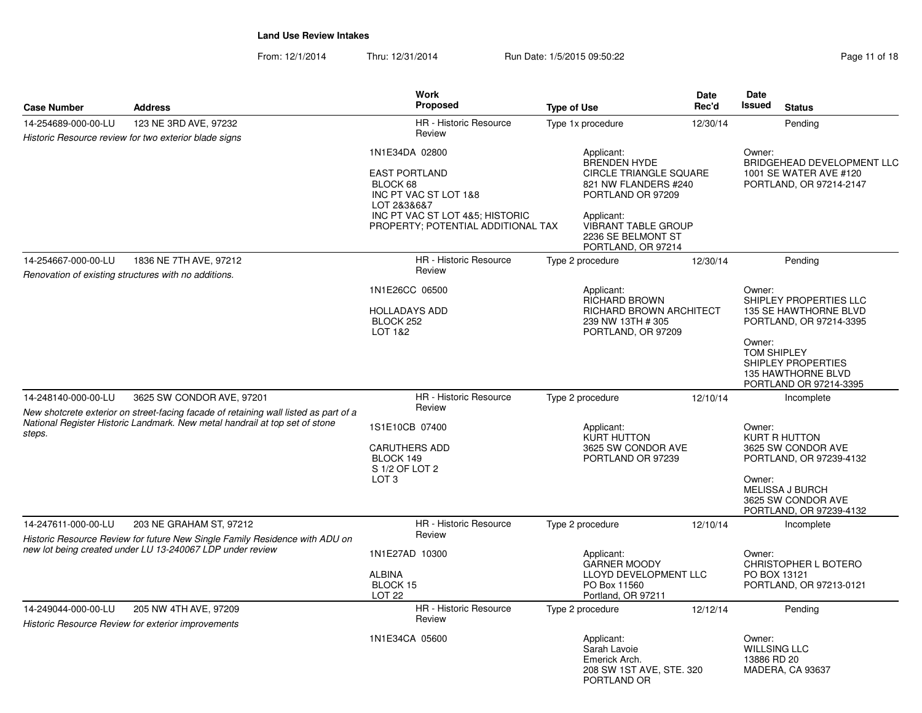From: 12/1/2014Thru: 12/31/2014 Run Date: 1/5/2015 09:50:22 Research 2010 18

| <b>Case Number</b>                                                                                                                                                            | <b>Address</b>                                            | <b>Work</b><br>Proposed                                                                                                                                             | <b>Type of Use</b>                                                                                                                                                                        | <b>Date</b><br>Rec'd | Date<br><b>Issued</b><br><b>Status</b>                                                                                                                        |
|-------------------------------------------------------------------------------------------------------------------------------------------------------------------------------|-----------------------------------------------------------|---------------------------------------------------------------------------------------------------------------------------------------------------------------------|-------------------------------------------------------------------------------------------------------------------------------------------------------------------------------------------|----------------------|---------------------------------------------------------------------------------------------------------------------------------------------------------------|
| 14-254689-000-00-LU                                                                                                                                                           | 123 NE 3RD AVE, 97232                                     | HR - Historic Resource                                                                                                                                              | Type 1x procedure                                                                                                                                                                         | 12/30/14             | Pending                                                                                                                                                       |
|                                                                                                                                                                               | Historic Resource review for two exterior blade signs     | Review                                                                                                                                                              |                                                                                                                                                                                           |                      |                                                                                                                                                               |
|                                                                                                                                                                               |                                                           | 1N1E34DA 02800<br><b>EAST PORTLAND</b><br>BLOCK 68<br>INC PT VAC ST LOT 1&8<br>LOT 2&3&6&7<br>INC PT VAC ST LOT 4&5; HISTORIC<br>PROPERTY; POTENTIAL ADDITIONAL TAX | Applicant:<br><b>BRENDEN HYDE</b><br>CIRCLE TRIANGLE SQUARE<br>821 NW FLANDERS #240<br>PORTLAND OR 97209<br>Applicant:<br>VIBRANT TABLE GROUP<br>2236 SE BELMONT ST<br>PORTLAND, OR 97214 |                      | Owner:<br>BRIDGEHEAD DEVELOPMENT LLC<br>1001 SE WATER AVE #120<br>PORTLAND, OR 97214-2147                                                                     |
| 14-254667-000-00-LU                                                                                                                                                           | 1836 NE 7TH AVE, 97212                                    | HR - Historic Resource                                                                                                                                              | Type 2 procedure                                                                                                                                                                          | 12/30/14             | Pending                                                                                                                                                       |
|                                                                                                                                                                               | Renovation of existing structures with no additions.      | Review                                                                                                                                                              |                                                                                                                                                                                           |                      |                                                                                                                                                               |
|                                                                                                                                                                               |                                                           | 1N1E26CC 06500<br><b>HOLLADAYS ADD</b><br>BLOCK 252<br>LOT 1&2                                                                                                      | Applicant:<br>RICHARD BROWN<br>RICHARD BROWN ARCHITECT<br>239 NW 13TH #305<br>PORTLAND, OR 97209                                                                                          |                      | Owner:<br>SHIPLEY PROPERTIES LLC<br><b>135 SE HAWTHORNE BLVD</b><br>PORTLAND, OR 97214-3395<br>Owner:<br>TOM SHIPLEY                                          |
| 14-248140-000-00-LU                                                                                                                                                           |                                                           | HR - Historic Resource                                                                                                                                              |                                                                                                                                                                                           | 12/10/14             | SHIPLEY PROPERTIES<br><b>135 HAWTHORNE BLVD</b><br>PORTLAND OR 97214-3395                                                                                     |
|                                                                                                                                                                               | 3625 SW CONDOR AVE, 97201                                 | Review                                                                                                                                                              | Type 2 procedure                                                                                                                                                                          |                      | Incomplete                                                                                                                                                    |
| New shotcrete exterior on street-facing facade of retaining wall listed as part of a<br>National Register Historic Landmark. New metal handrail at top set of stone<br>steps. |                                                           | 1S1E10CB 07400<br><b>CARUTHERS ADD</b><br>BLOCK 149<br>S 1/2 OF LOT 2<br>LOT <sub>3</sub>                                                                           | Applicant:<br><b>KURT HUTTON</b><br>3625 SW CONDOR AVE<br>PORTLAND OR 97239                                                                                                               |                      | Owner:<br>KURT R HUTTON<br>3625 SW CONDOR AVE<br>PORTLAND, OR 97239-4132<br>Owner:<br><b>MELISSA J BURCH</b><br>3625 SW CONDOR AVE<br>PORTLAND, OR 97239-4132 |
| 14-247611-000-00-LU                                                                                                                                                           | 203 NE GRAHAM ST, 97212                                   | HR - Historic Resource                                                                                                                                              | Type 2 procedure                                                                                                                                                                          | 12/10/14             | Incomplete                                                                                                                                                    |
| Historic Resource Review for future New Single Family Residence with ADU on<br>new lot being created under LU 13-240067 LDP under review                                      |                                                           | Review<br>1N1E27AD 10300<br>ALBINA<br>BLOCK 15<br><b>LOT 22</b>                                                                                                     | Applicant:<br><b>GARNER MOODY</b><br>LLOYD DEVELOPMENT LLC<br>PO Box 11560<br>Portland, OR 97211                                                                                          |                      | Owner:<br>CHRISTOPHER L BOTERO<br>PO BOX 13121<br>PORTLAND, OR 97213-0121                                                                                     |
| 14-249044-000-00-LU                                                                                                                                                           | 205 NW 4TH AVE, 97209                                     | HR - Historic Resource                                                                                                                                              | Type 2 procedure                                                                                                                                                                          | 12/12/14             | Pending                                                                                                                                                       |
|                                                                                                                                                                               | <b>Historic Resource Review for exterior improvements</b> | Review                                                                                                                                                              |                                                                                                                                                                                           |                      |                                                                                                                                                               |
|                                                                                                                                                                               |                                                           | 1N1E34CA 05600                                                                                                                                                      | Applicant:<br>Sarah Lavoie<br>Emerick Arch.<br>208 SW 1ST AVE, STE. 320<br>PORTLAND OR                                                                                                    |                      | Owner:<br>WILLSING LLC<br>13886 RD 20<br>MADERA, CA 93637                                                                                                     |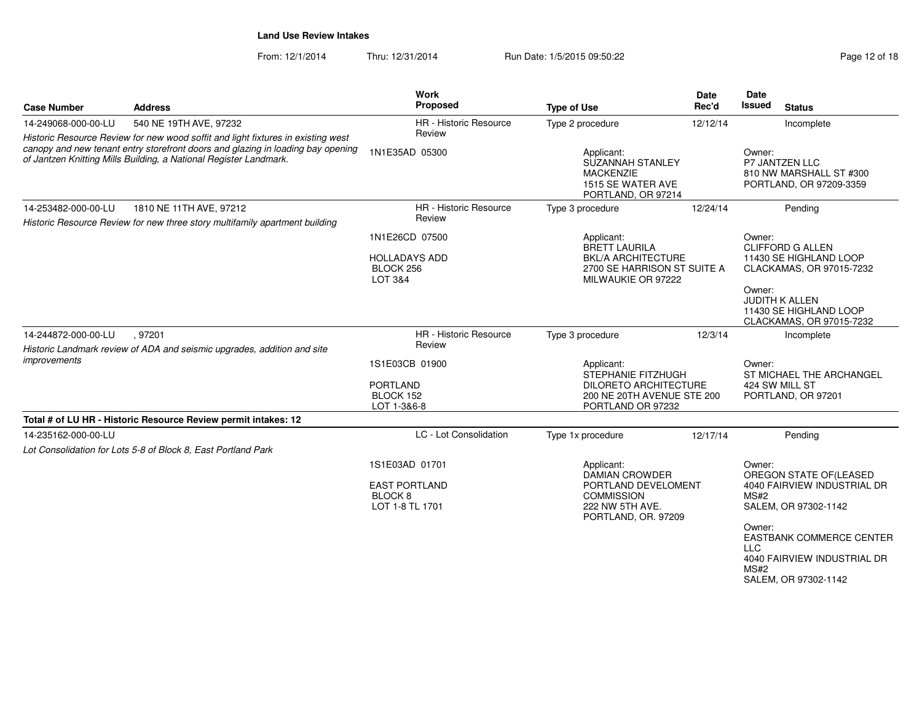| <b>Case Number</b>  | <b>Address</b>                                                                                                                                                                                                                           | Work<br>Proposed                                                                | <b>Type of Use</b>                                                                                                        | <b>Date</b><br>Rec'd | Date<br><b>Issued</b><br><b>Status</b>                                                                                                                                                                                    |
|---------------------|------------------------------------------------------------------------------------------------------------------------------------------------------------------------------------------------------------------------------------------|---------------------------------------------------------------------------------|---------------------------------------------------------------------------------------------------------------------------|----------------------|---------------------------------------------------------------------------------------------------------------------------------------------------------------------------------------------------------------------------|
| 14-249068-000-00-LU | 540 NE 19TH AVE, 97232                                                                                                                                                                                                                   | HR - Historic Resource                                                          | Type 2 procedure                                                                                                          | 12/12/14             | Incomplete                                                                                                                                                                                                                |
|                     | Historic Resource Review for new wood soffit and light fixtures in existing west<br>canopy and new tenant entry storefront doors and glazing in loading bay opening<br>of Jantzen Knitting Mills Building, a National Register Landmark. | Review<br>1N1E35AD 05300                                                        | Applicant:<br>SUZANNAH STANLEY<br><b>MACKENZIE</b><br>1515 SE WATER AVE<br>PORTLAND, OR 97214                             |                      | Owner:<br>P7 JANTZEN LLC<br>810 NW MARSHALL ST #300<br>PORTLAND, OR 97209-3359                                                                                                                                            |
| 14-253482-000-00-LU | 1810 NE 11TH AVE, 97212<br>Historic Resource Review for new three story multifamily apartment building                                                                                                                                   | HR - Historic Resource<br>Review                                                | Type 3 procedure                                                                                                          | 12/24/14             | Pending                                                                                                                                                                                                                   |
|                     |                                                                                                                                                                                                                                          | 1N1E26CD 07500<br><b>HOLLADAYS ADD</b><br>BLOCK 256<br>LOT 3&4                  | Applicant:<br><b>BRETT LAURILA</b><br><b>BKL/A ARCHITECTURE</b><br>2700 SE HARRISON ST SUITE A<br>MILWAUKIE OR 97222      |                      | Owner:<br><b>CLIFFORD G ALLEN</b><br>11430 SE HIGHLAND LOOP<br>CLACKAMAS, OR 97015-7232<br>Owner:<br><b>JUDITH K ALLEN</b><br>11430 SE HIGHLAND LOOP<br>CLACKAMAS, OR 97015-7232                                          |
| 14-244872-000-00-LU | , 97201<br>Historic Landmark review of ADA and seismic upgrades, addition and site                                                                                                                                                       | HR - Historic Resource<br>Review                                                | Type 3 procedure                                                                                                          | 12/3/14              | Incomplete                                                                                                                                                                                                                |
| <i>improvements</i> |                                                                                                                                                                                                                                          | 1S1E03CB 01900<br><b>PORTLAND</b><br>BLOCK 152<br>LOT 1-3&6-8                   | Applicant:<br>STEPHANIE FITZHUGH<br><b>DILORETO ARCHITECTURE</b><br>200 NE 20TH AVENUE STE 200<br>PORTLAND OR 97232       |                      | Owner:<br>ST MICHAEL THE ARCHANGEL<br>424 SW MILL ST<br>PORTLAND, OR 97201                                                                                                                                                |
|                     | Total # of LU HR - Historic Resource Review permit intakes: 12                                                                                                                                                                           |                                                                                 |                                                                                                                           |                      |                                                                                                                                                                                                                           |
| 14-235162-000-00-LU | Lot Consolidation for Lots 5-8 of Block 8, East Portland Park                                                                                                                                                                            | LC - Lot Consolidation                                                          | Type 1x procedure                                                                                                         | 12/17/14             | Pending                                                                                                                                                                                                                   |
|                     |                                                                                                                                                                                                                                          | 1S1E03AD 01701<br><b>EAST PORTLAND</b><br>BLOCK <sub>8</sub><br>LOT 1-8 TL 1701 | Applicant:<br><b>DAMIAN CROWDER</b><br>PORTLAND DEVELOMENT<br><b>COMMISSION</b><br>222 NW 5TH AVE.<br>PORTLAND, OR. 97209 |                      | Owner:<br>OREGON STATE OF(LEASED<br>4040 FAIRVIEW INDUSTRIAL DR<br>MS#2<br>SALEM, OR 97302-1142<br>Owner:<br><b>EASTBANK COMMERCE CENTER</b><br><b>LLC</b><br>4040 FAIRVIEW INDUSTRIAL DR<br>MS#2<br>SALEM, OR 97302-1142 |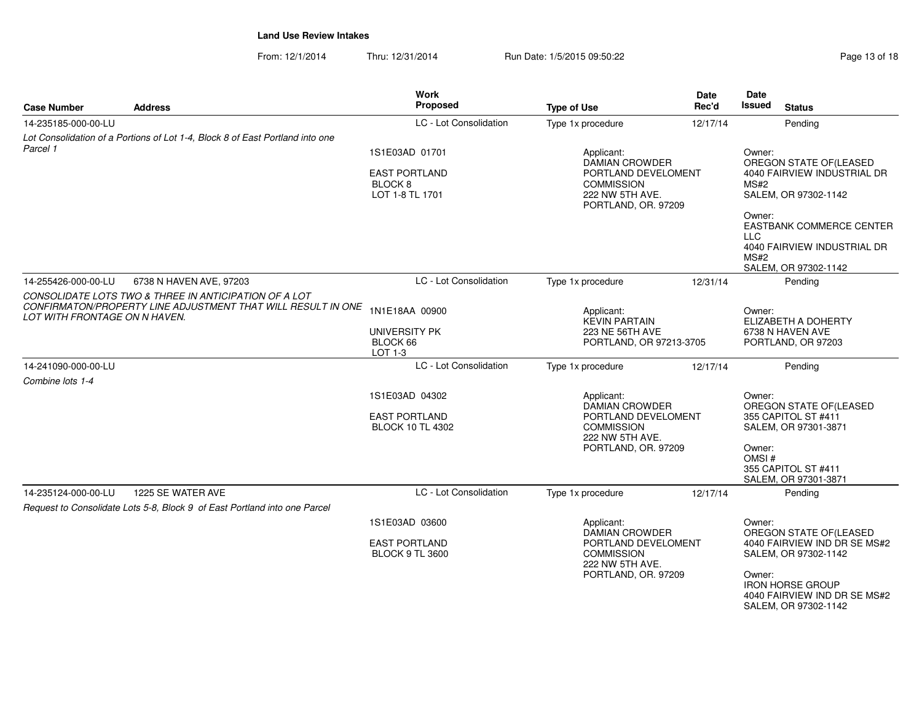| <b>Case Number</b>            | <b>Address</b>                                                                                 | <b>Work</b><br>Proposed                                           | <b>Type of Use</b>                                                                                                        | <b>Date</b><br>Rec'd                       | Date<br>Issued                                                          | <b>Status</b>                                                                   |
|-------------------------------|------------------------------------------------------------------------------------------------|-------------------------------------------------------------------|---------------------------------------------------------------------------------------------------------------------------|--------------------------------------------|-------------------------------------------------------------------------|---------------------------------------------------------------------------------|
| 14-235185-000-00-LU           |                                                                                                | LC - Lot Consolidation                                            | Type 1x procedure                                                                                                         | 12/17/14                                   |                                                                         | Pending                                                                         |
| Parcel 1                      | Lot Consolidation of a Portions of Lot 1-4, Block 8 of East Portland into one                  |                                                                   |                                                                                                                           |                                            |                                                                         |                                                                                 |
|                               |                                                                                                | 1S1E03AD 01701<br>Applicant:<br><b>DAMIAN CROWDER</b>             |                                                                                                                           |                                            | Owner:                                                                  | OREGON STATE OF (LEASED                                                         |
|                               |                                                                                                | <b>EAST PORTLAND</b><br>BLOCK <sub>8</sub><br>LOT 1-8 TL 1701     | <b>COMMISSION</b><br>222 NW 5TH AVE.                                                                                      | PORTLAND DEVELOMENT<br>PORTLAND, OR. 97209 |                                                                         | 4040 FAIRVIEW INDUSTRIAL DR<br>SALEM, OR 97302-1142                             |
|                               |                                                                                                |                                                                   |                                                                                                                           |                                            | Owner:<br><b>LLC</b>                                                    | EASTBANK COMMERCE CENTER                                                        |
|                               |                                                                                                |                                                                   |                                                                                                                           |                                            | MS#2                                                                    | 4040 FAIRVIEW INDUSTRIAL DR                                                     |
| 14-255426-000-00-LU           | 6738 N HAVEN AVE, 97203                                                                        | LC - Lot Consolidation                                            | Type 1x procedure                                                                                                         | 12/31/14                                   |                                                                         | SALEM, OR 97302-1142<br>Pending                                                 |
|                               | CONSOLIDATE LOTS TWO & THREE IN ANTICIPATION OF A LOT                                          |                                                                   |                                                                                                                           |                                            |                                                                         |                                                                                 |
| LOT WITH FRONTAGE ON N HAVEN. | CONFIRMATON/PROPERTY LINE ADJUSTMENT THAT WILL RESULT IN ONE                                   | 1N1E18AA 00900                                                    | Applicant:<br><b>KEVIN PARTAIN</b>                                                                                        |                                            | Owner:<br>ELIZABETH A DOHERTY<br>6738 N HAVEN AVE<br>PORTLAND, OR 97203 |                                                                                 |
|                               |                                                                                                | UNIVERSITY PK<br>BLOCK 66<br>LOT 1-3                              | 223 NE 56TH AVE<br>PORTLAND, OR 97213-3705                                                                                |                                            |                                                                         |                                                                                 |
| 14-241090-000-00-LU           |                                                                                                | LC - Lot Consolidation                                            | Type 1x procedure                                                                                                         | 12/17/14                                   |                                                                         | Pendina                                                                         |
| Combine lots 1-4              |                                                                                                |                                                                   |                                                                                                                           |                                            |                                                                         |                                                                                 |
|                               |                                                                                                | 1S1E03AD 04302<br><b>EAST PORTLAND</b><br><b>BLOCK 10 TL 4302</b> | Applicant:<br><b>DAMIAN CROWDER</b><br>PORTLAND DEVELOMENT<br><b>COMMISSION</b><br>222 NW 5TH AVE.<br>PORTLAND, OR. 97209 |                                            | Owner:<br>Owner:<br>OMSI#                                               | OREGON STATE OF (LEASED<br>355 CAPITOL ST #411<br>SALEM, OR 97301-3871          |
|                               |                                                                                                |                                                                   |                                                                                                                           |                                            |                                                                         | 355 CAPITOL ST #411<br>SALEM, OR 97301-3871                                     |
| 14-235124-000-00-LU           | 1225 SE WATER AVE<br>Request to Consolidate Lots 5-8, Block 9 of East Portland into one Parcel | LC - Lot Consolidation                                            | Type 1x procedure                                                                                                         | 12/17/14                                   |                                                                         | Pending                                                                         |
|                               |                                                                                                | 1S1E03AD 03600                                                    | Applicant:<br><b>DAMIAN CROWDER</b><br>PORTLAND DEVELOMENT<br><b>COMMISSION</b>                                           |                                            | Owner:<br>OREGON STATE OF (LEASED                                       |                                                                                 |
|                               |                                                                                                | <b>EAST PORTLAND</b><br><b>BLOCK 9 TL 3600</b>                    |                                                                                                                           |                                            |                                                                         | 4040 FAIRVIEW IND DR SE MS#2<br>SALEM, OR 97302-1142                            |
|                               |                                                                                                |                                                                   | 222 NW 5TH AVE.<br>PORTLAND, OR. 97209                                                                                    |                                            | Owner:                                                                  | <b>IRON HORSE GROUP</b><br>4040 FAIRVIEW IND DR SE MS#2<br>SALEM, OR 97302-1142 |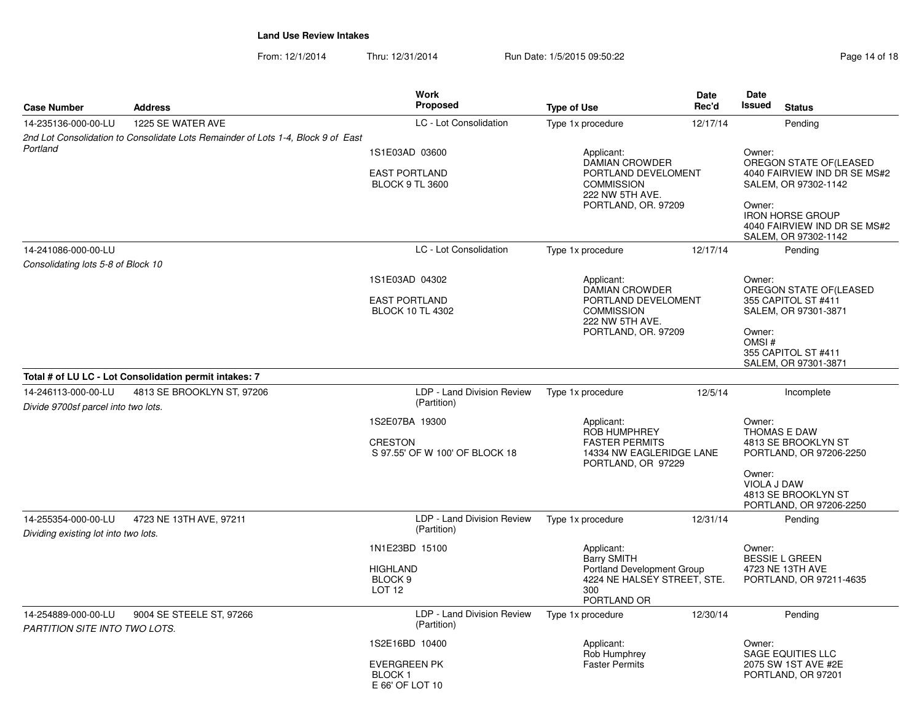| <b>Case Number</b>                                          | <b>Address</b>                                                                   | Work<br>Proposed                                                   | <b>Type of Use</b>                                                                                    | <b>Date</b><br>Rec'd | <b>Date</b><br>Issued                                                                                                                                                       | <b>Status</b>                                  |  |
|-------------------------------------------------------------|----------------------------------------------------------------------------------|--------------------------------------------------------------------|-------------------------------------------------------------------------------------------------------|----------------------|-----------------------------------------------------------------------------------------------------------------------------------------------------------------------------|------------------------------------------------|--|
| 14-235136-000-00-LU                                         | 1225 SE WATER AVE                                                                | LC - Lot Consolidation                                             | Type 1x procedure                                                                                     | 12/17/14             |                                                                                                                                                                             | Pending                                        |  |
|                                                             | 2nd Lot Consolidation to Consolidate Lots Remainder of Lots 1-4, Block 9 of East |                                                                    |                                                                                                       |                      |                                                                                                                                                                             |                                                |  |
| Portland                                                    |                                                                                  | 1S1E03AD 03600                                                     | Applicant:<br>Owner:<br><b>DAMIAN CROWDER</b>                                                         |                      |                                                                                                                                                                             |                                                |  |
|                                                             |                                                                                  | <b>EAST PORTLAND</b><br><b>BLOCK 9 TL 3600</b>                     | PORTLAND DEVELOMENT<br><b>COMMISSION</b><br>222 NW 5TH AVE.<br>PORTLAND, OR. 97209                    |                      | OREGON STATE OF(LEASED<br>4040 FAIRVIEW IND DR SE MS#2<br>SALEM, OR 97302-1142<br>Owner:<br><b>IRON HORSE GROUP</b><br>4040 FAIRVIEW IND DR SE MS#2<br>SALEM, OR 97302-1142 |                                                |  |
| 14-241086-000-00-LU                                         |                                                                                  | LC - Lot Consolidation                                             | Type 1x procedure                                                                                     | 12/17/14             |                                                                                                                                                                             | Pending                                        |  |
| Consolidating lots 5-8 of Block 10                          |                                                                                  |                                                                    |                                                                                                       |                      |                                                                                                                                                                             |                                                |  |
|                                                             |                                                                                  | 1S1E03AD 04302                                                     | Applicant:                                                                                            |                      | Owner:                                                                                                                                                                      |                                                |  |
|                                                             |                                                                                  | <b>EAST PORTLAND</b><br><b>BLOCK 10 TL 4302</b>                    | <b>DAMIAN CROWDER</b><br>PORTLAND DEVELOMENT<br><b>COMMISSION</b><br>222 NW 5TH AVE.                  |                      | OREGON STATE OF(LEASED<br>355 CAPITOL ST #411<br>SALEM, OR 97301-3871                                                                                                       |                                                |  |
|                                                             |                                                                                  |                                                                    | PORTLAND, OR. 97209                                                                                   |                      | Owner:<br>OMSI#<br>355 CAPITOL ST #411<br>SALEM, OR 97301-3871                                                                                                              |                                                |  |
|                                                             | Total # of LU LC - Lot Consolidation permit intakes: 7                           |                                                                    |                                                                                                       |                      |                                                                                                                                                                             |                                                |  |
| 14-246113-000-00-LU<br>Divide 9700sf parcel into two lots.  | 4813 SE BROOKLYN ST, 97206                                                       | LDP - Land Division Review<br>(Partition)                          | Type 1x procedure                                                                                     | 12/5/14              |                                                                                                                                                                             | Incomplete                                     |  |
|                                                             |                                                                                  | 1S2E07BA 19300<br><b>CRESTON</b><br>S 97.55' OF W 100' OF BLOCK 18 | Applicant:<br>ROB HUMPHREY<br><b>FASTER PERMITS</b><br>14334 NW EAGLERIDGE LANE<br>PORTLAND, OR 97229 | Owner:               | THOMAS E DAW<br>4813 SE BROOKLYN ST<br>PORTLAND, OR 97206-2250                                                                                                              |                                                |  |
|                                                             |                                                                                  |                                                                    |                                                                                                       |                      | Owner:<br>VIOLA J DAW                                                                                                                                                       | 4813 SE BROOKLYN ST<br>PORTLAND, OR 97206-2250 |  |
| 14-255354-000-00-LU<br>Dividing existing lot into two lots. | 4723 NE 13TH AVE, 97211                                                          | LDP - Land Division Review<br>(Partition)                          | Type 1x procedure                                                                                     | 12/31/14             |                                                                                                                                                                             | Pending                                        |  |
|                                                             |                                                                                  | 1N1E23BD 15100                                                     | Applicant:<br><b>Barry SMITH</b>                                                                      |                      | Owner:                                                                                                                                                                      | <b>BESSIE L GREEN</b>                          |  |
|                                                             |                                                                                  | <b>HIGHLAND</b><br>BLOCK <sub>9</sub><br><b>LOT 12</b>             | <b>Portland Development Group</b><br>4224 NE HALSEY STREET, STE.<br>300<br>PORTLAND OR                |                      |                                                                                                                                                                             | 4723 NE 13TH AVE<br>PORTLAND, OR 97211-4635    |  |
| 14-254889-000-00-LU<br>PARTITION SITE INTO TWO LOTS.        | 9004 SE STEELE ST, 97266                                                         | LDP - Land Division Review<br>(Partition)                          | Type 1x procedure                                                                                     | 12/30/14             |                                                                                                                                                                             | Pending                                        |  |
|                                                             |                                                                                  | 1S2E16BD 10400                                                     | Applicant:<br>Rob Humphrey                                                                            |                      | Owner:<br><b>SAGE EQUITIES LLC</b>                                                                                                                                          |                                                |  |
|                                                             |                                                                                  | <b>EVERGREEN PK</b><br><b>BLOCK1</b><br>E 66' OF LOT 10            | <b>Faster Permits</b>                                                                                 |                      |                                                                                                                                                                             | 2075 SW 1ST AVE #2E<br>PORTLAND, OR 97201      |  |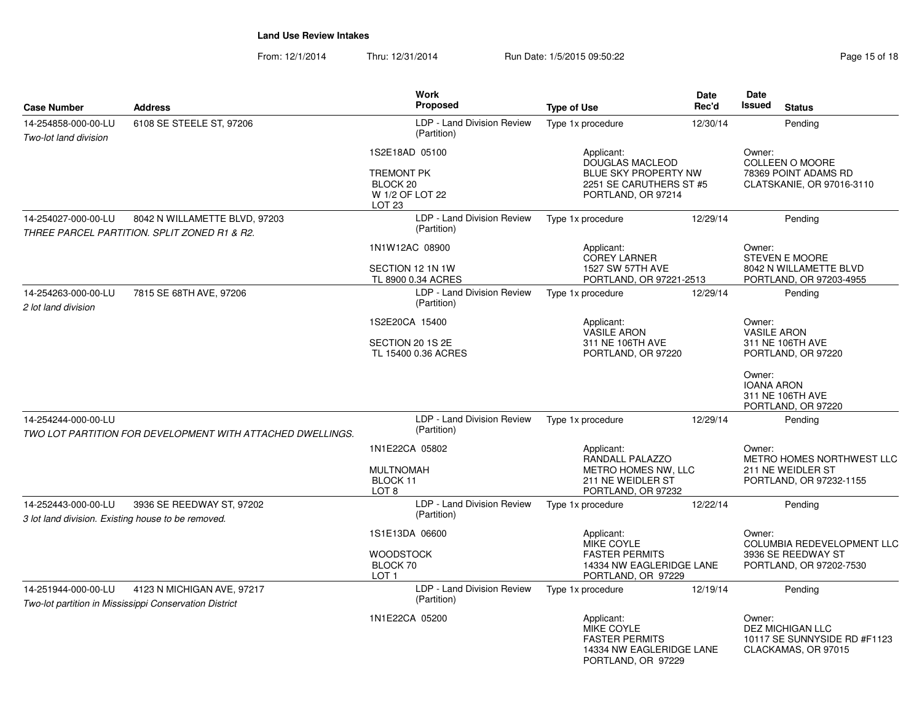| <b>Case Number</b>                                                                                   | <b>Address</b>                                                                       | <b>Work</b><br><b>Proposed</b>                                                          | <b>Type of Use</b>                                                                                            | <b>Date</b><br>Rec'd | Date<br><b>Issued</b><br><b>Status</b>                                                       |
|------------------------------------------------------------------------------------------------------|--------------------------------------------------------------------------------------|-----------------------------------------------------------------------------------------|---------------------------------------------------------------------------------------------------------------|----------------------|----------------------------------------------------------------------------------------------|
| 14-254858-000-00-LU<br>Two-lot land division                                                         | 6108 SE STEELE ST, 97206                                                             | LDP - Land Division Review<br>(Partition)                                               | Type 1x procedure                                                                                             | 12/30/14             | Pending                                                                                      |
|                                                                                                      |                                                                                      | 1S2E18AD 05100<br><b>TREMONT PK</b><br>BLOCK 20<br>W 1/2 OF LOT 22<br>LOT <sub>23</sub> | Applicant:<br><b>DOUGLAS MACLEOD</b><br>BLUE SKY PROPERTY NW<br>2251 SE CARUTHERS ST #5<br>PORTLAND, OR 97214 |                      | Owner:<br><b>COLLEEN O MOORE</b><br>78369 POINT ADAMS RD<br>CLATSKANIE, OR 97016-3110        |
| 14-254027-000-00-LU<br>8042 N WILLAMETTE BLVD, 97203<br>THREE PARCEL PARTITION. SPLIT ZONED R1 & R2. |                                                                                      | LDP - Land Division Review<br>(Partition)                                               | Type 1x procedure                                                                                             | 12/29/14             | Pending                                                                                      |
|                                                                                                      |                                                                                      | 1N1W12AC 08900<br>SECTION 12 1N 1W<br>TL 8900 0.34 ACRES                                | Applicant:<br><b>COREY LARNER</b><br>1527 SW 57TH AVE<br>PORTLAND, OR 97221-2513                              |                      | Owner:<br><b>STEVEN E MOORE</b><br>8042 N WILLAMETTE BLVD<br>PORTLAND, OR 97203-4955         |
| 14-254263-000-00-LU<br>2 lot land division                                                           | 7815 SE 68TH AVE, 97206                                                              | LDP - Land Division Review<br>(Partition)                                               | Type 1x procedure                                                                                             | 12/29/14             | Pending                                                                                      |
|                                                                                                      |                                                                                      | 1S2E20CA 15400<br>SECTION 20 1S 2E<br>TL 15400 0.36 ACRES                               | Applicant:<br><b>VASILE ARON</b><br>311 NE 106TH AVE<br>PORTLAND, OR 97220                                    |                      | Owner:<br><b>VASILE ARON</b><br>311 NE 106TH AVE<br>PORTLAND, OR 97220                       |
|                                                                                                      |                                                                                      |                                                                                         |                                                                                                               |                      | Owner:<br><b>IOANA ARON</b><br>311 NE 106TH AVE<br>PORTLAND, OR 97220                        |
| 14-254244-000-00-LU                                                                                  | TWO LOT PARTITION FOR DEVELOPMENT WITH ATTACHED DWELLINGS.                           | LDP - Land Division Review<br>(Partition)                                               | Type 1x procedure                                                                                             | 12/29/14             | Pending                                                                                      |
|                                                                                                      |                                                                                      | 1N1E22CA 05802<br><b>MULTNOMAH</b><br>BLOCK 11<br>LOT <sub>8</sub>                      | Applicant:<br>RANDALL PALAZZO<br>METRO HOMES NW, LLC<br>211 NE WEIDLER ST<br>PORTLAND, OR 97232               |                      | Owner:<br>METRO HOMES NORTHWEST LLC<br>211 NE WEIDLER ST<br>PORTLAND, OR 97232-1155          |
| 14-252443-000-00-LU<br>3 lot land division. Existing house to be removed.                            | 3936 SE REEDWAY ST, 97202                                                            | LDP - Land Division Review<br>(Partition)                                               | Type 1x procedure                                                                                             | 12/22/14             | Pending                                                                                      |
|                                                                                                      |                                                                                      | 1S1E13DA 06600<br><b>WOODSTOCK</b><br>BLOCK 70<br>LOT <sub>1</sub>                      | Applicant:<br><b>MIKE COYLE</b><br><b>FASTER PERMITS</b><br>14334 NW EAGLERIDGE LANE<br>PORTLAND, OR 97229    |                      | Owner:<br><b>COLUMBIA REDEVELOPMENT LLC</b><br>3936 SE REEDWAY ST<br>PORTLAND, OR 97202-7530 |
| 14-251944-000-00-LU                                                                                  | 4123 N MICHIGAN AVE, 97217<br>Two-lot partition in Mississippi Conservation District | LDP - Land Division Review<br>(Partition)                                               | Type 1x procedure                                                                                             | 12/19/14             | Pending                                                                                      |
|                                                                                                      |                                                                                      | 1N1E22CA 05200                                                                          | Applicant:<br>MIKE COYLE<br><b>FASTER PERMITS</b><br>14334 NW EAGLERIDGE LANE<br>PORTLAND, OR 97229           |                      | Owner:<br><b>DEZ MICHIGAN LLC</b><br>10117 SE SUNNYSIDE RD #F1123<br>CLACKAMAS, OR 97015     |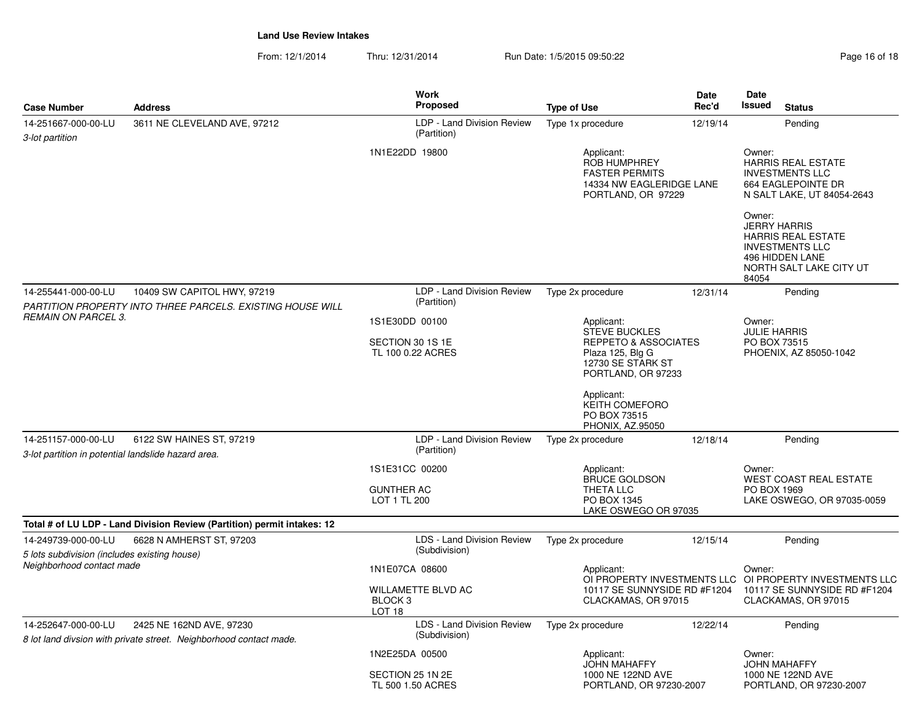| <b>Case Number</b>                                                         | <b>Address</b>                                                                                 | <b>Work</b><br>Proposed                                              | <b>Type of Use</b>                                                                                                                   | <b>Date</b><br>Rec'd | <b>Date</b><br><b>Issued</b>                                                        | <b>Status</b>                                                                 |
|----------------------------------------------------------------------------|------------------------------------------------------------------------------------------------|----------------------------------------------------------------------|--------------------------------------------------------------------------------------------------------------------------------------|----------------------|-------------------------------------------------------------------------------------|-------------------------------------------------------------------------------|
| 14-251667-000-00-LU<br>3-lot partition                                     | 3611 NE CLEVELAND AVE, 97212                                                                   | LDP - Land Division Review<br>(Partition)                            | Type 1x procedure                                                                                                                    | 12/19/14             |                                                                                     | Pending                                                                       |
|                                                                            |                                                                                                | 1N1E22DD 19800                                                       | Applicant:<br><b>ROB HUMPHREY</b><br><b>FASTER PERMITS</b><br>14334 NW EAGLERIDGE LANE<br>PORTLAND, OR 97229                         |                      | Owner:<br><b>INVESTMENTS LLC</b>                                                    | <b>HARRIS REAL ESTATE</b><br>664 EAGLEPOINTE DR<br>N SALT LAKE, UT 84054-2643 |
|                                                                            |                                                                                                |                                                                      |                                                                                                                                      |                      | Owner:<br><b>JERRY HARRIS</b><br><b>INVESTMENTS LLC</b><br>496 HIDDEN LANE<br>84054 | <b>HARRIS REAL ESTATE</b><br>NORTH SALT LAKE CITY UT                          |
| 14-255441-000-00-LU                                                        | 10409 SW CAPITOL HWY, 97219                                                                    | LDP - Land Division Review                                           | Type 2x procedure                                                                                                                    | 12/31/14             |                                                                                     | Pending                                                                       |
| <b>REMAIN ON PARCEL 3.</b>                                                 | PARTITION PROPERTY INTO THREE PARCELS. EXISTING HOUSE WILL                                     | (Partition)                                                          |                                                                                                                                      |                      |                                                                                     |                                                                               |
|                                                                            |                                                                                                | 1S1E30DD 00100<br>SECTION 30 1S 1E<br>TL 100 0.22 ACRES              | Applicant:<br><b>STEVE BUCKLES</b><br><b>REPPETO &amp; ASSOCIATES</b><br>Plaza 125, Blg G<br>12730 SE STARK ST<br>PORTLAND, OR 97233 |                      | Owner:<br><b>JULIE HARRIS</b><br>PO BOX 73515<br>PHOENIX, AZ 85050-1042             |                                                                               |
|                                                                            |                                                                                                |                                                                      | Applicant:<br><b>KEITH COMEFORO</b><br>PO BOX 73515<br><b>PHONIX, AZ.95050</b>                                                       |                      |                                                                                     |                                                                               |
| 14-251157-000-00-LU<br>3-lot partition in potential landslide hazard area. | 6122 SW HAINES ST, 97219                                                                       | LDP - Land Division Review<br>(Partition)                            | Type 2x procedure                                                                                                                    | 12/18/14             |                                                                                     | Pending                                                                       |
|                                                                            |                                                                                                | 1S1E31CC 00200                                                       | Applicant:                                                                                                                           |                      | Owner:                                                                              |                                                                               |
|                                                                            |                                                                                                | <b>GUNTHER AC</b><br>LOT 1 TL 200                                    | <b>BRUCE GOLDSON</b><br>THETA LLC<br>PO BOX 1345<br>LAKE OSWEGO OR 97035                                                             |                      | PO BOX 1969                                                                         | <b>WEST COAST REAL ESTATE</b><br>LAKE OSWEGO, OR 97035-0059                   |
|                                                                            | Total # of LU LDP - Land Division Review (Partition) permit intakes: 12                        |                                                                      |                                                                                                                                      |                      |                                                                                     |                                                                               |
| 14-249739-000-00-LU<br>5 lots subdivision (includes existing house)        | 6628 N AMHERST ST. 97203                                                                       | LDS - Land Division Review<br>(Subdivision)                          | Type 2x procedure                                                                                                                    | 12/15/14             |                                                                                     | Pendina                                                                       |
| Neighborhood contact made                                                  |                                                                                                | 1N1E07CA 08600                                                       | Applicant:                                                                                                                           |                      | Owner:                                                                              | OI PROPERTY INVESTMENTS LLC OI PROPERTY INVESTMENTS LLC                       |
|                                                                            |                                                                                                | <b>WILLAMETTE BLVD AC</b><br>BLOCK <sub>3</sub><br>LOT <sub>18</sub> | 10117 SE SUNNYSIDE RD #F1204<br>CLACKAMAS, OR 97015                                                                                  |                      | 10117 SE SUNNYSIDE RD #F1204<br>CLACKAMAS, OR 97015                                 |                                                                               |
| 14-252647-000-00-LU                                                        | 2425 NE 162ND AVE, 97230<br>8 lot land divsion with private street. Neighborhood contact made. | LDS - Land Division Review<br>(Subdivision)                          | Type 2x procedure                                                                                                                    | 12/22/14             |                                                                                     | Pending                                                                       |
|                                                                            |                                                                                                | 1N2E25DA 00500                                                       | Applicant:<br><b>JOHN MAHAFFY</b>                                                                                                    |                      | Owner:<br><b>JOHN MAHAFFY</b>                                                       |                                                                               |
|                                                                            |                                                                                                | SECTION 25 1N 2E<br>TL 500 1.50 ACRES                                | 1000 NE 122ND AVE<br>PORTLAND, OR 97230-2007                                                                                         |                      | 1000 NE 122ND AVE                                                                   | PORTLAND, OR 97230-2007                                                       |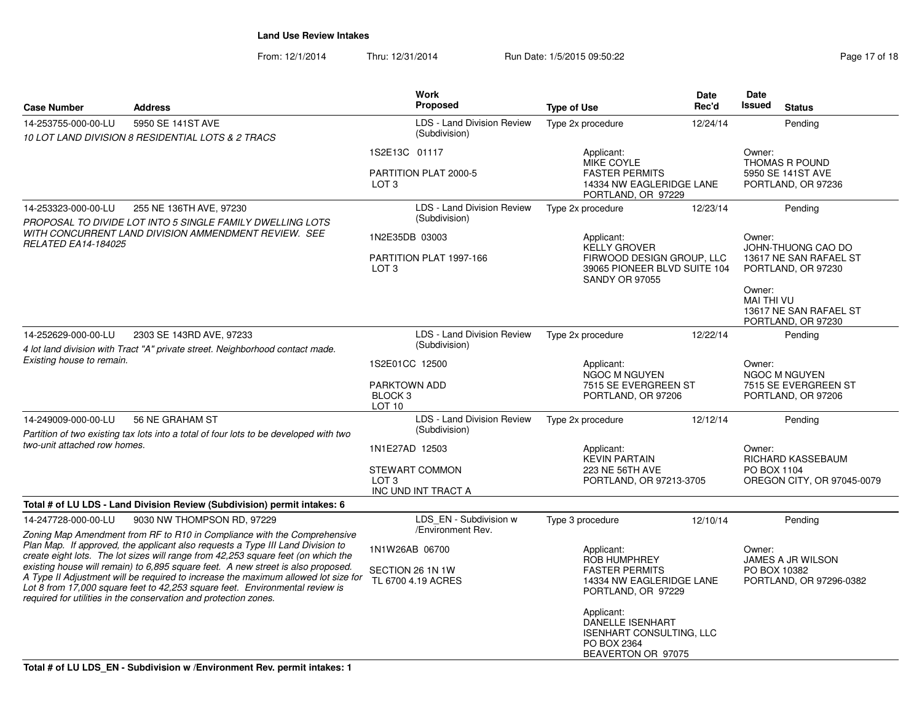| <b>Case Number</b>                                                                 | <b>Address</b>                                                                                                                                                                                                                                                                                                                                                                                                                                                                                                                                                                |                                                                                  | <b>Work</b><br>Proposed                            | <b>Type of Use</b>                                                                                                      | Date<br>Rec'd           | Date<br><b>Issued</b>                                                        | <b>Status</b>                                             |
|------------------------------------------------------------------------------------|-------------------------------------------------------------------------------------------------------------------------------------------------------------------------------------------------------------------------------------------------------------------------------------------------------------------------------------------------------------------------------------------------------------------------------------------------------------------------------------------------------------------------------------------------------------------------------|----------------------------------------------------------------------------------|----------------------------------------------------|-------------------------------------------------------------------------------------------------------------------------|-------------------------|------------------------------------------------------------------------------|-----------------------------------------------------------|
| 14-253755-000-00-LU                                                                | 5950 SE 141ST AVE                                                                                                                                                                                                                                                                                                                                                                                                                                                                                                                                                             |                                                                                  | <b>LDS - Land Division Review</b>                  | Type 2x procedure                                                                                                       | 12/24/14                |                                                                              | Pending                                                   |
|                                                                                    | 10 LOT LAND DIVISION 8 RESIDENTIAL LOTS & 2 TRACS                                                                                                                                                                                                                                                                                                                                                                                                                                                                                                                             |                                                                                  | (Subdivision)                                      |                                                                                                                         |                         |                                                                              |                                                           |
|                                                                                    |                                                                                                                                                                                                                                                                                                                                                                                                                                                                                                                                                                               | 1S2E13C 01117<br>LOT <sub>3</sub>                                                | PARTITION PLAT 2000-5                              | Applicant:<br>MIKE COYLE<br><b>FASTER PERMITS</b><br>14334 NW EAGLERIDGE LANE<br>PORTLAND, OR 97229                     |                         | Owner:                                                                       | THOMAS R POUND<br>5950 SE 141ST AVE<br>PORTLAND, OR 97236 |
| 14-253323-000-00-LU                                                                | 255 NE 136TH AVE, 97230                                                                                                                                                                                                                                                                                                                                                                                                                                                                                                                                                       |                                                                                  | LDS - Land Division Review                         | Type 2x procedure                                                                                                       | 12/23/14                |                                                                              | Pending                                                   |
|                                                                                    | PROPOSAL TO DIVIDE LOT INTO 5 SINGLE FAMILY DWELLING LOTS                                                                                                                                                                                                                                                                                                                                                                                                                                                                                                                     |                                                                                  | (Subdivision)                                      |                                                                                                                         |                         |                                                                              |                                                           |
| WITH CONCURRENT LAND DIVISION AMMENDMENT REVIEW. SEE<br><b>RELATED EA14-184025</b> |                                                                                                                                                                                                                                                                                                                                                                                                                                                                                                                                                                               | 1N2E35DB 03003<br>LOT <sub>3</sub>                                               | PARTITION PLAT 1997-166                            | Applicant:<br><b>KELLY GROVER</b><br>FIRWOOD DESIGN GROUP, LLC<br>39065 PIONEER BLVD SUITE 104<br><b>SANDY OR 97055</b> |                         | Owner:<br>JOHN-THUONG CAO DO<br>13617 NE SAN RAFAEL ST<br>PORTLAND, OR 97230 |                                                           |
|                                                                                    |                                                                                                                                                                                                                                                                                                                                                                                                                                                                                                                                                                               |                                                                                  |                                                    |                                                                                                                         |                         | Owner:<br><b>MAI THI VU</b>                                                  | 13617 NE SAN RAFAEL ST<br>PORTLAND, OR 97230              |
| 14-252629-000-00-LU                                                                | 2303 SE 143RD AVE, 97233                                                                                                                                                                                                                                                                                                                                                                                                                                                                                                                                                      |                                                                                  | <b>LDS - Land Division Review</b><br>(Subdivision) | Type 2x procedure                                                                                                       | 12/22/14                |                                                                              | Pending                                                   |
| Existing house to remain.                                                          | 4 lot land division with Tract "A" private street. Neighborhood contact made.                                                                                                                                                                                                                                                                                                                                                                                                                                                                                                 |                                                                                  |                                                    |                                                                                                                         |                         | Owner:                                                                       |                                                           |
|                                                                                    |                                                                                                                                                                                                                                                                                                                                                                                                                                                                                                                                                                               | 1S2E01CC 12500<br><b>PARKTOWN ADD</b><br>BLOCK <sub>3</sub><br>LOT <sub>10</sub> |                                                    | Applicant:<br><b>NGOC M NGUYEN</b><br>7515 SE EVERGREEN ST<br>PORTLAND, OR 97206                                        |                         | <b>NGOC M NGUYEN</b><br>7515 SE EVERGREEN ST<br>PORTLAND, OR 97206           |                                                           |
| 14-249009-000-00-LU                                                                | 56 NE GRAHAM ST<br>Partition of two existing tax lots into a total of four lots to be developed with two                                                                                                                                                                                                                                                                                                                                                                                                                                                                      |                                                                                  | LDS - Land Division Review<br>(Subdivision)        | Type 2x procedure                                                                                                       | 12/12/14                |                                                                              | Pending                                                   |
| two-unit attached row homes.                                                       |                                                                                                                                                                                                                                                                                                                                                                                                                                                                                                                                                                               | 1N1E27AD 12503                                                                   |                                                    | Applicant:<br><b>KEVIN PARTAIN</b>                                                                                      |                         | Owner:<br>RICHARD KASSEBAUM                                                  |                                                           |
|                                                                                    |                                                                                                                                                                                                                                                                                                                                                                                                                                                                                                                                                                               | LOT <sub>3</sub>                                                                 | STEWART COMMON<br>INC UND INT TRACT A              | 223 NE 56TH AVE                                                                                                         | PORTLAND, OR 97213-3705 |                                                                              | PO BOX 1104<br>OREGON CITY, OR 97045-0079                 |
|                                                                                    | Total # of LU LDS - Land Division Review (Subdivision) permit intakes: 6                                                                                                                                                                                                                                                                                                                                                                                                                                                                                                      |                                                                                  |                                                    |                                                                                                                         |                         |                                                                              |                                                           |
| 14-247728-000-00-LU                                                                | 9030 NW THOMPSON RD, 97229                                                                                                                                                                                                                                                                                                                                                                                                                                                                                                                                                    |                                                                                  | LDS_EN - Subdivision w<br>/Environment Rev.        | Type 3 procedure                                                                                                        | 12/10/14                |                                                                              | Pending                                                   |
|                                                                                    | Zoning Map Amendment from RF to R10 in Compliance with the Comprehensive<br>Plan Map. If approved, the applicant also requests a Type III Land Division to<br>create eight lots. The lot sizes will range from 42,253 square feet (on which the<br>existing house will remain) to 6,895 square feet. A new street is also proposed.<br>A Type II Adjustment will be required to increase the maximum allowed lot size for<br>Lot 8 from 17,000 square feet to 42,253 square feet. Environmental review is<br>required for utilities in the conservation and protection zones. | 1N1W26AB 06700<br>SECTION 26 1N 1W                                               | TL 6700 4.19 ACRES                                 | Applicant:<br><b>ROB HUMPHREY</b><br><b>FASTER PERMITS</b><br>14334 NW EAGLERIDGE LANE<br>PORTLAND, OR 97229            |                         | Owner:<br>PO BOX 10382                                                       | <b>JAMES A JR WILSON</b><br>PORTLAND, OR 97296-0382       |
|                                                                                    |                                                                                                                                                                                                                                                                                                                                                                                                                                                                                                                                                                               |                                                                                  |                                                    | Applicant:<br><b>DANELLE ISENHART</b><br><b>ISENHART CONSULTING, LLC</b><br>PO BOX 2364<br>BEAVERTON OR 97075           |                         |                                                                              |                                                           |